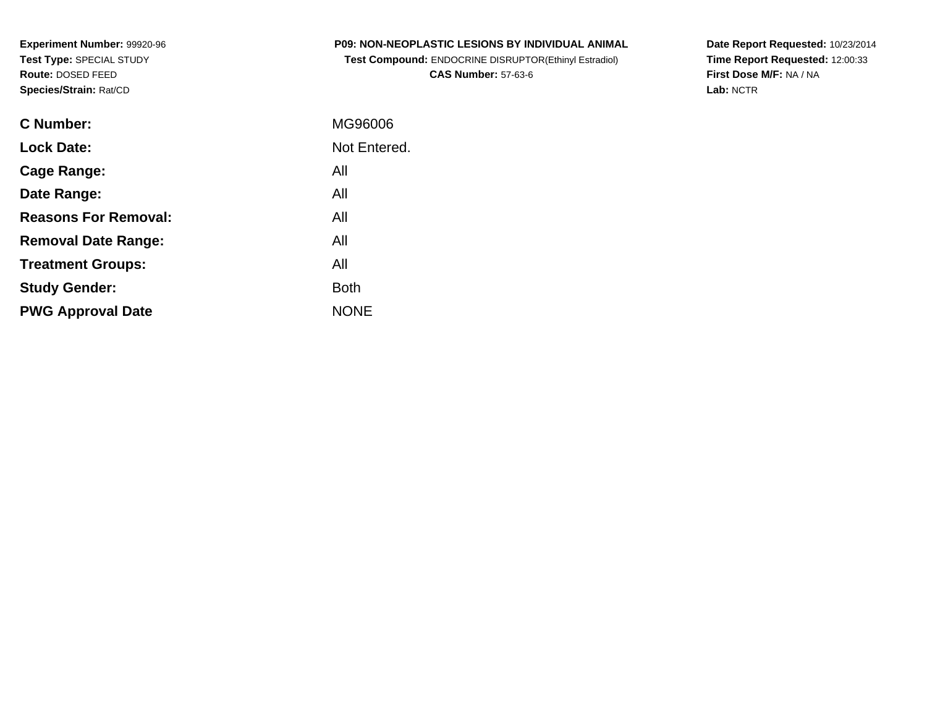**Experiment Number:** 99920-96**Test Type:** SPECIAL STUDY**Route:** DOSED FEED**Species/Strain:** Rat/CD

| <b>P09: NON-NEOPLASTIC LESIONS BY INDIVIDUAL ANIMAL</b>      |  |
|--------------------------------------------------------------|--|
| <b>Test Compound: ENDOCRINE DISRUPTOR(Ethinyl Estradiol)</b> |  |

**CAS Number:** 57-63-6

**Date Report Requested:** 10/23/2014 **Time Report Requested:** 12:00:33**First Dose M/F:** NA / NA**Lab:** NCTR

| <b>C</b> Number:            | MG96006      |
|-----------------------------|--------------|
| <b>Lock Date:</b>           | Not Entered. |
| Cage Range:                 | All          |
| Date Range:                 | All          |
| <b>Reasons For Removal:</b> | All          |
| <b>Removal Date Range:</b>  | All          |
| <b>Treatment Groups:</b>    | All          |
| <b>Study Gender:</b>        | Both         |
| <b>PWG Approval Date</b>    | <b>NONE</b>  |
|                             |              |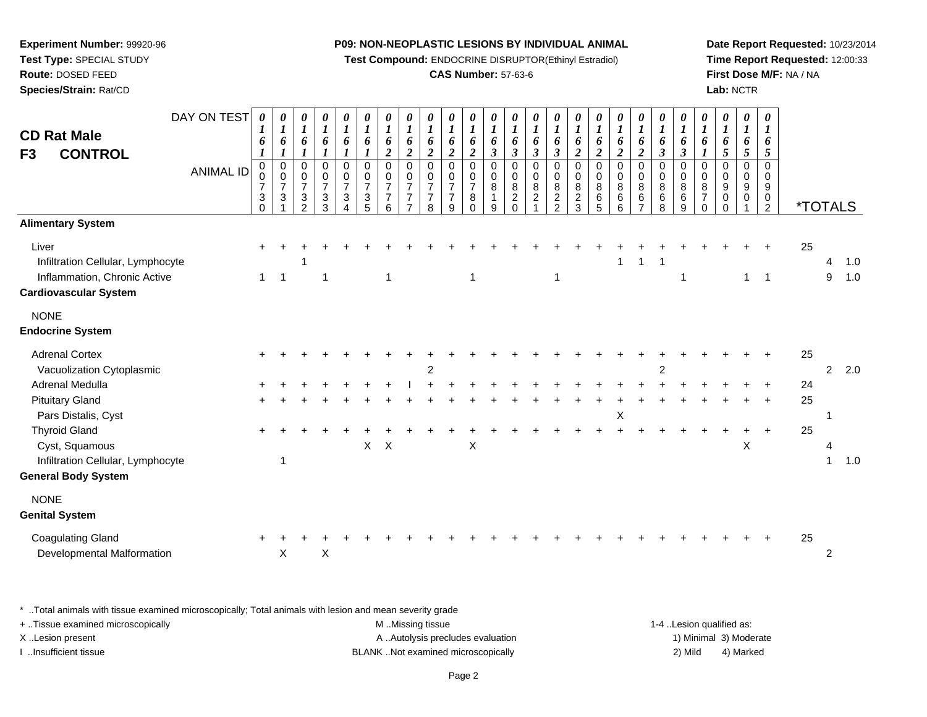**Test Compound:** ENDOCRINE DISRUPTOR(Ethinyl Estradiol)

# **CAS Number:** 57-63-6

**Date Report Requested:** 10/23/2014**Time Report Requested:** 12:00:33**First Dose M/F:** NA / NA**Lab:** NCTR

| DAY ON TEST<br><b>CD Rat Male</b><br><b>CONTROL</b><br>F <sub>3</sub><br><b>ANIMAL ID</b>                  | $\boldsymbol{\theta}$<br>$\boldsymbol{I}$<br>6<br>1<br>$\mathbf 0$<br>0<br>$\overline{7}$<br>3<br>$\overline{0}$ | 0<br>$\boldsymbol{l}$<br>6<br>1<br>$\pmb{0}$<br>$\mathbf 0$<br>$\boldsymbol{7}$<br>3 | 0<br>$\boldsymbol{l}$<br>6<br>1<br>$\mathbf 0$<br>$\mathbf 0$<br>$\overline{7}$<br>$\sqrt{3}$<br>$\mathcal{P}$ | 0<br>$\boldsymbol{l}$<br>6<br>$\boldsymbol{l}$<br>0<br>$\mathsf{O}$<br>$\overline{7}$<br>3<br>3 | 0<br>$\boldsymbol{l}$<br>6<br>1<br>$\pmb{0}$<br>$\pmb{0}$<br>$\overline{7}$<br>$\mathbf{3}$<br>4 | 0<br>$\boldsymbol{l}$<br>6<br>$\boldsymbol{l}$<br>$\pmb{0}$<br>$\mathbf 0$<br>$\overline{7}$<br>$\ensuremath{\mathsf{3}}$<br>5 | 0<br>$\boldsymbol{l}$<br>6<br>$\overline{2}$<br>$\pmb{0}$<br>$\pmb{0}$<br>$\overline{7}$<br>$\overline{7}$<br>6 | 0<br>$\boldsymbol{l}$<br>6<br>$\overline{c}$<br>$\mathbf 0$<br>$\mathbf 0$<br>$\overline{7}$<br>7<br>7 | $\pmb{\theta}$<br>$\boldsymbol{l}$<br>6<br>$\boldsymbol{2}$<br>$\mathbf 0$<br>$\mathbf 0$<br>$\overline{7}$<br>$\overline{7}$<br>8 | 0<br>$\boldsymbol{l}$<br>6<br>$\boldsymbol{2}$<br>$\pmb{0}$<br>$\mathbf 0$<br>$\overline{7}$<br>$\overline{7}$<br>9 | 0<br>$\boldsymbol{l}$<br>6<br>$\overline{2}$<br>$\pmb{0}$<br>$\pmb{0}$<br>$\overline{7}$<br>8<br>$\Omega$ | 0<br>$\boldsymbol{l}$<br>6<br>$\boldsymbol{\beta}$<br>0<br>0<br>8<br>$\mathbf 1$<br>9 | 0<br>$\boldsymbol{l}$<br>6<br>$\mathfrak{z}$<br>0<br>$\mathbf 0$<br>$\bf8$<br>$\boldsymbol{2}$<br>$\Omega$ | 0<br>$\boldsymbol{l}$<br>6<br>$\boldsymbol{\beta}$<br>$\pmb{0}$<br>$\mathbf 0$<br>8<br>$\overline{c}$ | 0<br>$\boldsymbol{l}$<br>6<br>$\mathfrak{z}$<br>$\mathbf 0$<br>$\mathbf 0$<br>8<br>$\frac{2}{2}$ | 0<br>$\boldsymbol{l}$<br>6<br>$\overline{2}$<br>0<br>0<br>8<br>$\frac{2}{3}$ | $\boldsymbol{\theta}$<br>$\boldsymbol{l}$<br>6<br>$\boldsymbol{2}$<br>$\pmb{0}$<br>$\mathbf 0$<br>8<br>6<br>5 | 0<br>$\boldsymbol{l}$<br>6<br>$\overline{c}$<br>$\pmb{0}$<br>$\pmb{0}$<br>$\bf 8$<br>6<br>6 | 0<br>$\boldsymbol{l}$<br>6<br>$\overline{2}$<br>$\mathsf{O}$<br>$\mathbf 0$<br>8<br>6<br>$\overline{7}$ | 0<br>$\boldsymbol{l}$<br>6<br>$\boldsymbol{\beta}$<br>$\pmb{0}$<br>$\pmb{0}$<br>8<br>6<br>8 | 0<br>$\boldsymbol{l}$<br>6<br>$\boldsymbol{\beta}$<br>$\mathsf{O}\xspace$<br>$\mathsf{O}\xspace$<br>$\bf8$<br>$\,6$<br>$9\,$ | 0<br>$\boldsymbol{l}$<br>6<br>$\boldsymbol{l}$<br>$\pmb{0}$<br>0<br>8<br>$\overline{7}$<br>$\Omega$ | $\boldsymbol{\theta}$<br>$\boldsymbol{l}$<br>6<br>5<br>$\mathbf 0$<br>0<br>9<br>0<br>$\Omega$ | 0<br>$\boldsymbol{l}$<br>6<br>5<br>$\mathbf 0$<br>0<br>9<br>0 | 0<br>$\boldsymbol{l}$<br>6<br>5<br>$\mathbf 0$<br>$\Omega$<br>9<br>$\pmb{0}$<br>$\overline{2}$ | <i><b>*TOTALS</b></i> |              |               |
|------------------------------------------------------------------------------------------------------------|------------------------------------------------------------------------------------------------------------------|--------------------------------------------------------------------------------------|----------------------------------------------------------------------------------------------------------------|-------------------------------------------------------------------------------------------------|--------------------------------------------------------------------------------------------------|--------------------------------------------------------------------------------------------------------------------------------|-----------------------------------------------------------------------------------------------------------------|--------------------------------------------------------------------------------------------------------|------------------------------------------------------------------------------------------------------------------------------------|---------------------------------------------------------------------------------------------------------------------|-----------------------------------------------------------------------------------------------------------|---------------------------------------------------------------------------------------|------------------------------------------------------------------------------------------------------------|-------------------------------------------------------------------------------------------------------|--------------------------------------------------------------------------------------------------|------------------------------------------------------------------------------|---------------------------------------------------------------------------------------------------------------|---------------------------------------------------------------------------------------------|---------------------------------------------------------------------------------------------------------|---------------------------------------------------------------------------------------------|------------------------------------------------------------------------------------------------------------------------------|-----------------------------------------------------------------------------------------------------|-----------------------------------------------------------------------------------------------|---------------------------------------------------------------|------------------------------------------------------------------------------------------------|-----------------------|--------------|---------------|
| <b>Alimentary System</b>                                                                                   |                                                                                                                  |                                                                                      |                                                                                                                |                                                                                                 |                                                                                                  |                                                                                                                                |                                                                                                                 |                                                                                                        |                                                                                                                                    |                                                                                                                     |                                                                                                           |                                                                                       |                                                                                                            |                                                                                                       |                                                                                                  |                                                                              |                                                                                                               |                                                                                             |                                                                                                         |                                                                                             |                                                                                                                              |                                                                                                     |                                                                                               |                                                               |                                                                                                |                       |              |               |
| Liver<br>Infiltration Cellular, Lymphocyte<br>Inflammation, Chronic Active<br><b>Cardiovascular System</b> | $\mathbf{1}$                                                                                                     | 1                                                                                    |                                                                                                                | 1                                                                                               |                                                                                                  |                                                                                                                                | $\mathbf{1}$                                                                                                    |                                                                                                        |                                                                                                                                    |                                                                                                                     | $\mathbf 1$                                                                                               |                                                                                       |                                                                                                            |                                                                                                       | 1                                                                                                |                                                                              |                                                                                                               | 1                                                                                           | 1                                                                                                       | -1                                                                                          | 1                                                                                                                            |                                                                                                     |                                                                                               | $\mathbf{1}$                                                  | $\overline{1}$                                                                                 | 25                    | 4<br>9       | 1.0<br>1.0    |
| <b>NONE</b>                                                                                                |                                                                                                                  |                                                                                      |                                                                                                                |                                                                                                 |                                                                                                  |                                                                                                                                |                                                                                                                 |                                                                                                        |                                                                                                                                    |                                                                                                                     |                                                                                                           |                                                                                       |                                                                                                            |                                                                                                       |                                                                                                  |                                                                              |                                                                                                               |                                                                                             |                                                                                                         |                                                                                             |                                                                                                                              |                                                                                                     |                                                                                               |                                                               |                                                                                                |                       |              |               |
| <b>Endocrine System</b>                                                                                    |                                                                                                                  |                                                                                      |                                                                                                                |                                                                                                 |                                                                                                  |                                                                                                                                |                                                                                                                 |                                                                                                        |                                                                                                                                    |                                                                                                                     |                                                                                                           |                                                                                       |                                                                                                            |                                                                                                       |                                                                                                  |                                                                              |                                                                                                               |                                                                                             |                                                                                                         |                                                                                             |                                                                                                                              |                                                                                                     |                                                                                               |                                                               |                                                                                                |                       |              |               |
| <b>Adrenal Cortex</b><br>Vacuolization Cytoplasmic                                                         |                                                                                                                  |                                                                                      |                                                                                                                |                                                                                                 |                                                                                                  |                                                                                                                                |                                                                                                                 |                                                                                                        | 2                                                                                                                                  |                                                                                                                     |                                                                                                           |                                                                                       |                                                                                                            |                                                                                                       |                                                                                                  |                                                                              |                                                                                                               |                                                                                             |                                                                                                         | 2                                                                                           |                                                                                                                              |                                                                                                     |                                                                                               |                                                               |                                                                                                | 25                    |              | $2 \quad 2.0$ |
| Adrenal Medulla                                                                                            |                                                                                                                  |                                                                                      |                                                                                                                |                                                                                                 |                                                                                                  |                                                                                                                                |                                                                                                                 |                                                                                                        |                                                                                                                                    |                                                                                                                     |                                                                                                           |                                                                                       |                                                                                                            |                                                                                                       |                                                                                                  |                                                                              |                                                                                                               |                                                                                             |                                                                                                         |                                                                                             |                                                                                                                              |                                                                                                     |                                                                                               |                                                               |                                                                                                | 24                    |              |               |
| <b>Pituitary Gland</b><br>Pars Distalis, Cyst                                                              |                                                                                                                  |                                                                                      |                                                                                                                |                                                                                                 |                                                                                                  |                                                                                                                                |                                                                                                                 |                                                                                                        |                                                                                                                                    |                                                                                                                     |                                                                                                           |                                                                                       |                                                                                                            |                                                                                                       |                                                                                                  |                                                                              |                                                                                                               | Χ                                                                                           |                                                                                                         |                                                                                             |                                                                                                                              |                                                                                                     |                                                                                               |                                                               |                                                                                                | 25                    |              |               |
| <b>Thyroid Gland</b>                                                                                       |                                                                                                                  |                                                                                      |                                                                                                                |                                                                                                 |                                                                                                  |                                                                                                                                |                                                                                                                 |                                                                                                        |                                                                                                                                    |                                                                                                                     |                                                                                                           |                                                                                       |                                                                                                            |                                                                                                       |                                                                                                  |                                                                              |                                                                                                               |                                                                                             |                                                                                                         |                                                                                             |                                                                                                                              |                                                                                                     |                                                                                               |                                                               |                                                                                                | 25                    |              |               |
| Cyst, Squamous                                                                                             |                                                                                                                  |                                                                                      |                                                                                                                |                                                                                                 |                                                                                                  | $\mathsf{X}$                                                                                                                   | $\mathsf{X}$                                                                                                    |                                                                                                        |                                                                                                                                    |                                                                                                                     | Χ                                                                                                         |                                                                                       |                                                                                                            |                                                                                                       |                                                                                                  |                                                                              |                                                                                                               |                                                                                             |                                                                                                         |                                                                                             |                                                                                                                              |                                                                                                     |                                                                                               | X                                                             |                                                                                                |                       |              |               |
| Infiltration Cellular, Lymphocyte<br><b>General Body System</b>                                            |                                                                                                                  | 1                                                                                    |                                                                                                                |                                                                                                 |                                                                                                  |                                                                                                                                |                                                                                                                 |                                                                                                        |                                                                                                                                    |                                                                                                                     |                                                                                                           |                                                                                       |                                                                                                            |                                                                                                       |                                                                                                  |                                                                              |                                                                                                               |                                                                                             |                                                                                                         |                                                                                             |                                                                                                                              |                                                                                                     |                                                                                               |                                                               |                                                                                                |                       | $\mathbf{1}$ | 1.0           |
| <b>NONE</b><br><b>Genital System</b>                                                                       |                                                                                                                  |                                                                                      |                                                                                                                |                                                                                                 |                                                                                                  |                                                                                                                                |                                                                                                                 |                                                                                                        |                                                                                                                                    |                                                                                                                     |                                                                                                           |                                                                                       |                                                                                                            |                                                                                                       |                                                                                                  |                                                                              |                                                                                                               |                                                                                             |                                                                                                         |                                                                                             |                                                                                                                              |                                                                                                     |                                                                                               |                                                               |                                                                                                |                       |              |               |
|                                                                                                            |                                                                                                                  |                                                                                      |                                                                                                                |                                                                                                 |                                                                                                  |                                                                                                                                |                                                                                                                 |                                                                                                        |                                                                                                                                    |                                                                                                                     |                                                                                                           |                                                                                       |                                                                                                            |                                                                                                       |                                                                                                  |                                                                              |                                                                                                               |                                                                                             |                                                                                                         |                                                                                             |                                                                                                                              |                                                                                                     |                                                                                               |                                                               |                                                                                                |                       |              |               |
| <b>Coagulating Gland</b><br>Developmental Malformation                                                     |                                                                                                                  | X                                                                                    |                                                                                                                | X                                                                                               |                                                                                                  |                                                                                                                                |                                                                                                                 |                                                                                                        |                                                                                                                                    |                                                                                                                     |                                                                                                           |                                                                                       |                                                                                                            |                                                                                                       |                                                                                                  |                                                                              |                                                                                                               |                                                                                             |                                                                                                         |                                                                                             |                                                                                                                              |                                                                                                     |                                                                                               |                                                               |                                                                                                | 25                    | 2            |               |

\* ..Total animals with tissue examined microscopically; Total animals with lesion and mean severity grade

**Experiment Number:** 99920-96**Test Type:** SPECIAL STUDY**Route:** DOSED FEED**Species/Strain:** Rat/CD

| + Tissue examined microscopically | M Missing tissue                   | 1-4 Lesion qualified as: |                        |
|-----------------------------------|------------------------------------|--------------------------|------------------------|
| X Lesion present                  | A Autolysis precludes evaluation   |                          | 1) Minimal 3) Moderate |
| Insufficient tissue               | BLANK Not examined microscopically | 2) Mild                  | 4) Marked              |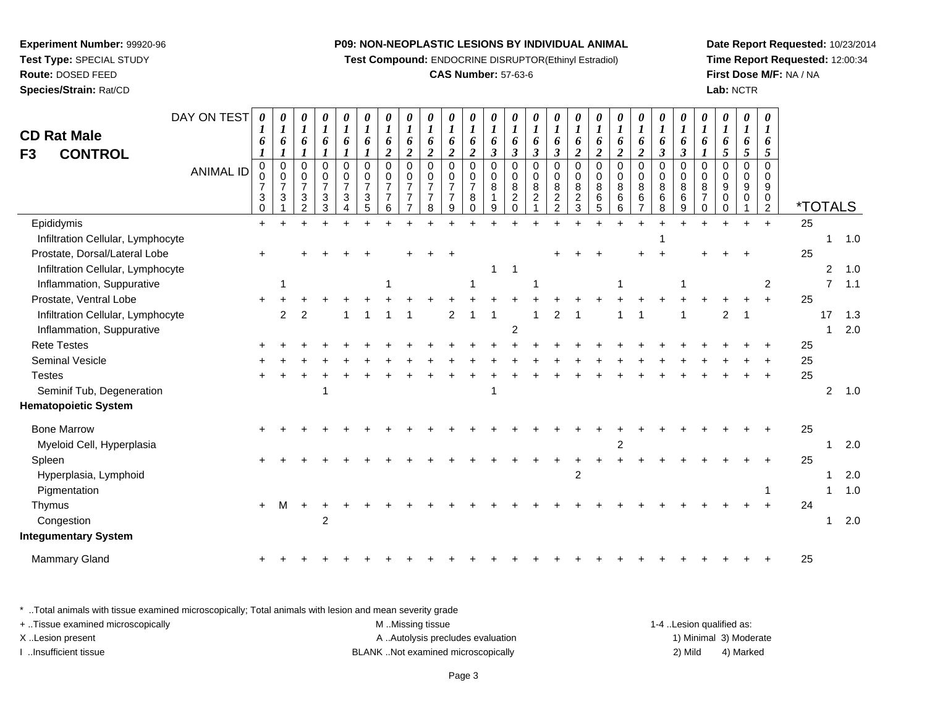**Test Compound:** ENDOCRINE DISRUPTOR(Ethinyl Estradiol)

#### **CAS Number:** 57-63-6

**Date Report Requested:** 10/23/2014**Time Report Requested:** 12:00:34**First Dose M/F:** NA / NA**Lab:** NCTR

| F3 | <b>CD Rat Male</b><br><b>CONTROL</b> | DAY ON TEST<br><b>ANIMAL ID</b> | $\boldsymbol{\theta}$<br>6<br>$\mathbf 0$<br>0<br>$\overline{7}$<br>3<br>0 | $\pmb{\theta}$<br>$\boldsymbol{l}$<br>6<br>$\mathbf{I}$<br>$\pmb{0}$<br>$\pmb{0}$<br>$\overline{7}$<br>$\mathbf{3}$ | 0<br>$\boldsymbol{\mathit{1}}$<br>6<br>0<br>0<br>$\overline{7}$<br>3<br>$\mathcal{P}$ | $\pmb{\theta}$<br>$\boldsymbol{l}$<br>6<br>0<br>0<br>$\overline{7}$<br>$\mathbf{3}$<br>3 | $\pmb{\theta}$<br>$\boldsymbol{l}$<br>6<br>$\boldsymbol{l}$<br>$\mathbf 0$<br>$\mathbf 0$<br>$\overline{7}$<br>$\mathbf{3}$<br>4 | 0<br>$\boldsymbol{l}$<br>6<br>$\boldsymbol{l}$<br>$\pmb{0}$<br>$\,0\,$<br>$\overline{7}$<br>$\sqrt{3}$<br>5 | $\boldsymbol{\theta}$<br>$\boldsymbol{l}$<br>6<br>$\overline{\mathbf{c}}$<br>$\mathbf 0$<br>$\mathbf 0$<br>$\overline{7}$<br>$\overline{7}$<br>6 | 0<br>$\boldsymbol{l}$<br>6<br>$\overline{2}$<br>$\mathbf 0$<br>$\mathbf 0$<br>$\overline{7}$<br>$\overline{7}$ | $\boldsymbol{\theta}$<br>$\boldsymbol{l}$<br>6<br>$\overline{2}$<br>$\mathbf 0$<br>$\Omega$<br>$\overline{7}$<br>$\overline{7}$<br>8 | 0<br>$\boldsymbol{l}$<br>6<br>$\overline{2}$<br>$\mathbf 0$<br>0<br>$\overline{7}$<br>$\overline{7}$<br>9 | 0<br>$\boldsymbol{l}$<br>6<br>$\overline{2}$<br>$\mathbf 0$<br>$\mathbf 0$<br>$\overline{7}$<br>8<br>$\Omega$ | 0<br>$\boldsymbol{l}$<br>6<br>$\mathfrak{z}$<br>$\mathbf 0$<br>$\mathbf 0$<br>$\bf 8$<br>9 | $\boldsymbol{\theta}$<br>$\boldsymbol{l}$<br>6<br>$\boldsymbol{\beta}$<br>$\mathbf 0$<br>0<br>$\bf 8$<br>$\overline{c}$<br>$\mathbf 0$ | 0<br>$\boldsymbol{l}$<br>6<br>$\boldsymbol{\beta}$<br>$\pmb{0}$<br>0<br>$\bf 8$<br>$\overline{c}$ | 0<br>$\boldsymbol{l}$<br>6<br>$\mathfrak{z}$<br>$\mathbf 0$<br>$\mathbf 0$<br>8<br>$\overline{2}$<br>$\overline{2}$ | 0<br>$\boldsymbol{l}$<br>6<br>$\boldsymbol{2}$<br>$\mathbf 0$<br>0<br>8<br>$\overline{c}$<br>$\mathfrak{S}$ | $\boldsymbol{\theta}$<br>$\boldsymbol{l}$<br>6<br>$\overline{\mathbf{c}}$<br>$\mathbf 0$<br>$\mathbf 0$<br>8<br>6<br>5 | $\pmb{\theta}$<br>$\boldsymbol{l}$<br>6<br>$\overline{2}$<br>$\pmb{0}$<br>$\mathbf 0$<br>8<br>$\,6$<br>6 | 0<br>$\boldsymbol{l}$<br>6<br>$\overline{\mathbf{c}}$<br>$\mathbf 0$<br>$\mathbf 0$<br>8<br>$6\phantom{1}6$<br>$\overline{7}$ | 0<br>$\boldsymbol{l}$<br>6<br>$\boldsymbol{\beta}$<br>0<br>0<br>$\bf 8$<br>$\,6\,$<br>8 | $\boldsymbol{\theta}$<br>$\boldsymbol{l}$<br>6<br>$\boldsymbol{\beta}$<br>$\mathbf 0$<br>$\mathbf 0$<br>8<br>6<br>9 | 0<br>$\bm{l}$<br>6<br>$\mathbf 0$<br>0<br>8<br>$\overline{7}$<br>0 | $\boldsymbol{\theta}$<br>$\boldsymbol{l}$<br>6<br>5<br>$\mathbf 0$<br>$\Omega$<br>9<br>0<br>$\Omega$ | 0<br>$\boldsymbol{l}$<br>6<br>5<br>$\mathbf 0$<br>0<br>9<br>0 | $\boldsymbol{\theta}$<br>6<br>5<br>$\mathbf 0$<br>$\Omega$<br>9<br>0<br>$\overline{2}$ | <i><b>*TOTALS</b></i> |                |     |
|----|--------------------------------------|---------------------------------|----------------------------------------------------------------------------|---------------------------------------------------------------------------------------------------------------------|---------------------------------------------------------------------------------------|------------------------------------------------------------------------------------------|----------------------------------------------------------------------------------------------------------------------------------|-------------------------------------------------------------------------------------------------------------|--------------------------------------------------------------------------------------------------------------------------------------------------|----------------------------------------------------------------------------------------------------------------|--------------------------------------------------------------------------------------------------------------------------------------|-----------------------------------------------------------------------------------------------------------|---------------------------------------------------------------------------------------------------------------|--------------------------------------------------------------------------------------------|----------------------------------------------------------------------------------------------------------------------------------------|---------------------------------------------------------------------------------------------------|---------------------------------------------------------------------------------------------------------------------|-------------------------------------------------------------------------------------------------------------|------------------------------------------------------------------------------------------------------------------------|----------------------------------------------------------------------------------------------------------|-------------------------------------------------------------------------------------------------------------------------------|-----------------------------------------------------------------------------------------|---------------------------------------------------------------------------------------------------------------------|--------------------------------------------------------------------|------------------------------------------------------------------------------------------------------|---------------------------------------------------------------|----------------------------------------------------------------------------------------|-----------------------|----------------|-----|
|    | Epididymis                           |                                 | $\ddot{}$                                                                  |                                                                                                                     |                                                                                       |                                                                                          |                                                                                                                                  |                                                                                                             |                                                                                                                                                  |                                                                                                                |                                                                                                                                      |                                                                                                           |                                                                                                               |                                                                                            |                                                                                                                                        |                                                                                                   |                                                                                                                     |                                                                                                             |                                                                                                                        |                                                                                                          |                                                                                                                               |                                                                                         |                                                                                                                     |                                                                    |                                                                                                      |                                                               | $\ddot{}$                                                                              | 25                    |                |     |
|    | Infiltration Cellular, Lymphocyte    |                                 |                                                                            |                                                                                                                     |                                                                                       |                                                                                          |                                                                                                                                  |                                                                                                             |                                                                                                                                                  |                                                                                                                |                                                                                                                                      |                                                                                                           |                                                                                                               |                                                                                            |                                                                                                                                        |                                                                                                   |                                                                                                                     |                                                                                                             |                                                                                                                        |                                                                                                          |                                                                                                                               |                                                                                         |                                                                                                                     |                                                                    |                                                                                                      |                                                               |                                                                                        |                       | 1              | 1.0 |
|    | Prostate, Dorsal/Lateral Lobe        |                                 | $\ddot{}$                                                                  |                                                                                                                     |                                                                                       |                                                                                          |                                                                                                                                  |                                                                                                             |                                                                                                                                                  |                                                                                                                |                                                                                                                                      |                                                                                                           |                                                                                                               |                                                                                            |                                                                                                                                        |                                                                                                   |                                                                                                                     |                                                                                                             |                                                                                                                        |                                                                                                          |                                                                                                                               |                                                                                         |                                                                                                                     |                                                                    |                                                                                                      |                                                               |                                                                                        | 25                    |                |     |
|    | Infiltration Cellular, Lymphocyte    |                                 |                                                                            |                                                                                                                     |                                                                                       |                                                                                          |                                                                                                                                  |                                                                                                             |                                                                                                                                                  |                                                                                                                |                                                                                                                                      |                                                                                                           |                                                                                                               | 1                                                                                          | $\overline{1}$                                                                                                                         |                                                                                                   |                                                                                                                     |                                                                                                             |                                                                                                                        |                                                                                                          |                                                                                                                               |                                                                                         |                                                                                                                     |                                                                    |                                                                                                      |                                                               |                                                                                        |                       | $\overline{2}$ | 1.0 |
|    | Inflammation, Suppurative            |                                 |                                                                            |                                                                                                                     |                                                                                       |                                                                                          |                                                                                                                                  |                                                                                                             | 1                                                                                                                                                |                                                                                                                |                                                                                                                                      |                                                                                                           |                                                                                                               |                                                                                            |                                                                                                                                        |                                                                                                   |                                                                                                                     |                                                                                                             |                                                                                                                        |                                                                                                          |                                                                                                                               |                                                                                         |                                                                                                                     |                                                                    |                                                                                                      |                                                               | $\overline{2}$                                                                         |                       | $\overline{7}$ | 1.1 |
|    | Prostate, Ventral Lobe               |                                 |                                                                            |                                                                                                                     |                                                                                       |                                                                                          |                                                                                                                                  |                                                                                                             |                                                                                                                                                  |                                                                                                                |                                                                                                                                      |                                                                                                           |                                                                                                               |                                                                                            |                                                                                                                                        |                                                                                                   |                                                                                                                     |                                                                                                             |                                                                                                                        |                                                                                                          |                                                                                                                               |                                                                                         |                                                                                                                     |                                                                    |                                                                                                      |                                                               | $\ddot{}$                                                                              | 25                    |                |     |
|    | Infiltration Cellular, Lymphocyte    |                                 |                                                                            | $\overline{c}$                                                                                                      | 2                                                                                     |                                                                                          |                                                                                                                                  |                                                                                                             |                                                                                                                                                  |                                                                                                                |                                                                                                                                      | $\overline{c}$                                                                                            |                                                                                                               |                                                                                            |                                                                                                                                        |                                                                                                   |                                                                                                                     |                                                                                                             |                                                                                                                        |                                                                                                          |                                                                                                                               |                                                                                         |                                                                                                                     |                                                                    | $\overline{c}$                                                                                       |                                                               |                                                                                        |                       | 17             | 1.3 |
|    | Inflammation, Suppurative            |                                 |                                                                            |                                                                                                                     |                                                                                       |                                                                                          |                                                                                                                                  |                                                                                                             |                                                                                                                                                  |                                                                                                                |                                                                                                                                      |                                                                                                           |                                                                                                               |                                                                                            | $\overline{2}$                                                                                                                         |                                                                                                   |                                                                                                                     |                                                                                                             |                                                                                                                        |                                                                                                          |                                                                                                                               |                                                                                         |                                                                                                                     |                                                                    |                                                                                                      |                                                               |                                                                                        |                       | -1             | 2.0 |
|    | <b>Rete Testes</b>                   |                                 |                                                                            |                                                                                                                     |                                                                                       |                                                                                          |                                                                                                                                  |                                                                                                             |                                                                                                                                                  |                                                                                                                |                                                                                                                                      |                                                                                                           |                                                                                                               |                                                                                            |                                                                                                                                        |                                                                                                   |                                                                                                                     |                                                                                                             |                                                                                                                        |                                                                                                          |                                                                                                                               |                                                                                         |                                                                                                                     |                                                                    |                                                                                                      |                                                               |                                                                                        | 25                    |                |     |
|    | Seminal Vesicle                      |                                 |                                                                            |                                                                                                                     |                                                                                       |                                                                                          |                                                                                                                                  |                                                                                                             |                                                                                                                                                  |                                                                                                                |                                                                                                                                      |                                                                                                           |                                                                                                               |                                                                                            |                                                                                                                                        |                                                                                                   |                                                                                                                     |                                                                                                             |                                                                                                                        |                                                                                                          |                                                                                                                               |                                                                                         |                                                                                                                     |                                                                    |                                                                                                      |                                                               |                                                                                        | 25                    |                |     |
|    | <b>Testes</b>                        |                                 |                                                                            |                                                                                                                     |                                                                                       |                                                                                          |                                                                                                                                  |                                                                                                             |                                                                                                                                                  |                                                                                                                |                                                                                                                                      |                                                                                                           |                                                                                                               |                                                                                            |                                                                                                                                        |                                                                                                   |                                                                                                                     |                                                                                                             |                                                                                                                        |                                                                                                          |                                                                                                                               |                                                                                         |                                                                                                                     |                                                                    |                                                                                                      |                                                               |                                                                                        | 25                    |                |     |
|    | Seminif Tub, Degeneration            |                                 |                                                                            |                                                                                                                     |                                                                                       |                                                                                          |                                                                                                                                  |                                                                                                             |                                                                                                                                                  |                                                                                                                |                                                                                                                                      |                                                                                                           |                                                                                                               |                                                                                            |                                                                                                                                        |                                                                                                   |                                                                                                                     |                                                                                                             |                                                                                                                        |                                                                                                          |                                                                                                                               |                                                                                         |                                                                                                                     |                                                                    |                                                                                                      |                                                               |                                                                                        |                       | 2              | 1.0 |
|    | <b>Hematopoietic System</b>          |                                 |                                                                            |                                                                                                                     |                                                                                       |                                                                                          |                                                                                                                                  |                                                                                                             |                                                                                                                                                  |                                                                                                                |                                                                                                                                      |                                                                                                           |                                                                                                               |                                                                                            |                                                                                                                                        |                                                                                                   |                                                                                                                     |                                                                                                             |                                                                                                                        |                                                                                                          |                                                                                                                               |                                                                                         |                                                                                                                     |                                                                    |                                                                                                      |                                                               |                                                                                        |                       |                |     |
|    | <b>Bone Marrow</b>                   |                                 |                                                                            |                                                                                                                     |                                                                                       |                                                                                          |                                                                                                                                  |                                                                                                             |                                                                                                                                                  |                                                                                                                |                                                                                                                                      |                                                                                                           |                                                                                                               |                                                                                            |                                                                                                                                        |                                                                                                   |                                                                                                                     |                                                                                                             |                                                                                                                        |                                                                                                          |                                                                                                                               |                                                                                         |                                                                                                                     |                                                                    |                                                                                                      |                                                               |                                                                                        | 25                    |                |     |
|    | Myeloid Cell, Hyperplasia            |                                 |                                                                            |                                                                                                                     |                                                                                       |                                                                                          |                                                                                                                                  |                                                                                                             |                                                                                                                                                  |                                                                                                                |                                                                                                                                      |                                                                                                           |                                                                                                               |                                                                                            |                                                                                                                                        |                                                                                                   |                                                                                                                     |                                                                                                             |                                                                                                                        | $\overline{2}$                                                                                           |                                                                                                                               |                                                                                         |                                                                                                                     |                                                                    |                                                                                                      |                                                               |                                                                                        |                       | 1              | 2.0 |
|    | Spleen                               |                                 |                                                                            |                                                                                                                     |                                                                                       |                                                                                          |                                                                                                                                  |                                                                                                             |                                                                                                                                                  |                                                                                                                |                                                                                                                                      |                                                                                                           |                                                                                                               |                                                                                            |                                                                                                                                        |                                                                                                   |                                                                                                                     |                                                                                                             |                                                                                                                        |                                                                                                          |                                                                                                                               |                                                                                         |                                                                                                                     |                                                                    |                                                                                                      |                                                               |                                                                                        | 25                    |                |     |
|    | Hyperplasia, Lymphoid                |                                 |                                                                            |                                                                                                                     |                                                                                       |                                                                                          |                                                                                                                                  |                                                                                                             |                                                                                                                                                  |                                                                                                                |                                                                                                                                      |                                                                                                           |                                                                                                               |                                                                                            |                                                                                                                                        |                                                                                                   |                                                                                                                     | 2                                                                                                           |                                                                                                                        |                                                                                                          |                                                                                                                               |                                                                                         |                                                                                                                     |                                                                    |                                                                                                      |                                                               |                                                                                        |                       |                | 2.0 |
|    | Pigmentation                         |                                 |                                                                            |                                                                                                                     |                                                                                       |                                                                                          |                                                                                                                                  |                                                                                                             |                                                                                                                                                  |                                                                                                                |                                                                                                                                      |                                                                                                           |                                                                                                               |                                                                                            |                                                                                                                                        |                                                                                                   |                                                                                                                     |                                                                                                             |                                                                                                                        |                                                                                                          |                                                                                                                               |                                                                                         |                                                                                                                     |                                                                    |                                                                                                      |                                                               |                                                                                        |                       | -1             | 1.0 |
|    | Thymus                               |                                 | $+$                                                                        | M                                                                                                                   |                                                                                       |                                                                                          |                                                                                                                                  |                                                                                                             |                                                                                                                                                  |                                                                                                                |                                                                                                                                      |                                                                                                           |                                                                                                               |                                                                                            |                                                                                                                                        |                                                                                                   |                                                                                                                     |                                                                                                             |                                                                                                                        |                                                                                                          |                                                                                                                               |                                                                                         |                                                                                                                     |                                                                    |                                                                                                      |                                                               | $\ddot{}$                                                                              | 24                    |                |     |
|    | Congestion                           |                                 |                                                                            |                                                                                                                     |                                                                                       | 2                                                                                        |                                                                                                                                  |                                                                                                             |                                                                                                                                                  |                                                                                                                |                                                                                                                                      |                                                                                                           |                                                                                                               |                                                                                            |                                                                                                                                        |                                                                                                   |                                                                                                                     |                                                                                                             |                                                                                                                        |                                                                                                          |                                                                                                                               |                                                                                         |                                                                                                                     |                                                                    |                                                                                                      |                                                               |                                                                                        |                       | -1             | 2.0 |
|    | <b>Integumentary System</b>          |                                 |                                                                            |                                                                                                                     |                                                                                       |                                                                                          |                                                                                                                                  |                                                                                                             |                                                                                                                                                  |                                                                                                                |                                                                                                                                      |                                                                                                           |                                                                                                               |                                                                                            |                                                                                                                                        |                                                                                                   |                                                                                                                     |                                                                                                             |                                                                                                                        |                                                                                                          |                                                                                                                               |                                                                                         |                                                                                                                     |                                                                    |                                                                                                      |                                                               |                                                                                        |                       |                |     |
|    | Mammary Gland                        |                                 |                                                                            |                                                                                                                     |                                                                                       |                                                                                          |                                                                                                                                  |                                                                                                             |                                                                                                                                                  |                                                                                                                |                                                                                                                                      |                                                                                                           |                                                                                                               |                                                                                            |                                                                                                                                        |                                                                                                   |                                                                                                                     |                                                                                                             |                                                                                                                        |                                                                                                          |                                                                                                                               |                                                                                         |                                                                                                                     |                                                                    |                                                                                                      |                                                               |                                                                                        | 25                    |                |     |
|    |                                      |                                 |                                                                            |                                                                                                                     |                                                                                       |                                                                                          |                                                                                                                                  |                                                                                                             |                                                                                                                                                  |                                                                                                                |                                                                                                                                      |                                                                                                           |                                                                                                               |                                                                                            |                                                                                                                                        |                                                                                                   |                                                                                                                     |                                                                                                             |                                                                                                                        |                                                                                                          |                                                                                                                               |                                                                                         |                                                                                                                     |                                                                    |                                                                                                      |                                                               |                                                                                        |                       |                |     |

\* ..Total animals with tissue examined microscopically; Total animals with lesion and mean severity grade

| + Tissue examined microscopically | M Missing tissue                   | 1-4 Lesion qualified as: |                        |
|-----------------------------------|------------------------------------|--------------------------|------------------------|
| X Lesion present                  | A Autolysis precludes evaluation   |                          | 1) Minimal 3) Moderate |
| …Insufficient tissue              | BLANK Not examined microscopically | 2) Mild                  | 4) Marked              |

**Route:** DOSED FEED

# **Experiment Number:** 99920-96**Test Type:** SPECIAL STUDY

**Species/Strain:** Rat/CD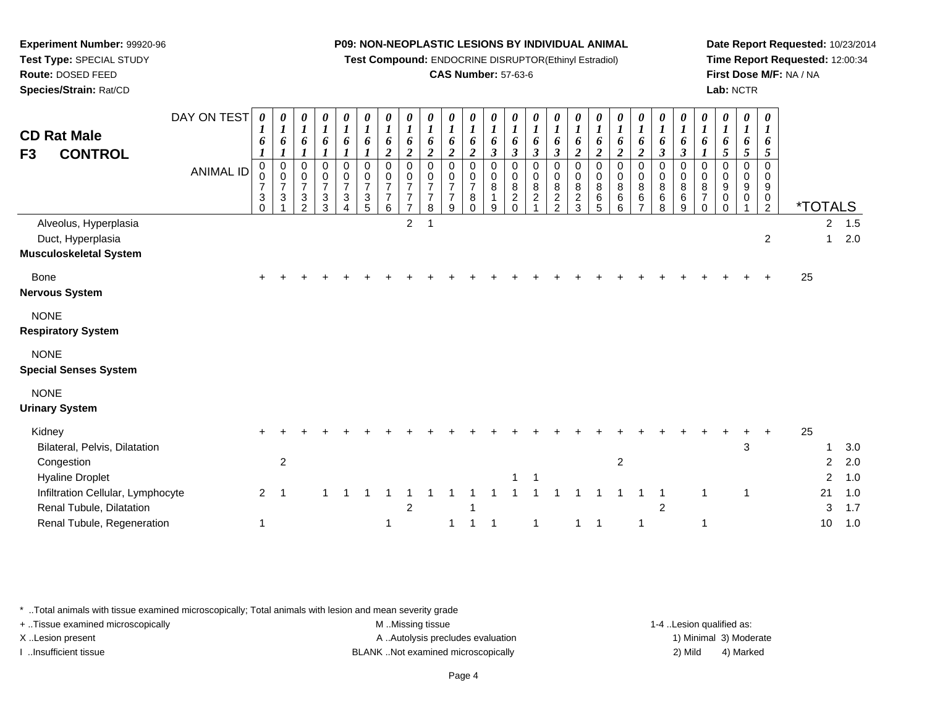**Test Compound:** ENDOCRINE DISRUPTOR(Ethinyl Estradiol)

# **CAS Number:** 57-63-6

**Date Report Requested:** 10/23/2014**Time Report Requested:** 12:00:34**First Dose M/F:** NA / NA**Lab:** NCTR

| <b>CD Rat Male</b><br><b>CONTROL</b><br>F <sub>3</sub>                                      | DAY ON TEST<br><b>ANIMAL ID</b> | 0<br>6<br>0<br>0<br>$\overline{7}$<br>$\ensuremath{\mathsf{3}}$<br>$\Omega$ | 0<br>$\boldsymbol{l}$<br>6<br>$\boldsymbol{l}$<br>$\pmb{0}$<br>$\begin{array}{c} 0 \\ 7 \end{array}$<br>$\sqrt{3}$ | 0<br>$\boldsymbol{l}$<br>6<br>0<br>$\frac{0}{7}$<br>$\frac{3}{2}$ | 0<br>$\boldsymbol{l}$<br>6<br>0<br>$\mathbf 0$<br>$\overline{7}$<br>$\sqrt{3}$<br>$\mathbf{3}$ | 0<br>$\boldsymbol{l}$<br>6<br>$\mathbf 0$<br>$\boldsymbol{0}$<br>$\overline{7}$<br>3<br>$\overline{4}$ | 0<br>$\boldsymbol{l}$<br>6<br>$\pmb{0}$<br>0<br>$\overline{7}$<br>$\sqrt{3}$<br>5 | 0<br>$\boldsymbol{l}$<br>6<br>$\overline{c}$<br>$\mathbf 0$<br>$\mathbf 0$<br>$\overline{7}$<br>$\overline{7}$<br>6 | 0<br>$\boldsymbol{l}$<br>6<br>$\boldsymbol{2}$<br>$\mathbf 0$<br>0<br>$\overline{7}$<br>$\overline{7}$<br>$\overline{7}$ | $\boldsymbol{\theta}$<br>$\boldsymbol{l}$<br>6<br>$\boldsymbol{2}$<br>$\pmb{0}$<br>0<br>$\overline{7}$<br>$\overline{7}$<br>8 | 0<br>$\boldsymbol{l}$<br>6<br>$\boldsymbol{2}$<br>0<br>0<br>$\overline{7}$<br>$\overline{7}$<br>9 | 0<br>$\boldsymbol{l}$<br>6<br>$\overline{2}$<br>0<br>0<br>$\overline{7}$<br>8<br>$\Omega$ | 0<br>$\boldsymbol{l}$<br>6<br>$\boldsymbol{\beta}$<br>0<br>0<br>8<br>9 | 0<br>$\boldsymbol{l}$<br>6<br>$\mathfrak{z}$<br>0<br>0<br>$\bf 8$<br>$\overline{c}$<br>$\Omega$ | 0<br>$\boldsymbol{l}$<br>6<br>$\boldsymbol{\beta}$<br>0<br>0<br>8<br>$\overline{c}$ | 0<br>$\boldsymbol{l}$<br>6<br>$\mathfrak{z}$<br>0<br>$\pmb{0}$<br>$\bf 8$<br>$\frac{2}{2}$ | 0<br>$\boldsymbol{l}$<br>6<br>$\overline{2}$<br>$\pmb{0}$<br>$\mathbf 0$<br>$\bf 8$<br>$\boldsymbol{2}$<br>3 | 0<br>$\boldsymbol{l}$<br>6<br>$\boldsymbol{2}$<br>0<br>$_{8}^{\rm 0}$<br>$^6_5$ | 0<br>$\boldsymbol{l}$<br>6<br>$\overline{2}$<br>0<br>$\mathsf{O}\xspace$<br>$\overline{8}$<br>$\,6\,$<br>$6\phantom{1}$ | 0<br>$\boldsymbol{l}$<br>6<br>$\overline{c}$<br>0<br>$\pmb{0}$<br>$\bf 8$<br>$\,6\,$<br>$\overline{7}$ | 0<br>$\boldsymbol{l}$<br>6<br>$\mathfrak{z}$<br>$\mathbf 0$<br>$\pmb{0}$<br>$\bf 8$<br>6<br>8 | 0<br>$\boldsymbol{l}$<br>6<br>$\boldsymbol{\beta}$<br>$\Omega$<br>$\mathbf 0$<br>8<br>6<br>9 | $\theta$<br>$\boldsymbol{l}$<br>6<br>1<br>$\Omega$<br>0<br>8<br>$\overline{7}$<br>$\Omega$ | 0<br>$\boldsymbol{l}$<br>6<br>$\mathfrak{s}$<br>$\mathbf 0$<br>$\mathbf 0$<br>9<br>0<br>$\Omega$ | 0<br>$\boldsymbol{l}$<br>6<br>5<br>$\mathbf 0$<br>0<br>$\boldsymbol{9}$<br>0 | $\boldsymbol{\theta}$<br>$\bm{l}$<br>6<br>5<br>$\mathbf 0$<br>$\mathbf 0$<br>$9\,$<br>0<br>$\overline{2}$ |    | <i><b>*TOTALS</b></i> |                   |
|---------------------------------------------------------------------------------------------|---------------------------------|-----------------------------------------------------------------------------|--------------------------------------------------------------------------------------------------------------------|-------------------------------------------------------------------|------------------------------------------------------------------------------------------------|--------------------------------------------------------------------------------------------------------|-----------------------------------------------------------------------------------|---------------------------------------------------------------------------------------------------------------------|--------------------------------------------------------------------------------------------------------------------------|-------------------------------------------------------------------------------------------------------------------------------|---------------------------------------------------------------------------------------------------|-------------------------------------------------------------------------------------------|------------------------------------------------------------------------|-------------------------------------------------------------------------------------------------|-------------------------------------------------------------------------------------|--------------------------------------------------------------------------------------------|--------------------------------------------------------------------------------------------------------------|---------------------------------------------------------------------------------|-------------------------------------------------------------------------------------------------------------------------|--------------------------------------------------------------------------------------------------------|-----------------------------------------------------------------------------------------------|----------------------------------------------------------------------------------------------|--------------------------------------------------------------------------------------------|--------------------------------------------------------------------------------------------------|------------------------------------------------------------------------------|-----------------------------------------------------------------------------------------------------------|----|-----------------------|-------------------|
| Alveolus, Hyperplasia<br>Duct, Hyperplasia<br><b>Musculoskeletal System</b>                 |                                 |                                                                             |                                                                                                                    |                                                                   |                                                                                                |                                                                                                        |                                                                                   |                                                                                                                     | $\overline{c}$                                                                                                           |                                                                                                                               |                                                                                                   |                                                                                           |                                                                        |                                                                                                 |                                                                                     |                                                                                            |                                                                                                              |                                                                                 |                                                                                                                         |                                                                                                        |                                                                                               |                                                                                              |                                                                                            |                                                                                                  |                                                                              | $\overline{c}$                                                                                            |    | $\overline{c}$<br>1   | 1.5<br>2.0        |
| <b>Bone</b><br><b>Nervous System</b>                                                        |                                 | $\pm$                                                                       |                                                                                                                    |                                                                   |                                                                                                |                                                                                                        |                                                                                   |                                                                                                                     |                                                                                                                          |                                                                                                                               |                                                                                                   |                                                                                           |                                                                        |                                                                                                 |                                                                                     |                                                                                            |                                                                                                              |                                                                                 |                                                                                                                         |                                                                                                        |                                                                                               |                                                                                              |                                                                                            |                                                                                                  |                                                                              |                                                                                                           | 25 |                       |                   |
| <b>NONE</b><br><b>Respiratory System</b>                                                    |                                 |                                                                             |                                                                                                                    |                                                                   |                                                                                                |                                                                                                        |                                                                                   |                                                                                                                     |                                                                                                                          |                                                                                                                               |                                                                                                   |                                                                                           |                                                                        |                                                                                                 |                                                                                     |                                                                                            |                                                                                                              |                                                                                 |                                                                                                                         |                                                                                                        |                                                                                               |                                                                                              |                                                                                            |                                                                                                  |                                                                              |                                                                                                           |    |                       |                   |
| <b>NONE</b><br><b>Special Senses System</b>                                                 |                                 |                                                                             |                                                                                                                    |                                                                   |                                                                                                |                                                                                                        |                                                                                   |                                                                                                                     |                                                                                                                          |                                                                                                                               |                                                                                                   |                                                                                           |                                                                        |                                                                                                 |                                                                                     |                                                                                            |                                                                                                              |                                                                                 |                                                                                                                         |                                                                                                        |                                                                                               |                                                                                              |                                                                                            |                                                                                                  |                                                                              |                                                                                                           |    |                       |                   |
| <b>NONE</b><br><b>Urinary System</b>                                                        |                                 |                                                                             |                                                                                                                    |                                                                   |                                                                                                |                                                                                                        |                                                                                   |                                                                                                                     |                                                                                                                          |                                                                                                                               |                                                                                                   |                                                                                           |                                                                        |                                                                                                 |                                                                                     |                                                                                            |                                                                                                              |                                                                                 |                                                                                                                         |                                                                                                        |                                                                                               |                                                                                              |                                                                                            |                                                                                                  |                                                                              |                                                                                                           |    |                       |                   |
| Kidney<br>Bilateral, Pelvis, Dilatation<br>Congestion<br><b>Hyaline Droplet</b>             |                                 |                                                                             | $\overline{c}$                                                                                                     |                                                                   |                                                                                                |                                                                                                        |                                                                                   |                                                                                                                     |                                                                                                                          |                                                                                                                               |                                                                                                   |                                                                                           |                                                                        |                                                                                                 | 1                                                                                   |                                                                                            |                                                                                                              |                                                                                 | $\overline{2}$                                                                                                          |                                                                                                        |                                                                                               |                                                                                              |                                                                                            |                                                                                                  | $\mathbf{3}$                                                                 |                                                                                                           | 25 | $\overline{2}$<br>2   | 3.0<br>2.0<br>1.0 |
| Infiltration Cellular, Lymphocyte<br>Renal Tubule, Dilatation<br>Renal Tubule, Regeneration |                                 | $\overline{2}$                                                              | -1                                                                                                                 |                                                                   |                                                                                                |                                                                                                        |                                                                                   | 1                                                                                                                   | 2                                                                                                                        |                                                                                                                               | 1                                                                                                 |                                                                                           |                                                                        |                                                                                                 | $\mathbf{1}$                                                                        |                                                                                            | 1                                                                                                            | $\overline{1}$                                                                  |                                                                                                                         |                                                                                                        | 2                                                                                             |                                                                                              | 1<br>1                                                                                     |                                                                                                  | $\mathbf{1}$                                                                 |                                                                                                           |    | 21<br>3<br>10         | 1.0<br>1.7<br>1.0 |

\* ..Total animals with tissue examined microscopically; Total animals with lesion and mean severity grade

**Experiment Number:** 99920-96**Test Type:** SPECIAL STUDY**Route:** DOSED FEED**Species/Strain:** Rat/CD

+ ..Tissue examined microscopically examined microscopically examined as:  $M$  ..Missing tissue 1-4 ..Lesion qualified as: X..Lesion present **A ..Autolysis precludes evaluation** A ..Autolysis precludes evaluation 1) Minimal 3) Moderate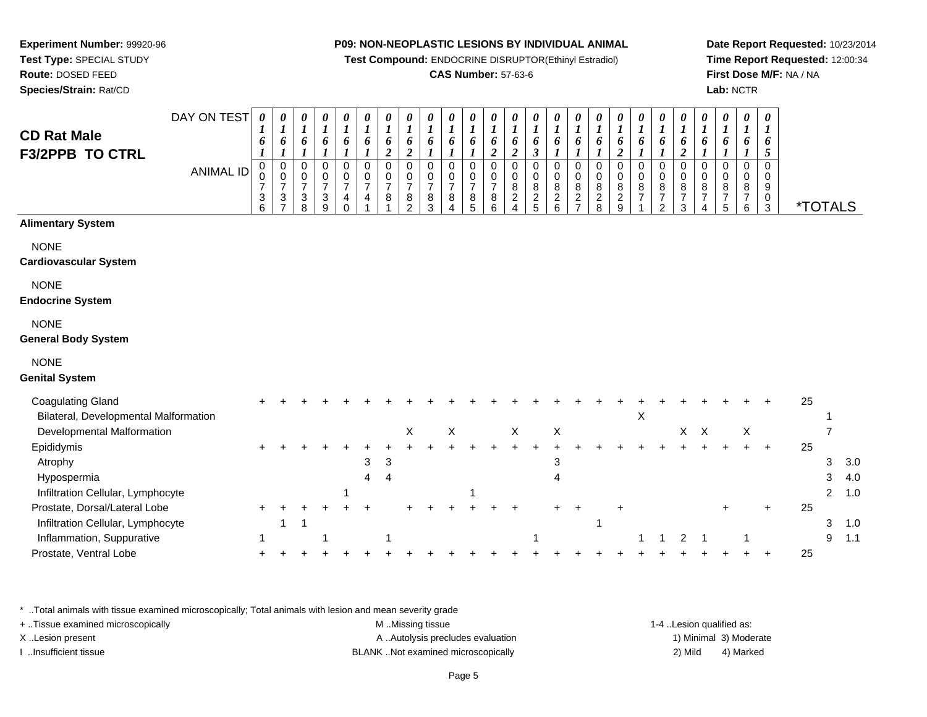**Test Compound:** ENDOCRINE DISRUPTOR(Ethinyl Estradiol)

# **CAS Number:** 57-63-6

**Date Report Requested:** 10/23/2014**Time Report Requested:** 12:00:34**First Dose M/F:** NA / NA**Lab:** NCTR

| <b>CD Rat Male</b>                                                                              | DAY ON TEST      | $\boldsymbol{\theta}$<br>1<br>6                                                          | 0<br>$\boldsymbol{l}$<br>6                                            | 0<br>$\boldsymbol{l}$<br>6                                                                     | 0<br>$\boldsymbol{l}$<br>6                                       | 0<br>$\boldsymbol{l}$<br>6                                                      | 0<br>$\boldsymbol{l}$<br>6                                            | $\boldsymbol{\theta}$<br>$\boldsymbol{l}$<br>6            | 0<br>$\boldsymbol{I}$<br>6                                                   | 0<br>$\bm{l}$<br>6                                                         | 0<br>1<br>6                                                        | 0<br>1<br>6                                                   | 0<br>1<br>6                                                                  | 0<br>1<br>6                                                      | 0<br>$\bm{l}$<br>6                                | 0<br>$\boldsymbol{I}$<br>6                               | 0<br>$\boldsymbol{l}$<br>6                                                        | 0<br>$\boldsymbol{l}$<br>6                                               | 0<br>$\boldsymbol{l}$<br>6                                  | 0<br>$\boldsymbol{l}$<br>6                                                | 0<br>$\boldsymbol{l}$<br>6                                                      | 0<br>$\boldsymbol{l}$<br>6                                              | 0<br>$\boldsymbol{l}$<br>6                        | 0<br>$\boldsymbol{l}$<br>6                                                 | $\boldsymbol{\theta}$<br>$\bm{l}$<br>6                                     | $\boldsymbol{\theta}$<br>1<br>6                        |                       |                |            |
|-------------------------------------------------------------------------------------------------|------------------|------------------------------------------------------------------------------------------|-----------------------------------------------------------------------|------------------------------------------------------------------------------------------------|------------------------------------------------------------------|---------------------------------------------------------------------------------|-----------------------------------------------------------------------|-----------------------------------------------------------|------------------------------------------------------------------------------|----------------------------------------------------------------------------|--------------------------------------------------------------------|---------------------------------------------------------------|------------------------------------------------------------------------------|------------------------------------------------------------------|---------------------------------------------------|----------------------------------------------------------|-----------------------------------------------------------------------------------|--------------------------------------------------------------------------|-------------------------------------------------------------|---------------------------------------------------------------------------|---------------------------------------------------------------------------------|-------------------------------------------------------------------------|---------------------------------------------------|----------------------------------------------------------------------------|----------------------------------------------------------------------------|--------------------------------------------------------|-----------------------|----------------|------------|
| <b>F3/2PPB TO CTRL</b>                                                                          | <b>ANIMAL ID</b> | $\boldsymbol{l}$<br>$\mathbf 0$<br>0<br>$\overline{7}$<br>$\ensuremath{\mathsf{3}}$<br>6 | $\boldsymbol{l}$<br>$\mathbf 0$<br>$\mathbf 0$<br>$\overline{7}$<br>3 | $\boldsymbol{l}$<br>$\pmb{0}$<br>$\pmb{0}$<br>$\overline{7}$<br>$\ensuremath{\mathsf{3}}$<br>8 | $\boldsymbol{l}$<br>0<br>$\mathbf 0$<br>$\overline{7}$<br>3<br>9 | $\boldsymbol{l}$<br>$\pmb{0}$<br>$\mathbf 0$<br>$\overline{7}$<br>4<br>$\Omega$ | $\boldsymbol{l}$<br>$\mathbf 0$<br>$\mathbf 0$<br>$\overline{7}$<br>4 | $\overline{2}$<br>$\mathbf 0$<br>0<br>$\overline{7}$<br>8 | $\boldsymbol{2}$<br>$\mathbf 0$<br>0<br>$\overline{7}$<br>8<br>$\mathcal{P}$ | $\boldsymbol{l}$<br>$\mathbf 0$<br>$\mathbf 0$<br>$\overline{7}$<br>8<br>3 | $\boldsymbol{l}$<br>$\Omega$<br>$\mathbf 0$<br>$\overline{7}$<br>8 | $\boldsymbol{l}$<br>$\Omega$<br>0<br>$\overline{7}$<br>8<br>5 | $\overline{\mathbf{c}}$<br>0<br>$\boldsymbol{0}$<br>$\overline{7}$<br>8<br>6 | $\overline{2}$<br>$\mathbf 0$<br>0<br>$\,8\,$<br>$\sqrt{2}$<br>4 | 3<br>$\mathbf 0$<br>0<br>8<br>$\overline{a}$<br>5 | 1<br>$\Omega$<br>$\mathbf 0$<br>8<br>$\overline{c}$<br>6 | $\boldsymbol{l}$<br>$\mathbf 0$<br>$\pmb{0}$<br>8<br>$\sqrt{2}$<br>$\overline{7}$ | $\boldsymbol{l}$<br>$\mathbf 0$<br>$\pmb{0}$<br>8<br>$\overline{2}$<br>8 | $\boldsymbol{2}$<br>$\mathbf 0$<br>$\pmb{0}$<br>$^8_2$<br>9 | $\boldsymbol{l}$<br>$\pmb{0}$<br>$\mathbf 0$<br>$\,8\,$<br>$\overline{7}$ | $\boldsymbol{l}$<br>$\mathsf 0$<br>$\pmb{0}$<br>$\frac{8}{7}$<br>$\mathfrak{p}$ | $\overline{\mathbf{c}}$<br>0<br>$\mathbf 0$<br>8<br>$\overline{7}$<br>3 | 1<br>$\mathbf 0$<br>0<br>8<br>$\overline{7}$<br>4 | $\boldsymbol{l}$<br>$\mathbf 0$<br>$\mathbf 0$<br>8<br>$\overline{7}$<br>5 | $\boldsymbol{l}$<br>$\mathbf 0$<br>$\mathbf 0$<br>8<br>$\overline{7}$<br>6 | $5\overline{)}$<br>$\Omega$<br>$\Omega$<br>9<br>0<br>3 | <i><b>*TOTALS</b></i> |                |            |
| <b>Alimentary System</b>                                                                        |                  |                                                                                          |                                                                       |                                                                                                |                                                                  |                                                                                 |                                                                       |                                                           |                                                                              |                                                                            |                                                                    |                                                               |                                                                              |                                                                  |                                                   |                                                          |                                                                                   |                                                                          |                                                             |                                                                           |                                                                                 |                                                                         |                                                   |                                                                            |                                                                            |                                                        |                       |                |            |
| <b>NONE</b><br>Cardiovascular System                                                            |                  |                                                                                          |                                                                       |                                                                                                |                                                                  |                                                                                 |                                                                       |                                                           |                                                                              |                                                                            |                                                                    |                                                               |                                                                              |                                                                  |                                                   |                                                          |                                                                                   |                                                                          |                                                             |                                                                           |                                                                                 |                                                                         |                                                   |                                                                            |                                                                            |                                                        |                       |                |            |
| <b>NONE</b><br><b>Endocrine System</b>                                                          |                  |                                                                                          |                                                                       |                                                                                                |                                                                  |                                                                                 |                                                                       |                                                           |                                                                              |                                                                            |                                                                    |                                                               |                                                                              |                                                                  |                                                   |                                                          |                                                                                   |                                                                          |                                                             |                                                                           |                                                                                 |                                                                         |                                                   |                                                                            |                                                                            |                                                        |                       |                |            |
| <b>NONE</b><br><b>General Body System</b>                                                       |                  |                                                                                          |                                                                       |                                                                                                |                                                                  |                                                                                 |                                                                       |                                                           |                                                                              |                                                                            |                                                                    |                                                               |                                                                              |                                                                  |                                                   |                                                          |                                                                                   |                                                                          |                                                             |                                                                           |                                                                                 |                                                                         |                                                   |                                                                            |                                                                            |                                                        |                       |                |            |
| <b>NONE</b><br><b>Genital System</b>                                                            |                  |                                                                                          |                                                                       |                                                                                                |                                                                  |                                                                                 |                                                                       |                                                           |                                                                              |                                                                            |                                                                    |                                                               |                                                                              |                                                                  |                                                   |                                                          |                                                                                   |                                                                          |                                                             |                                                                           |                                                                                 |                                                                         |                                                   |                                                                            |                                                                            |                                                        |                       |                |            |
| <b>Coagulating Gland</b><br>Bilateral, Developmental Malformation                               |                  |                                                                                          |                                                                       |                                                                                                |                                                                  |                                                                                 |                                                                       |                                                           |                                                                              |                                                                            |                                                                    |                                                               |                                                                              |                                                                  |                                                   |                                                          |                                                                                   |                                                                          |                                                             | $\boldsymbol{\mathsf{X}}$                                                 |                                                                                 |                                                                         |                                                   |                                                                            |                                                                            |                                                        | 25                    |                |            |
| Developmental Malformation                                                                      |                  |                                                                                          |                                                                       |                                                                                                |                                                                  |                                                                                 |                                                                       |                                                           | $\boldsymbol{\mathsf{X}}$                                                    |                                                                            | $\mathsf X$                                                        |                                                               |                                                                              | $\mathsf X$                                                      |                                                   | X                                                        |                                                                                   |                                                                          |                                                             |                                                                           |                                                                                 | X                                                                       | $\mathsf X$                                       |                                                                            | X                                                                          |                                                        |                       | 7              |            |
| Epididymis<br>Atrophy<br>Hypospermia                                                            |                  |                                                                                          |                                                                       |                                                                                                |                                                                  |                                                                                 | 3<br>4                                                                | 3<br>4                                                    |                                                                              |                                                                            |                                                                    |                                                               |                                                                              |                                                                  |                                                   | 3<br>4                                                   |                                                                                   |                                                                          |                                                             |                                                                           |                                                                                 |                                                                         |                                                   |                                                                            |                                                                            |                                                        | 25                    | 3<br>3         | 3.0<br>4.0 |
| Infiltration Cellular, Lymphocyte                                                               |                  |                                                                                          |                                                                       |                                                                                                |                                                                  |                                                                                 |                                                                       |                                                           |                                                                              |                                                                            |                                                                    | -1                                                            |                                                                              |                                                                  |                                                   |                                                          |                                                                                   |                                                                          |                                                             |                                                                           |                                                                                 |                                                                         |                                                   |                                                                            |                                                                            |                                                        |                       | $\overline{2}$ | 1.0        |
| Prostate, Dorsal/Lateral Lobe<br>Infiltration Cellular, Lymphocyte<br>Inflammation, Suppurative |                  | $\ddot{}$                                                                                | 1                                                                     |                                                                                                |                                                                  |                                                                                 |                                                                       | -1                                                        |                                                                              |                                                                            |                                                                    |                                                               |                                                                              |                                                                  |                                                   |                                                          |                                                                                   | 1                                                                        |                                                             | 1                                                                         | 1                                                                               | $\overline{c}$                                                          | $\mathbf{1}$                                      |                                                                            | 1                                                                          | $\ddot{}$                                              | 25                    | 3<br>9         | 1.0<br>1.1 |
| Prostate, Ventral Lobe                                                                          |                  |                                                                                          |                                                                       |                                                                                                |                                                                  |                                                                                 |                                                                       |                                                           |                                                                              |                                                                            |                                                                    |                                                               |                                                                              |                                                                  |                                                   |                                                          |                                                                                   |                                                                          |                                                             |                                                                           |                                                                                 |                                                                         |                                                   |                                                                            |                                                                            |                                                        | 25                    |                |            |
|                                                                                                 |                  |                                                                                          |                                                                       |                                                                                                |                                                                  |                                                                                 |                                                                       |                                                           |                                                                              |                                                                            |                                                                    |                                                               |                                                                              |                                                                  |                                                   |                                                          |                                                                                   |                                                                          |                                                             |                                                                           |                                                                                 |                                                                         |                                                   |                                                                            |                                                                            |                                                        |                       |                |            |

\* ..Total animals with tissue examined microscopically; Total animals with lesion and mean severity grade

**Experiment Number:** 99920-96**Test Type:** SPECIAL STUDY**Route:** DOSED FEED**Species/Strain:** Rat/CD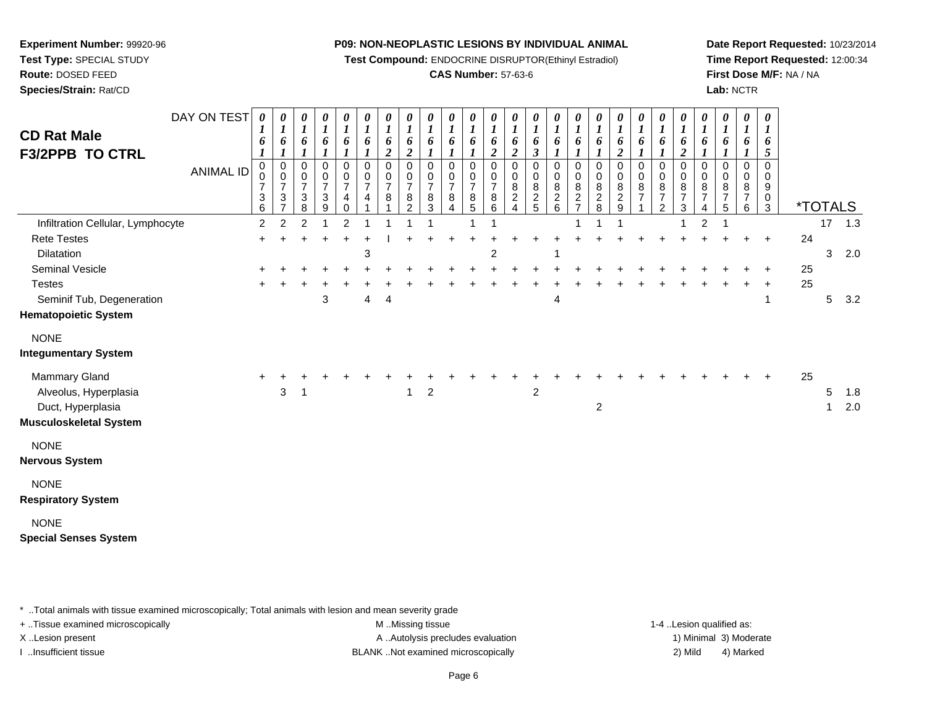**Test Compound:** ENDOCRINE DISRUPTOR(Ethinyl Estradiol)

# **CAS Number:** 57-63-6

**Date Report Requested:** 10/23/2014**Time Report Requested:** 12:00:34**First Dose M/F:** NA / NA**Lab:** NCTR

| <b>CD Rat Male</b><br><b>F3/2PPB TO CTRL</b>                                          | DAY ON TEST      | $\boldsymbol{\theta}$<br>6 | 0<br>$\boldsymbol{l}$<br>6                                              | 0<br>$\boldsymbol{l}$<br>6         | 0<br>$\boldsymbol{l}$<br>6<br>$\boldsymbol{l}$ | 0<br>$\boldsymbol{l}$<br>6                   | 0<br>$\boldsymbol{l}$<br>6    | 0<br>$\boldsymbol{l}$<br>6<br>$\boldsymbol{2}$ | 0<br>$\boldsymbol{l}$<br>6<br>$\boldsymbol{2}$         | $\boldsymbol{\theta}$<br>6 | 0<br>$\boldsymbol{l}$<br>6         | 0<br>$\boldsymbol{l}$<br>6                                        | 0<br>$\boldsymbol{l}$<br>6<br>$\boldsymbol{2}$ | $\boldsymbol{\theta}$<br>$\boldsymbol{l}$<br>6<br>$\boldsymbol{2}$ | 0<br>$\boldsymbol{l}$<br>6<br>$\boldsymbol{\beta}$ | 0<br>$\boldsymbol{l}$<br>6<br>$\boldsymbol{l}$ | 0<br>$\boldsymbol{l}$<br>6                | 0<br>$\boldsymbol{l}$<br>6         | $\frac{\boldsymbol{\theta}}{\boldsymbol{I}}$<br>6<br>$\boldsymbol{2}$ | $\frac{\theta}{I}$<br>6<br>$\mathbf{I}$      | 0<br>$\boldsymbol{l}$<br>6                              | 0<br>$\boldsymbol{l}$<br>6<br>$\boldsymbol{2}$               | 0<br>$\boldsymbol{l}$<br>6         | 0<br>$\boldsymbol{l}$<br>6                    | 0<br>$\boldsymbol{l}$<br>6         | $\boldsymbol{\theta}$<br>$\boldsymbol{l}$<br>6<br>5  |    |         |            |
|---------------------------------------------------------------------------------------|------------------|----------------------------|-------------------------------------------------------------------------|------------------------------------|------------------------------------------------|----------------------------------------------|-------------------------------|------------------------------------------------|--------------------------------------------------------|----------------------------|------------------------------------|-------------------------------------------------------------------|------------------------------------------------|--------------------------------------------------------------------|----------------------------------------------------|------------------------------------------------|-------------------------------------------|------------------------------------|-----------------------------------------------------------------------|----------------------------------------------|---------------------------------------------------------|--------------------------------------------------------------|------------------------------------|-----------------------------------------------|------------------------------------|------------------------------------------------------|----|---------|------------|
|                                                                                       | <b>ANIMAL ID</b> | 0<br>0<br>7<br>3<br>6      | 0<br>0<br>$\overline{7}$<br>$\ensuremath{\mathsf{3}}$<br>$\overline{7}$ | 0<br>0<br>$\overline{7}$<br>3<br>8 | 0<br>$\pmb{0}$<br>$\overline{7}$<br>$_9^3$     | 0<br>0<br>$\overline{7}$<br>4<br>$\mathbf 0$ | 0<br>0<br>$\overline{7}$<br>4 | 0<br>0<br>$\overline{7}$<br>8                  | $\Omega$<br>0<br>$\overline{7}$<br>8<br>$\overline{2}$ | 0<br>0<br>7<br>8<br>3      | 0<br>0<br>$\overline{7}$<br>8<br>4 | 0<br>0<br>$\overline{7}$<br>$\begin{array}{c} 8 \\ 5 \end{array}$ | 0<br>0<br>$\overline{7}$<br>8<br>6             | 0<br>$\mathbf 0$<br>8<br>$\overline{c}$<br>$\overline{4}$          | 0<br>0<br>8<br>$\frac{2}{5}$                       | 0<br>0<br>8<br>$\frac{2}{6}$                   | 0<br>0<br>$\frac{8}{2}$<br>$\overline{7}$ | 0<br>0<br>8<br>$\overline{2}$<br>8 | 0<br>$\pmb{0}$<br>$\begin{array}{c} 8 \\ 2 \\ 9 \end{array}$          | 0<br>$\mathsf 0$<br>8<br>$\overline{7}$<br>1 | 0<br>$\pmb{0}$<br>8<br>$\overline{7}$<br>$\overline{c}$ | 0<br>0<br>8<br>$\boldsymbol{7}$<br>$\ensuremath{\mathsf{3}}$ | 0<br>0<br>8<br>$\overline{7}$<br>4 | 0<br>0<br>8<br>$\boldsymbol{7}$<br>$\sqrt{5}$ | 0<br>0<br>8<br>$\overline{7}$<br>6 | $\mathbf 0$<br>$\mathbf 0$<br>9<br>0<br>$\mathbf{3}$ |    |         | *TOTALS    |
| Infiltration Cellular, Lymphocyte                                                     |                  | $\overline{2}$             | $\overline{2}$                                                          | $\overline{2}$                     |                                                | $\overline{2}$                               |                               |                                                |                                                        |                            |                                    |                                                                   |                                                |                                                                    |                                                    |                                                |                                           |                                    |                                                                       |                                              |                                                         | 1                                                            | $\overline{c}$                     | 1                                             |                                    |                                                      |    |         | $17$ 1.3   |
| <b>Rete Testes</b>                                                                    |                  |                            |                                                                         |                                    |                                                |                                              |                               |                                                |                                                        |                            |                                    |                                                                   |                                                |                                                                    |                                                    |                                                |                                           |                                    |                                                                       |                                              |                                                         |                                                              |                                    |                                               |                                    | $\ddot{}$                                            | 24 |         |            |
| Dilatation                                                                            |                  |                            |                                                                         |                                    |                                                |                                              | 3                             |                                                |                                                        |                            |                                    |                                                                   | $\overline{c}$                                 |                                                                    |                                                    | 1                                              |                                           |                                    |                                                                       |                                              |                                                         |                                                              |                                    |                                               |                                    |                                                      |    | 3       | 2.0        |
| Seminal Vesicle                                                                       |                  |                            |                                                                         |                                    |                                                |                                              |                               |                                                |                                                        |                            |                                    |                                                                   |                                                |                                                                    |                                                    |                                                |                                           |                                    |                                                                       |                                              |                                                         |                                                              |                                    |                                               |                                    |                                                      | 25 |         |            |
| <b>Testes</b>                                                                         |                  |                            |                                                                         |                                    |                                                |                                              |                               |                                                |                                                        |                            |                                    |                                                                   |                                                |                                                                    |                                                    |                                                |                                           |                                    |                                                                       |                                              |                                                         |                                                              |                                    |                                               |                                    |                                                      | 25 |         |            |
| Seminif Tub, Degeneration                                                             |                  |                            |                                                                         |                                    | 3                                              |                                              | 4                             | 4                                              |                                                        |                            |                                    |                                                                   |                                                |                                                                    |                                                    | 4                                              |                                           |                                    |                                                                       |                                              |                                                         |                                                              |                                    |                                               |                                    | -1                                                   |    | 5       | 3.2        |
| <b>Hematopoietic System</b>                                                           |                  |                            |                                                                         |                                    |                                                |                                              |                               |                                                |                                                        |                            |                                    |                                                                   |                                                |                                                                    |                                                    |                                                |                                           |                                    |                                                                       |                                              |                                                         |                                                              |                                    |                                               |                                    |                                                      |    |         |            |
| <b>NONE</b>                                                                           |                  |                            |                                                                         |                                    |                                                |                                              |                               |                                                |                                                        |                            |                                    |                                                                   |                                                |                                                                    |                                                    |                                                |                                           |                                    |                                                                       |                                              |                                                         |                                                              |                                    |                                               |                                    |                                                      |    |         |            |
| <b>Integumentary System</b>                                                           |                  |                            |                                                                         |                                    |                                                |                                              |                               |                                                |                                                        |                            |                                    |                                                                   |                                                |                                                                    |                                                    |                                                |                                           |                                    |                                                                       |                                              |                                                         |                                                              |                                    |                                               |                                    |                                                      |    |         |            |
| Mammary Gland<br>Alveolus, Hyperplasia<br>Duct, Hyperplasia<br>Musculoskeletal System |                  |                            | 3                                                                       |                                    |                                                |                                              |                               |                                                |                                                        | $\overline{2}$             |                                    |                                                                   |                                                |                                                                    | $\overline{2}$                                     |                                                |                                           | $\overline{c}$                     |                                                                       |                                              |                                                         |                                                              |                                    |                                               |                                    |                                                      | 25 | 5<br>-1 | 1.8<br>2.0 |
| <b>NONE</b><br>Nervous System                                                         |                  |                            |                                                                         |                                    |                                                |                                              |                               |                                                |                                                        |                            |                                    |                                                                   |                                                |                                                                    |                                                    |                                                |                                           |                                    |                                                                       |                                              |                                                         |                                                              |                                    |                                               |                                    |                                                      |    |         |            |
| <b>NONE</b><br><b>Respiratory System</b>                                              |                  |                            |                                                                         |                                    |                                                |                                              |                               |                                                |                                                        |                            |                                    |                                                                   |                                                |                                                                    |                                                    |                                                |                                           |                                    |                                                                       |                                              |                                                         |                                                              |                                    |                                               |                                    |                                                      |    |         |            |
| <b>NONE</b><br><b>Special Senses System</b>                                           |                  |                            |                                                                         |                                    |                                                |                                              |                               |                                                |                                                        |                            |                                    |                                                                   |                                                |                                                                    |                                                    |                                                |                                           |                                    |                                                                       |                                              |                                                         |                                                              |                                    |                                               |                                    |                                                      |    |         |            |

\* ..Total animals with tissue examined microscopically; Total animals with lesion and mean severity grade

+ ..Tissue examined microscopically examined microscopically examined as:  $M$  ..Missing tissue 1-4 ..Lesion qualified as:

**Experiment Number:** 99920-96**Test Type:** SPECIAL STUDY**Route:** DOSED FEED**Species/Strain:** Rat/CD

X..Lesion present **A ..Autolysis precludes evaluation** A ..Autolysis precludes evaluation 1) Minimal 3) Moderate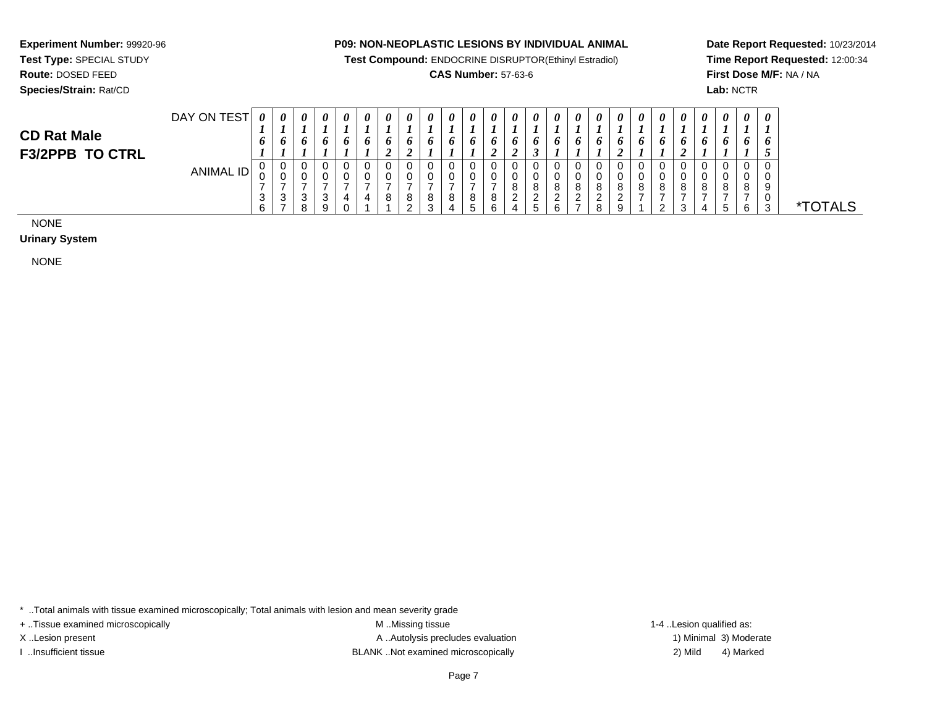**Test Compound:** ENDOCRINE DISRUPTOR(Ethinyl Estradiol)

# **CAS Number:** 57-63-6

**Date Report Requested:** 10/23/2014**Time Report Requested:** 12:00:34**First Dose M/F:** NA / NA**Lab:** NCTR

**Experiment Number:** 99920-96**Test Type:** SPECIAL STUDY

| <b>CD Rat Male</b>     | DAY ON TEST | $\boldsymbol{\theta}$ | 0       |   | 0 | $\theta$<br>o | $\boldsymbol{\theta}$<br>o | $\boldsymbol{\theta}$<br>$\bm{o}$ | $\boldsymbol{\theta}$<br>$\bm{o}$ | $\boldsymbol{\theta}$<br>o | $\boldsymbol{\theta}$<br>o | 0<br>o | $\boldsymbol{\theta}$<br>$\bm{o}$ | 0                  |    | $\boldsymbol{\theta}$ | $\boldsymbol{\theta}$ | $\theta$<br>0 | $\boldsymbol{\theta}$<br>$\bm{o}$ | $\boldsymbol{\theta}$<br>o | $\boldsymbol{\theta}$<br>$\bm{o}$ | $\theta$<br>o | $\boldsymbol{\theta}$<br>o | 0<br>o | 0<br>-<br>$\bm{o}$    |            |
|------------------------|-------------|-----------------------|---------|---|---|---------------|----------------------------|-----------------------------------|-----------------------------------|----------------------------|----------------------------|--------|-----------------------------------|--------------------|----|-----------------------|-----------------------|---------------|-----------------------------------|----------------------------|-----------------------------------|---------------|----------------------------|--------|-----------------------|------------|
| <b>F3/2PPB TO CTRL</b> | ANIMAL ID   | U                     | ັບ      | ◡ |   |               |                            | U                                 | $\epsilon$<br>◡                   |                            |                            | U      | ◢<br>U                            | ◢<br>U             | ັບ |                       |                       | O             |                                   | v                          |                                   | 0             | 0                          |        | 0                     |            |
|                        |             | $\sim$<br>U<br>ັ      | ັບ<br>J | ν |   | д.            |                            | $\circ$<br>O                      | ັ<br>8                            | u<br>8                     | 8                          | 0<br>8 | U<br>8                            | o<br>o<br><u>.</u> |    |                       |                       | 8             | 8                                 | 8                          | 8                                 | 8             | 8                          | 8      | $\sim$<br>v<br>9<br>v |            |
|                        |             | c                     |         |   | Q |               |                            |                                   |                                   |                            |                            | 5      | c<br>O                            |                    |    |                       |                       | a             |                                   | ົ<br><u>.</u>              |                                   |               |                            | ี      | વ<br>J                | <b>ALS</b> |

NONE

**Urinary System**

NONE

\* ..Total animals with tissue examined microscopically; Total animals with lesion and mean severity grade

+ ..Tissue examined microscopically examined microscopically examined as:  $M$  ..Missing tissue 1-4 ..Lesion qualified as:

X..Lesion present **A ..Autolysis precludes evaluation** A ..Autolysis precludes evaluation 1) Minimal 3) Moderate I ..Insufficient tissue BLANK ..Not examined microscopically 2) Mild 4) Marked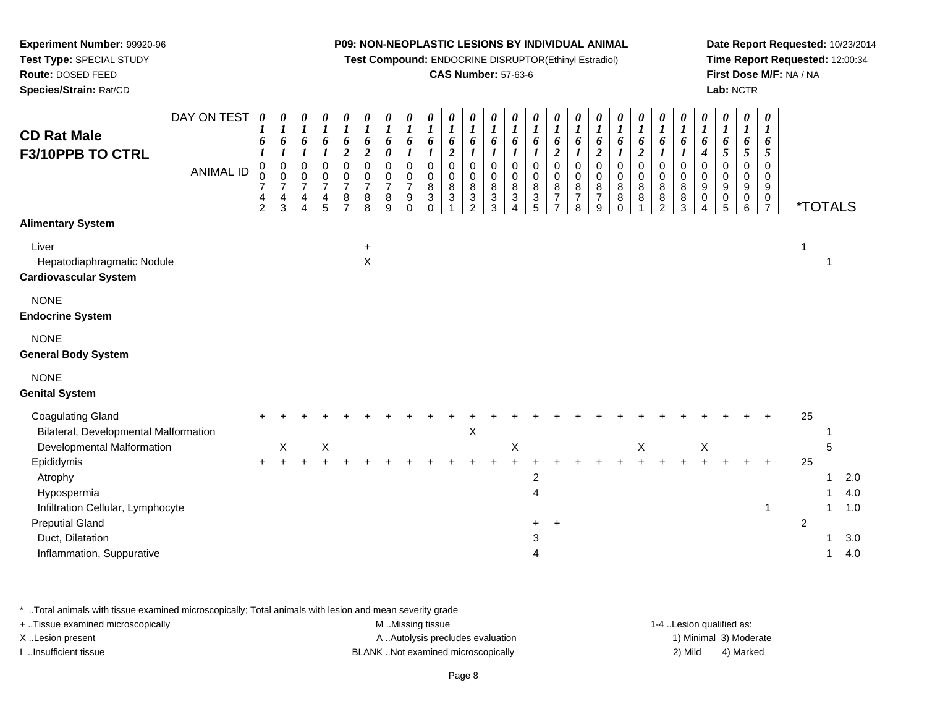**Test Compound:** ENDOCRINE DISRUPTOR(Ethinyl Estradiol)

# **CAS Number:** 57-63-6

**Date Report Requested:** 10/23/2014**Time Report Requested:** 12:00:34**First Dose M/F:** NA / NA**Lab:** NCTR

| <b>CD Rat Male</b><br>F3/10PPB TO CTRL                              | DAY ON TEST<br><b>ANIMAL ID</b> | $\boldsymbol{\theta}$<br>6<br>$\boldsymbol{l}$<br>$\mathbf 0$<br>0<br>$\overline{7}$<br>4<br>$\overline{2}$ | 0<br>$\boldsymbol{l}$<br>6<br>$\boldsymbol{l}$<br>$\pmb{0}$<br>$\pmb{0}$<br>$\overline{7}$<br>4<br>3 | $\boldsymbol{\theta}$<br>$\boldsymbol{l}$<br>6<br>$\boldsymbol{l}$<br>$\mathsf 0$<br>$\pmb{0}$<br>$\overline{7}$<br>4<br>$\overline{4}$ | $\begin{matrix} 0 \\ 1 \end{matrix}$<br>6<br>$\boldsymbol{l}$<br>0<br>$\frac{0}{7}$<br>$\frac{4}{5}$ | 0<br>$\boldsymbol{l}$<br>$\boldsymbol{6}$<br>$\boldsymbol{2}$<br>0<br>$\frac{0}{7}$<br>$\frac{8}{7}$ | 0<br>$\boldsymbol{l}$<br>$\boldsymbol{6}$<br>$\boldsymbol{2}$<br>$\mathbf 0$<br>$\mathbf 0$<br>$\overline{7}$<br>8<br>8 | 0<br>$\boldsymbol{l}$<br>6<br>$\boldsymbol{\theta}$<br>$\mathbf 0$<br>0<br>$\overline{7}$<br>8<br>9 | 0<br>$\boldsymbol{l}$<br>6<br>$\boldsymbol{l}$<br>$\Omega$<br>0<br>$\overline{7}$<br>9<br>$\mathbf 0$ | $\boldsymbol{\theta}$<br>$\boldsymbol{l}$<br>6<br>$\boldsymbol{l}$<br>$\mathbf 0$<br>0<br>8<br>3<br>$\Omega$ | 0<br>$\boldsymbol{l}$<br>6<br>$\boldsymbol{2}$<br>$\Omega$<br>0<br>$^8_3$ | 0<br>1<br>6<br>$\boldsymbol{l}$<br>0<br>0<br>8<br>3<br>$\overline{2}$ | $\boldsymbol{\theta}$<br>$\boldsymbol{l}$<br>6<br>$\boldsymbol{l}$<br>$\mathbf 0$<br>$\mathbf 0$<br>$\bf 8$<br>$\mathbf{3}$<br>$\overline{3}$ | 0<br>$\boldsymbol{l}$<br>6<br>$\boldsymbol{\mathcal{I}}$<br>$\mathbf 0$<br>$\pmb{0}$<br>$\bf 8$<br>$\ensuremath{\mathsf{3}}$<br>4 | 0<br>$\boldsymbol{l}$<br>6<br>$\boldsymbol{l}$<br>$\mathbf 0$<br>$\pmb{0}$<br>8<br>$\frac{3}{5}$ | 0<br>$\boldsymbol{l}$<br>6<br>$\boldsymbol{2}$<br>$\mathbf 0$<br>$\mathbf 0$<br>$\begin{array}{c} 8 \\ 7 \end{array}$<br>$\overline{7}$ | 0<br>$\boldsymbol{l}$<br>6<br>1<br>$\mathbf 0$<br>$\pmb{0}$<br>$\begin{array}{c} 8 \\ 7 \end{array}$<br>8 | 0<br>$\boldsymbol{l}$<br>6<br>$\boldsymbol{2}$<br>0<br>$\mathbf 0$<br>8<br>$\overline{7}$<br>9 | 0<br>$\boldsymbol{l}$<br>6<br>0<br>$\boldsymbol{0}$<br>8<br>8<br>$\mathbf 0$ | $\boldsymbol{\theta}$<br>$\boldsymbol{l}$<br>6<br>$\boldsymbol{2}$<br>$\Omega$<br>0<br>8<br>8<br>1 | 0<br>$\boldsymbol{l}$<br>6<br>$\boldsymbol{l}$<br>$\Omega$<br>0<br>8<br>8<br>$\overline{2}$ | $\boldsymbol{\theta}$<br>$\boldsymbol{l}$<br>6<br>$\boldsymbol{I}$<br>$\Omega$<br>$\mathbf 0$<br>$\bf 8$<br>$^8_3$ | $\boldsymbol{\theta}$<br>$\boldsymbol{l}$<br>6<br>$\boldsymbol{4}$<br>$\Omega$<br>0<br>9<br>$\mathbf 0$<br>4 | 0<br>$\boldsymbol{l}$<br>6<br>5<br>$\mathbf 0$<br>0<br>$\boldsymbol{9}$<br>$\begin{array}{c} 0 \\ 5 \end{array}$ | 0<br>$\boldsymbol{l}$<br>6<br>$5\phantom{.0}$<br>$\Omega$<br>0<br>9<br>0<br>6 | 0<br>1<br>6<br>5<br>$\Omega$<br>$\Omega$<br>9<br>0<br>$\overline{7}$ |                | <i><b>*TOTALS</b></i> |            |
|---------------------------------------------------------------------|---------------------------------|-------------------------------------------------------------------------------------------------------------|------------------------------------------------------------------------------------------------------|-----------------------------------------------------------------------------------------------------------------------------------------|------------------------------------------------------------------------------------------------------|------------------------------------------------------------------------------------------------------|-------------------------------------------------------------------------------------------------------------------------|-----------------------------------------------------------------------------------------------------|-------------------------------------------------------------------------------------------------------|--------------------------------------------------------------------------------------------------------------|---------------------------------------------------------------------------|-----------------------------------------------------------------------|-----------------------------------------------------------------------------------------------------------------------------------------------|-----------------------------------------------------------------------------------------------------------------------------------|--------------------------------------------------------------------------------------------------|-----------------------------------------------------------------------------------------------------------------------------------------|-----------------------------------------------------------------------------------------------------------|------------------------------------------------------------------------------------------------|------------------------------------------------------------------------------|----------------------------------------------------------------------------------------------------|---------------------------------------------------------------------------------------------|--------------------------------------------------------------------------------------------------------------------|--------------------------------------------------------------------------------------------------------------|------------------------------------------------------------------------------------------------------------------|-------------------------------------------------------------------------------|----------------------------------------------------------------------|----------------|-----------------------|------------|
| <b>Alimentary System</b>                                            |                                 |                                                                                                             |                                                                                                      |                                                                                                                                         |                                                                                                      |                                                                                                      |                                                                                                                         |                                                                                                     |                                                                                                       |                                                                                                              |                                                                           |                                                                       |                                                                                                                                               |                                                                                                                                   |                                                                                                  |                                                                                                                                         |                                                                                                           |                                                                                                |                                                                              |                                                                                                    |                                                                                             |                                                                                                                    |                                                                                                              |                                                                                                                  |                                                                               |                                                                      |                |                       |            |
| Liver<br>Hepatodiaphragmatic Nodule<br><b>Cardiovascular System</b> |                                 |                                                                                                             |                                                                                                      |                                                                                                                                         |                                                                                                      |                                                                                                      | $\ddot{}$<br>X                                                                                                          |                                                                                                     |                                                                                                       |                                                                                                              |                                                                           |                                                                       |                                                                                                                                               |                                                                                                                                   |                                                                                                  |                                                                                                                                         |                                                                                                           |                                                                                                |                                                                              |                                                                                                    |                                                                                             |                                                                                                                    |                                                                                                              |                                                                                                                  |                                                                               |                                                                      | 1              |                       |            |
| <b>NONE</b><br><b>Endocrine System</b>                              |                                 |                                                                                                             |                                                                                                      |                                                                                                                                         |                                                                                                      |                                                                                                      |                                                                                                                         |                                                                                                     |                                                                                                       |                                                                                                              |                                                                           |                                                                       |                                                                                                                                               |                                                                                                                                   |                                                                                                  |                                                                                                                                         |                                                                                                           |                                                                                                |                                                                              |                                                                                                    |                                                                                             |                                                                                                                    |                                                                                                              |                                                                                                                  |                                                                               |                                                                      |                |                       |            |
| <b>NONE</b><br><b>General Body System</b>                           |                                 |                                                                                                             |                                                                                                      |                                                                                                                                         |                                                                                                      |                                                                                                      |                                                                                                                         |                                                                                                     |                                                                                                       |                                                                                                              |                                                                           |                                                                       |                                                                                                                                               |                                                                                                                                   |                                                                                                  |                                                                                                                                         |                                                                                                           |                                                                                                |                                                                              |                                                                                                    |                                                                                             |                                                                                                                    |                                                                                                              |                                                                                                                  |                                                                               |                                                                      |                |                       |            |
| <b>NONE</b><br><b>Genital System</b>                                |                                 |                                                                                                             |                                                                                                      |                                                                                                                                         |                                                                                                      |                                                                                                      |                                                                                                                         |                                                                                                     |                                                                                                       |                                                                                                              |                                                                           |                                                                       |                                                                                                                                               |                                                                                                                                   |                                                                                                  |                                                                                                                                         |                                                                                                           |                                                                                                |                                                                              |                                                                                                    |                                                                                             |                                                                                                                    |                                                                                                              |                                                                                                                  |                                                                               |                                                                      |                |                       |            |
| <b>Coagulating Gland</b><br>Bilateral, Developmental Malformation   |                                 |                                                                                                             |                                                                                                      |                                                                                                                                         |                                                                                                      |                                                                                                      |                                                                                                                         |                                                                                                     |                                                                                                       |                                                                                                              |                                                                           | X                                                                     |                                                                                                                                               |                                                                                                                                   |                                                                                                  |                                                                                                                                         |                                                                                                           |                                                                                                |                                                                              |                                                                                                    |                                                                                             |                                                                                                                    |                                                                                                              |                                                                                                                  |                                                                               |                                                                      | 25             |                       |            |
| Developmental Malformation<br>Epididymis                            |                                 | $+$                                                                                                         | X                                                                                                    |                                                                                                                                         | X                                                                                                    |                                                                                                      |                                                                                                                         |                                                                                                     |                                                                                                       |                                                                                                              |                                                                           |                                                                       |                                                                                                                                               | X                                                                                                                                 |                                                                                                  |                                                                                                                                         |                                                                                                           |                                                                                                |                                                                              | X                                                                                                  |                                                                                             |                                                                                                                    | $\boldsymbol{\mathsf{X}}$                                                                                    |                                                                                                                  |                                                                               | $+$                                                                  | 25             | 5                     |            |
| Atrophy                                                             |                                 |                                                                                                             |                                                                                                      |                                                                                                                                         |                                                                                                      |                                                                                                      |                                                                                                                         |                                                                                                     |                                                                                                       |                                                                                                              |                                                                           |                                                                       |                                                                                                                                               |                                                                                                                                   | $\overline{c}$                                                                                   |                                                                                                                                         |                                                                                                           |                                                                                                |                                                                              |                                                                                                    |                                                                                             |                                                                                                                    |                                                                                                              |                                                                                                                  |                                                                               |                                                                      |                | 1                     | 2.0        |
| Hypospermia                                                         |                                 |                                                                                                             |                                                                                                      |                                                                                                                                         |                                                                                                      |                                                                                                      |                                                                                                                         |                                                                                                     |                                                                                                       |                                                                                                              |                                                                           |                                                                       |                                                                                                                                               |                                                                                                                                   | 4                                                                                                |                                                                                                                                         |                                                                                                           |                                                                                                |                                                                              |                                                                                                    |                                                                                             |                                                                                                                    |                                                                                                              |                                                                                                                  |                                                                               |                                                                      |                | 1                     | 4.0        |
| Infiltration Cellular, Lymphocyte                                   |                                 |                                                                                                             |                                                                                                      |                                                                                                                                         |                                                                                                      |                                                                                                      |                                                                                                                         |                                                                                                     |                                                                                                       |                                                                                                              |                                                                           |                                                                       |                                                                                                                                               |                                                                                                                                   |                                                                                                  |                                                                                                                                         |                                                                                                           |                                                                                                |                                                                              |                                                                                                    |                                                                                             |                                                                                                                    |                                                                                                              |                                                                                                                  |                                                                               | 1                                                                    |                | 1                     | 1.0        |
| <b>Preputial Gland</b>                                              |                                 |                                                                                                             |                                                                                                      |                                                                                                                                         |                                                                                                      |                                                                                                      |                                                                                                                         |                                                                                                     |                                                                                                       |                                                                                                              |                                                                           |                                                                       |                                                                                                                                               |                                                                                                                                   | +                                                                                                | $\ddot{}$                                                                                                                               |                                                                                                           |                                                                                                |                                                                              |                                                                                                    |                                                                                             |                                                                                                                    |                                                                                                              |                                                                                                                  |                                                                               |                                                                      | $\overline{c}$ |                       |            |
| Duct, Dilatation<br>Inflammation, Suppurative                       |                                 |                                                                                                             |                                                                                                      |                                                                                                                                         |                                                                                                      |                                                                                                      |                                                                                                                         |                                                                                                     |                                                                                                       |                                                                                                              |                                                                           |                                                                       |                                                                                                                                               |                                                                                                                                   | 3<br>4                                                                                           |                                                                                                                                         |                                                                                                           |                                                                                                |                                                                              |                                                                                                    |                                                                                             |                                                                                                                    |                                                                                                              |                                                                                                                  |                                                                               |                                                                      |                | 1<br>1                | 3.0<br>4.0 |

\* ..Total animals with tissue examined microscopically; Total animals with lesion and mean severity grade

**Experiment Number:** 99920-96**Test Type:** SPECIAL STUDY**Route:** DOSED FEED**Species/Strain:** Rat/CD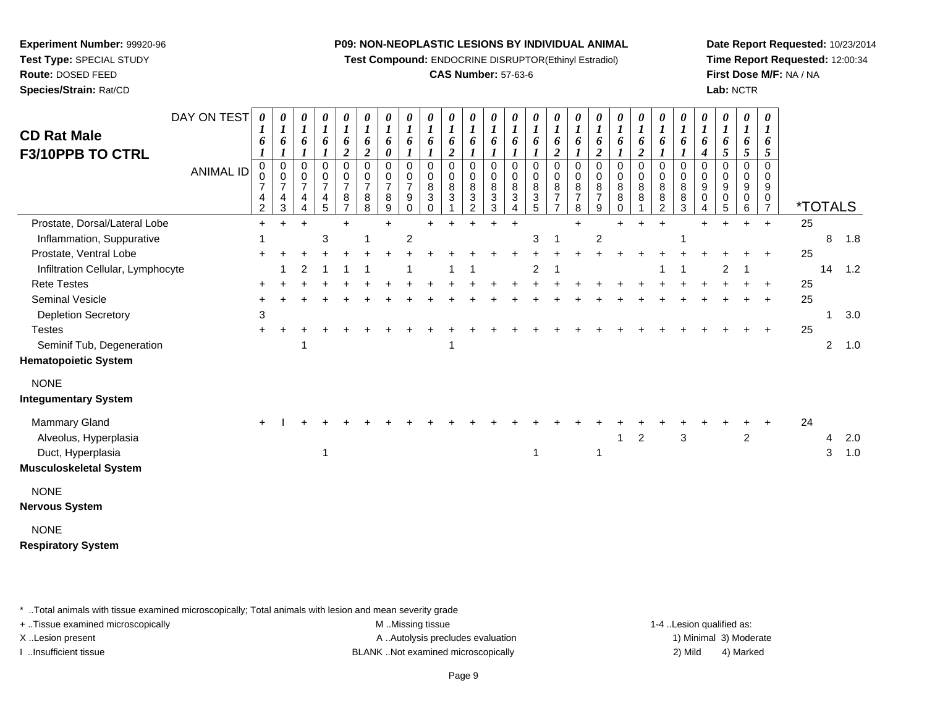**Test Compound:** ENDOCRINE DISRUPTOR(Ethinyl Estradiol)

# **CAS Number:** 57-63-6

**Date Report Requested:** 10/23/2014**Time Report Requested:** 12:00:34**First Dose M/F:** NA / NA**Lab:** NCTR

| <b>CD Rat Male</b><br>F3/10PPB TO CTRL | DAY ON TEST<br><b>ANIMAL ID</b> | 6<br>$\mathbf 0$<br>0<br>$\overline{7}$<br>4<br>$\overline{2}$ | 0<br>6<br>$\pmb{0}$<br>$\pmb{0}$<br>$\overline{7}$<br>4<br>3 | 0<br>$\boldsymbol{l}$<br>6<br>$\boldsymbol{l}$<br>0<br>$\pmb{0}$<br>$\overline{7}$<br>4<br>4 | 0<br>$\boldsymbol{l}$<br>6<br>1<br>0<br>$\pmb{0}$<br>$\overline{7}$<br>4<br>5 | 0<br>$\boldsymbol{l}$<br>6<br>$\overline{2}$<br>$\mathbf 0$<br>$\mathbf 0$<br>$\overline{7}$<br>8<br>$\overline{7}$ | 0<br>$\boldsymbol{l}$<br>6<br>$\overline{2}$<br>$\pmb{0}$<br>$\mathbf 0$<br>$\overline{7}$<br>8<br>8 | 0<br>$\boldsymbol{l}$<br>6<br>$\pmb{\theta}$<br>0<br>0<br>$\overline{7}$<br>8<br>9 | 0<br>$\boldsymbol{l}$<br>6<br>$\boldsymbol{l}$<br>$\mathbf 0$<br>0<br>$\overline{7}$<br>9<br>0 | $\boldsymbol{\theta}$<br>$\boldsymbol{l}$<br>6<br>$\boldsymbol{l}$<br>0<br>$\mathbf 0$<br>8<br>3<br>0 | $\begin{matrix} 0 \\ 1 \end{matrix}$<br>6<br>$\overline{2}$<br>$\mathbf 0$<br>$\pmb{0}$<br>8<br>$\mathfrak{S}$ | 0<br>$\boldsymbol{l}$<br>6<br>0<br>0<br>$\bf 8$<br>$\overline{3}$<br>$\overline{2}$ | 0<br>$\boldsymbol{l}$<br>6<br>0<br>0<br>$\bf 8$<br>$\sqrt{3}$<br>3 | $\boldsymbol{l}$<br>6<br>0<br>0<br>8<br>3 | 0<br>6<br>0<br>0<br>8<br>3<br>5 | 0<br>$\boldsymbol{l}$<br>6<br>$\boldsymbol{2}$<br>$\mathbf 0$<br>0<br>8<br>$\overline{7}$<br>$\overline{ }$ | $\boldsymbol{l}$<br>6<br>$\boldsymbol{l}$<br>$\pmb{0}$<br>$\mathbf 0$<br>8<br>7<br>8 | $\boldsymbol{\theta}$<br>$\boldsymbol{l}$<br>6<br>$\overline{\mathbf{c}}$<br>$\pmb{0}$<br>$\pmb{0}$<br>8<br>$\overline{7}$<br>9 | 0<br>$\boldsymbol{l}$<br>6<br>$\boldsymbol{l}$<br>0<br>$\mathbf 0$<br>8<br>8<br>0 | 0<br>$\boldsymbol{l}$<br>6<br>$\overline{2}$<br>0<br>0<br>$\bf 8$<br>$\,8\,$ | 0<br>$\boldsymbol{l}$<br>6<br>1<br>$\mathbf 0$<br>$\mathbf 0$<br>$\,8\,$<br>8<br>2 | 0<br>$\boldsymbol{l}$<br>6<br>$\mathbf 0$<br>$\mathbf 0$<br>8<br>8<br>3 | 0<br>$\boldsymbol{l}$<br>6<br>4<br>0<br>$\Omega$<br>9<br>0<br>4 | 0<br>$\boldsymbol{l}$<br>6<br>5<br>0<br>0<br>9<br>0<br>5 | 0<br>$\boldsymbol{l}$<br>6<br>5<br>0<br>0<br>9<br>0<br>6 | $\pmb{\theta}$<br>6<br>5<br>$\pmb{0}$<br>0<br>$\boldsymbol{9}$<br>0<br>$\overline{7}$ | <i><b>*TOTALS</b></i> |                |     |
|----------------------------------------|---------------------------------|----------------------------------------------------------------|--------------------------------------------------------------|----------------------------------------------------------------------------------------------|-------------------------------------------------------------------------------|---------------------------------------------------------------------------------------------------------------------|------------------------------------------------------------------------------------------------------|------------------------------------------------------------------------------------|------------------------------------------------------------------------------------------------|-------------------------------------------------------------------------------------------------------|----------------------------------------------------------------------------------------------------------------|-------------------------------------------------------------------------------------|--------------------------------------------------------------------|-------------------------------------------|---------------------------------|-------------------------------------------------------------------------------------------------------------|--------------------------------------------------------------------------------------|---------------------------------------------------------------------------------------------------------------------------------|-----------------------------------------------------------------------------------|------------------------------------------------------------------------------|------------------------------------------------------------------------------------|-------------------------------------------------------------------------|-----------------------------------------------------------------|----------------------------------------------------------|----------------------------------------------------------|---------------------------------------------------------------------------------------|-----------------------|----------------|-----|
| Prostate, Dorsal/Lateral Lobe          |                                 | $\ddot{}$                                                      |                                                              |                                                                                              |                                                                               | $\div$                                                                                                              |                                                                                                      | $\ddot{}$                                                                          |                                                                                                |                                                                                                       |                                                                                                                |                                                                                     |                                                                    | $\ddot{}$                                 |                                 |                                                                                                             |                                                                                      |                                                                                                                                 |                                                                                   |                                                                              | ÷                                                                                  |                                                                         |                                                                 |                                                          |                                                          | $\ddot{}$                                                                             | 25                    |                |     |
| Inflammation, Suppurative              |                                 |                                                                |                                                              |                                                                                              | 3                                                                             |                                                                                                                     |                                                                                                      |                                                                                    | $\overline{c}$                                                                                 |                                                                                                       |                                                                                                                |                                                                                     |                                                                    |                                           | 3                               |                                                                                                             |                                                                                      | $\overline{c}$                                                                                                                  |                                                                                   |                                                                              |                                                                                    |                                                                         |                                                                 |                                                          |                                                          |                                                                                       |                       | 8              | 1.8 |
| Prostate, Ventral Lobe                 |                                 |                                                                |                                                              |                                                                                              |                                                                               |                                                                                                                     |                                                                                                      |                                                                                    |                                                                                                |                                                                                                       |                                                                                                                |                                                                                     |                                                                    |                                           |                                 |                                                                                                             |                                                                                      |                                                                                                                                 |                                                                                   |                                                                              |                                                                                    |                                                                         |                                                                 |                                                          |                                                          |                                                                                       | 25                    |                |     |
| Infiltration Cellular, Lymphocyte      |                                 |                                                                |                                                              | 2                                                                                            |                                                                               |                                                                                                                     |                                                                                                      |                                                                                    |                                                                                                |                                                                                                       |                                                                                                                |                                                                                     |                                                                    |                                           | $\overline{2}$                  |                                                                                                             |                                                                                      |                                                                                                                                 |                                                                                   |                                                                              |                                                                                    |                                                                         |                                                                 | 2                                                        |                                                          |                                                                                       |                       | 14             | 1.2 |
| <b>Rete Testes</b>                     |                                 |                                                                |                                                              |                                                                                              |                                                                               |                                                                                                                     |                                                                                                      |                                                                                    |                                                                                                |                                                                                                       |                                                                                                                |                                                                                     |                                                                    |                                           |                                 |                                                                                                             |                                                                                      |                                                                                                                                 |                                                                                   |                                                                              |                                                                                    |                                                                         |                                                                 |                                                          |                                                          |                                                                                       | 25                    |                |     |
| <b>Seminal Vesicle</b>                 |                                 |                                                                |                                                              |                                                                                              |                                                                               |                                                                                                                     |                                                                                                      |                                                                                    |                                                                                                |                                                                                                       |                                                                                                                |                                                                                     |                                                                    |                                           |                                 |                                                                                                             |                                                                                      |                                                                                                                                 |                                                                                   |                                                                              |                                                                                    |                                                                         |                                                                 |                                                          |                                                          | $\ddot{}$                                                                             | 25                    |                |     |
| <b>Depletion Secretory</b>             |                                 | 3                                                              |                                                              |                                                                                              |                                                                               |                                                                                                                     |                                                                                                      |                                                                                    |                                                                                                |                                                                                                       |                                                                                                                |                                                                                     |                                                                    |                                           |                                 |                                                                                                             |                                                                                      |                                                                                                                                 |                                                                                   |                                                                              |                                                                                    |                                                                         |                                                                 |                                                          |                                                          |                                                                                       |                       | 1              | 3.0 |
| <b>Testes</b>                          |                                 |                                                                |                                                              |                                                                                              |                                                                               |                                                                                                                     |                                                                                                      |                                                                                    |                                                                                                |                                                                                                       |                                                                                                                |                                                                                     |                                                                    |                                           |                                 |                                                                                                             |                                                                                      |                                                                                                                                 |                                                                                   |                                                                              |                                                                                    |                                                                         |                                                                 |                                                          |                                                          |                                                                                       | 25                    |                |     |
| Seminif Tub, Degeneration              |                                 |                                                                |                                                              |                                                                                              |                                                                               |                                                                                                                     |                                                                                                      |                                                                                    |                                                                                                |                                                                                                       |                                                                                                                |                                                                                     |                                                                    |                                           |                                 |                                                                                                             |                                                                                      |                                                                                                                                 |                                                                                   |                                                                              |                                                                                    |                                                                         |                                                                 |                                                          |                                                          |                                                                                       |                       | $\overline{2}$ | 1.0 |
| <b>Hematopoietic System</b>            |                                 |                                                                |                                                              |                                                                                              |                                                                               |                                                                                                                     |                                                                                                      |                                                                                    |                                                                                                |                                                                                                       |                                                                                                                |                                                                                     |                                                                    |                                           |                                 |                                                                                                             |                                                                                      |                                                                                                                                 |                                                                                   |                                                                              |                                                                                    |                                                                         |                                                                 |                                                          |                                                          |                                                                                       |                       |                |     |
| <b>NONE</b>                            |                                 |                                                                |                                                              |                                                                                              |                                                                               |                                                                                                                     |                                                                                                      |                                                                                    |                                                                                                |                                                                                                       |                                                                                                                |                                                                                     |                                                                    |                                           |                                 |                                                                                                             |                                                                                      |                                                                                                                                 |                                                                                   |                                                                              |                                                                                    |                                                                         |                                                                 |                                                          |                                                          |                                                                                       |                       |                |     |
| <b>Integumentary System</b>            |                                 |                                                                |                                                              |                                                                                              |                                                                               |                                                                                                                     |                                                                                                      |                                                                                    |                                                                                                |                                                                                                       |                                                                                                                |                                                                                     |                                                                    |                                           |                                 |                                                                                                             |                                                                                      |                                                                                                                                 |                                                                                   |                                                                              |                                                                                    |                                                                         |                                                                 |                                                          |                                                          |                                                                                       |                       |                |     |
| <b>Mammary Gland</b>                   |                                 |                                                                |                                                              |                                                                                              |                                                                               |                                                                                                                     |                                                                                                      |                                                                                    |                                                                                                |                                                                                                       |                                                                                                                |                                                                                     |                                                                    |                                           |                                 |                                                                                                             |                                                                                      |                                                                                                                                 |                                                                                   |                                                                              |                                                                                    |                                                                         |                                                                 |                                                          |                                                          |                                                                                       | 24                    |                |     |
| Alveolus, Hyperplasia                  |                                 |                                                                |                                                              |                                                                                              |                                                                               |                                                                                                                     |                                                                                                      |                                                                                    |                                                                                                |                                                                                                       |                                                                                                                |                                                                                     |                                                                    |                                           |                                 |                                                                                                             |                                                                                      |                                                                                                                                 | 1                                                                                 | $\overline{c}$                                                               |                                                                                    | $\mathbf{3}$                                                            |                                                                 |                                                          | $\overline{\mathbf{c}}$                                  |                                                                                       |                       | 4              | 2.0 |
| Duct, Hyperplasia                      |                                 |                                                                |                                                              |                                                                                              | 1                                                                             |                                                                                                                     |                                                                                                      |                                                                                    |                                                                                                |                                                                                                       |                                                                                                                |                                                                                     |                                                                    |                                           | -1                              |                                                                                                             |                                                                                      | $\mathbf 1$                                                                                                                     |                                                                                   |                                                                              |                                                                                    |                                                                         |                                                                 |                                                          |                                                          |                                                                                       |                       | 3              | 1.0 |
| <b>Musculoskeletal System</b>          |                                 |                                                                |                                                              |                                                                                              |                                                                               |                                                                                                                     |                                                                                                      |                                                                                    |                                                                                                |                                                                                                       |                                                                                                                |                                                                                     |                                                                    |                                           |                                 |                                                                                                             |                                                                                      |                                                                                                                                 |                                                                                   |                                                                              |                                                                                    |                                                                         |                                                                 |                                                          |                                                          |                                                                                       |                       |                |     |
| <b>NONE</b>                            |                                 |                                                                |                                                              |                                                                                              |                                                                               |                                                                                                                     |                                                                                                      |                                                                                    |                                                                                                |                                                                                                       |                                                                                                                |                                                                                     |                                                                    |                                           |                                 |                                                                                                             |                                                                                      |                                                                                                                                 |                                                                                   |                                                                              |                                                                                    |                                                                         |                                                                 |                                                          |                                                          |                                                                                       |                       |                |     |
| <b>Nervous System</b>                  |                                 |                                                                |                                                              |                                                                                              |                                                                               |                                                                                                                     |                                                                                                      |                                                                                    |                                                                                                |                                                                                                       |                                                                                                                |                                                                                     |                                                                    |                                           |                                 |                                                                                                             |                                                                                      |                                                                                                                                 |                                                                                   |                                                                              |                                                                                    |                                                                         |                                                                 |                                                          |                                                          |                                                                                       |                       |                |     |
| <b>NONE</b>                            |                                 |                                                                |                                                              |                                                                                              |                                                                               |                                                                                                                     |                                                                                                      |                                                                                    |                                                                                                |                                                                                                       |                                                                                                                |                                                                                     |                                                                    |                                           |                                 |                                                                                                             |                                                                                      |                                                                                                                                 |                                                                                   |                                                                              |                                                                                    |                                                                         |                                                                 |                                                          |                                                          |                                                                                       |                       |                |     |
| <b>Respiratory System</b>              |                                 |                                                                |                                                              |                                                                                              |                                                                               |                                                                                                                     |                                                                                                      |                                                                                    |                                                                                                |                                                                                                       |                                                                                                                |                                                                                     |                                                                    |                                           |                                 |                                                                                                             |                                                                                      |                                                                                                                                 |                                                                                   |                                                                              |                                                                                    |                                                                         |                                                                 |                                                          |                                                          |                                                                                       |                       |                |     |

\* ..Total animals with tissue examined microscopically; Total animals with lesion and mean severity grade

**Experiment Number:** 99920-96**Test Type:** SPECIAL STUDY**Route:** DOSED FEED**Species/Strain:** Rat/CD

+ ..Tissue examined microscopically examined microscopically examined as:  $M$  ..Missing tissue 1-4 ..Lesion qualified as: X..Lesion present **A ..Autolysis precludes evaluation** A ..Autolysis precludes evaluation 1) Minimal 3) Moderate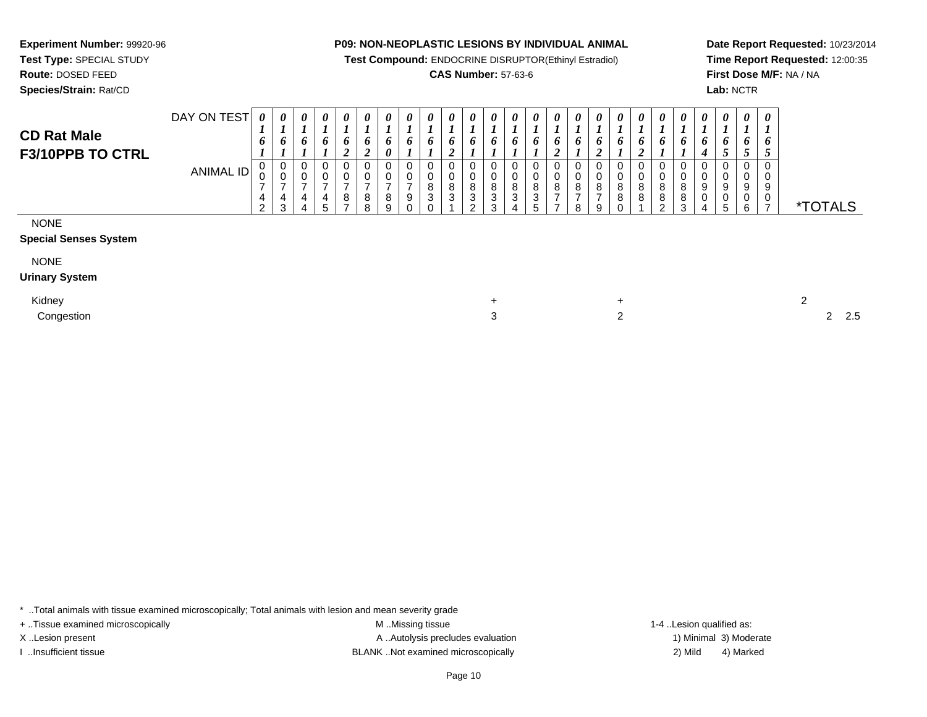**Test Compound:** ENDOCRINE DISRUPTOR(Ethinyl Estradiol)

# **CAS Number:** 57-63-6

**Date Report Requested:** 10/23/2014**Time Report Requested:** 12:00:35**First Dose M/F:** NA / NA**Lab:** NCTR

|                                        | DAY ON TEST      | 0        | $\boldsymbol{\theta}$ | $\boldsymbol{\theta}$ | $\boldsymbol{\theta}$ | $\boldsymbol{\theta}$ | $\theta$ | $\theta$                   | 0 | 0           | 0             | 0 | $\theta$ | $\theta$    | $\boldsymbol{\theta}$ | $\theta$ | $\boldsymbol{\theta}$ | $\theta$ | $\theta$ | $\theta$ | $\theta$                | $\boldsymbol{\theta}$ | 0 | $\boldsymbol{\theta}$ | $\theta$ | 0            |
|----------------------------------------|------------------|----------|-----------------------|-----------------------|-----------------------|-----------------------|----------|----------------------------|---|-------------|---------------|---|----------|-------------|-----------------------|----------|-----------------------|----------|----------|----------|-------------------------|-----------------------|---|-----------------------|----------|--------------|
| <b>CD Rat Male</b><br>F3/10PPB TO CTRL |                  | O        | -                     | o                     | o                     | o<br>◢                | ∠        | o<br>$\boldsymbol{\theta}$ | 0 | o           | $\bm{o}$<br>∼ | o | o        |             |                       | 0        | o                     |          | o        | $\bm{o}$ | o                       |                       | o | o                     | o        | o            |
|                                        | <b>ANIMAL ID</b> | v        | U<br>v                |                       | ◡<br>v                |                       | v<br>v   |                            |   | 0<br>0<br>8 | υ<br>U<br>8   |   | o<br>o   | 0<br>0<br>8 | 8                     | 8        | ν<br>v<br>8           | u<br>8   |          | 8        | 8                       | v<br>ν<br>8           | Q | ◡<br>◡<br>9           | 9        | 0<br>υ<br>9  |
|                                        |                  | <u>_</u> | 4<br>$\sim$<br>د.     |                       | 4<br>5                | 8                     | 8<br>8   |                            |   | 3<br>0      | ົ<br>J.       |   | ັ<br>ີ   | ົ<br>ັ      | ັ                     |          | 8                     | 9        |          | 8        | 8<br>$\sim$<br><u>.</u> | 8<br>$\sim$<br>J      |   | ◡<br>5                | ν        | $\mathbf{0}$ |

NONE

#### **Special Senses System**

**Experiment Number:** 99920-96**Test Type:** SPECIAL STUDY**Route:** DOSED FEED**Species/Strain:** Rat/CD

NONE

**Urinary System**

Kidney $\mathsf{y}$ 

Congestion

 $+$  2 n 2 2 2.5

\* ..Total animals with tissue examined microscopically; Total animals with lesion and mean severity grade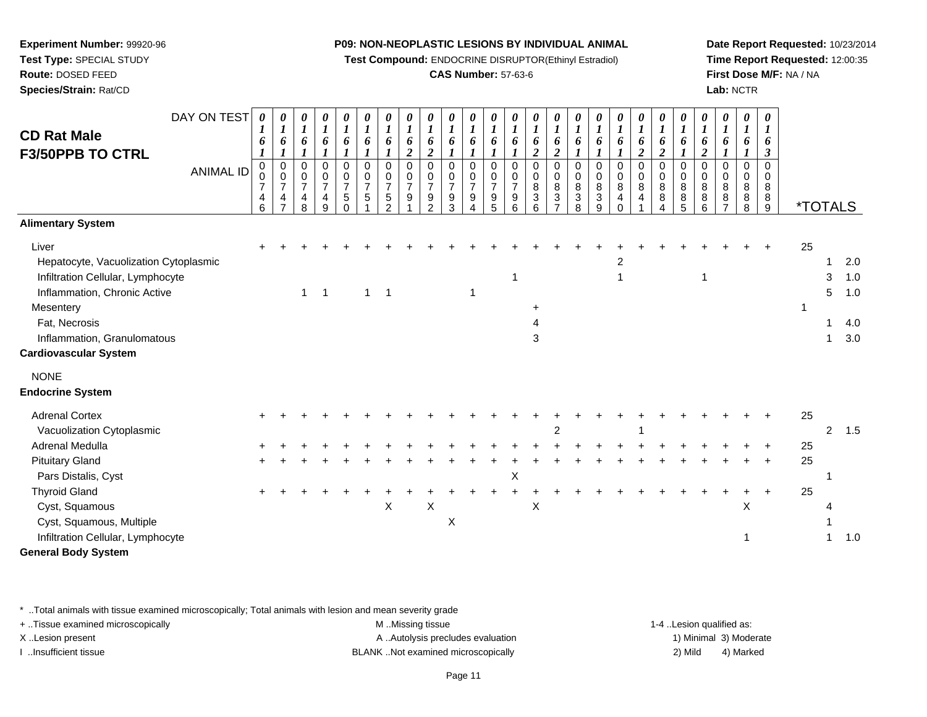**Test Compound:** ENDOCRINE DISRUPTOR(Ethinyl Estradiol)

# **CAS Number:** 57-63-6

**Date Report Requested:** 10/23/2014**Time Report Requested:** 12:00:35**First Dose M/F:** NA / NA**Lab:** NCTR

| <b>CD Rat Male</b><br><b>F3/50PPB TO CTRL</b>                                                                                                                                                                                     | DAY ON TEST<br><b>ANIMAL ID</b> | 0<br>1<br>6<br>0<br>0<br>7<br>4<br>6 | 0<br>$\boldsymbol{l}$<br>6<br>$\boldsymbol{l}$<br>$\mathbf 0$<br>$\mathbf 0$<br>$\overline{7}$<br>4<br>$\overline{7}$ | 0<br>$\boldsymbol{l}$<br>6<br>$\mathbf 0$<br>$\pmb{0}$<br>$\overline{7}$<br>4<br>8 | 0<br>$\boldsymbol{l}$<br>6<br>0<br>$\boldsymbol{0}$<br>$\overline{7}$<br>$\overline{4}$<br>9 | 0<br>$\boldsymbol{l}$<br>6<br>0<br>0<br>$\boldsymbol{7}$<br>$\,$ 5 $\,$<br>$\mathbf 0$ | 0<br>$\boldsymbol{l}$<br>6<br>$\mathbf 0$<br>0<br>$\overline{7}$<br>$\sqrt{5}$ | 0<br>$\boldsymbol{l}$<br>6<br>0<br>0<br>$\overline{7}$<br>5<br>$\mathcal{P}$ | 0<br>$\boldsymbol{l}$<br>6<br>$\boldsymbol{2}$<br>$\Omega$<br>0<br>$\overline{7}$<br>9 | 1<br>6<br>2<br>$\Omega$<br>0<br>7<br>9<br>$\mathfrak{p}$ | 0<br>$\boldsymbol{l}$<br>6<br>0<br>0<br>$\overline{7}$<br>9<br>3 | 0<br>$\boldsymbol{l}$<br>6<br>0<br>0<br>$\overline{7}$<br>9<br>$\overline{\mathbf{4}}$ | 0<br>$\boldsymbol{l}$<br>6<br>0<br>0<br>$\overline{7}$<br>$\begin{array}{c} 9 \\ 5 \end{array}$ | 0<br>$\boldsymbol{l}$<br>6<br>0<br>0<br>$\overline{7}$<br>$\boldsymbol{9}$<br>6 | 0<br>$\boldsymbol{l}$<br>6<br>$\boldsymbol{2}$<br>$\mathbf 0$<br>0<br>$\bf8$<br>$\frac{3}{6}$ | 0<br>$\boldsymbol{l}$<br>6<br>$\boldsymbol{2}$<br>$\mathbf 0$<br>0<br>8<br>$\frac{3}{7}$ | 0<br>1<br>6<br>0<br>0<br>8<br>3<br>8 | 0<br>$\boldsymbol{l}$<br>6<br>0<br>0<br>8<br>3<br>9 | 0<br>$\boldsymbol{l}$<br>6<br>0<br>0<br>8<br>$\overline{\mathbf{4}}$<br>$\Omega$ | 0<br>$\boldsymbol{l}$<br>6<br>$\overline{c}$<br>0<br>$\pmb{0}$<br>$\bf 8$<br>$\overline{4}$ | 0<br>$\boldsymbol{l}$<br>6<br>$\overline{2}$<br>$\mathbf 0$<br>0<br>8<br>8<br>4 | 0<br>$\boldsymbol{l}$<br>6<br>0<br>0<br>8<br>$^8_5$ | 0<br>$\boldsymbol{l}$<br>6<br>$\boldsymbol{2}$<br>$\Omega$<br>0<br>8<br>8<br>$6\phantom{1}$ | 0<br>$\boldsymbol{l}$<br>6<br>$\Omega$<br>0<br>8<br>8<br>$\overline{7}$ | 0<br>1<br>6<br>$\Omega$<br>$\Omega$<br>8<br>8<br>8 | 0<br>1<br>6<br>3<br>0<br>0<br>8<br>8<br>$\overline{9}$ | <i><b>*TOTALS</b></i> |                       |                                 |
|-----------------------------------------------------------------------------------------------------------------------------------------------------------------------------------------------------------------------------------|---------------------------------|--------------------------------------|-----------------------------------------------------------------------------------------------------------------------|------------------------------------------------------------------------------------|----------------------------------------------------------------------------------------------|----------------------------------------------------------------------------------------|--------------------------------------------------------------------------------|------------------------------------------------------------------------------|----------------------------------------------------------------------------------------|----------------------------------------------------------|------------------------------------------------------------------|----------------------------------------------------------------------------------------|-------------------------------------------------------------------------------------------------|---------------------------------------------------------------------------------|-----------------------------------------------------------------------------------------------|------------------------------------------------------------------------------------------|--------------------------------------|-----------------------------------------------------|----------------------------------------------------------------------------------|---------------------------------------------------------------------------------------------|---------------------------------------------------------------------------------|-----------------------------------------------------|---------------------------------------------------------------------------------------------|-------------------------------------------------------------------------|----------------------------------------------------|--------------------------------------------------------|-----------------------|-----------------------|---------------------------------|
| <b>Alimentary System</b>                                                                                                                                                                                                          |                                 |                                      |                                                                                                                       |                                                                                    |                                                                                              |                                                                                        |                                                                                |                                                                              |                                                                                        |                                                          |                                                                  |                                                                                        |                                                                                                 |                                                                                 |                                                                                               |                                                                                          |                                      |                                                     |                                                                                  |                                                                                             |                                                                                 |                                                     |                                                                                             |                                                                         |                                                    |                                                        |                       |                       |                                 |
| Liver<br>Hepatocyte, Vacuolization Cytoplasmic<br>Infiltration Cellular, Lymphocyte<br>Inflammation, Chronic Active<br>Mesentery<br>Fat, Necrosis<br>Inflammation, Granulomatous<br><b>Cardiovascular System</b>                  |                                 |                                      |                                                                                                                       | $\mathbf{1}$                                                                       | -1                                                                                           |                                                                                        | 1                                                                              | $\overline{1}$                                                               |                                                                                        |                                                          |                                                                  |                                                                                        |                                                                                                 | 1                                                                               | $\ddot{}$<br>3                                                                                |                                                                                          |                                      |                                                     | 2<br>1                                                                           |                                                                                             |                                                                                 |                                                     | 1                                                                                           |                                                                         |                                                    |                                                        | 25<br>1               | 1<br>3<br>5<br>1<br>1 | 2.0<br>1.0<br>1.0<br>4.0<br>3.0 |
| <b>NONE</b><br><b>Endocrine System</b>                                                                                                                                                                                            |                                 |                                      |                                                                                                                       |                                                                                    |                                                                                              |                                                                                        |                                                                                |                                                                              |                                                                                        |                                                          |                                                                  |                                                                                        |                                                                                                 |                                                                                 |                                                                                               |                                                                                          |                                      |                                                     |                                                                                  |                                                                                             |                                                                                 |                                                     |                                                                                             |                                                                         |                                                    |                                                        |                       |                       |                                 |
| <b>Adrenal Cortex</b><br>Vacuolization Cytoplasmic<br>Adrenal Medulla<br><b>Pituitary Gland</b><br>Pars Distalis, Cyst<br><b>Thyroid Gland</b><br>Cyst, Squamous<br>Cyst, Squamous, Multiple<br>Infiltration Cellular, Lymphocyte |                                 |                                      |                                                                                                                       |                                                                                    |                                                                                              |                                                                                        |                                                                                | $\boldsymbol{\mathsf{X}}$                                                    |                                                                                        | X                                                        | X                                                                |                                                                                        |                                                                                                 | Χ                                                                               | X                                                                                             | 2                                                                                        |                                      |                                                     |                                                                                  |                                                                                             |                                                                                 |                                                     |                                                                                             |                                                                         | X<br>1                                             |                                                        | 25<br>25<br>25<br>25  | $\overline{2}$<br>1   | 1.5<br>1.0                      |
| <b>General Body System</b>                                                                                                                                                                                                        |                                 |                                      |                                                                                                                       |                                                                                    |                                                                                              |                                                                                        |                                                                                |                                                                              |                                                                                        |                                                          |                                                                  |                                                                                        |                                                                                                 |                                                                                 |                                                                                               |                                                                                          |                                      |                                                     |                                                                                  |                                                                                             |                                                                                 |                                                     |                                                                                             |                                                                         |                                                    |                                                        |                       |                       |                                 |

\* ..Total animals with tissue examined microscopically; Total animals with lesion and mean severity grade

**Experiment Number:** 99920-96**Test Type:** SPECIAL STUDY**Route:** DOSED FEED**Species/Strain:** Rat/CD

+ ..Tissue examined microscopically examined microscopically examined as:  $M$  ..Missing tissue 1-4 ..Lesion qualified as: X..Lesion present **A ..Autolysis precludes evaluation** A ..Autolysis precludes evaluation 1) Minimal 3) Moderate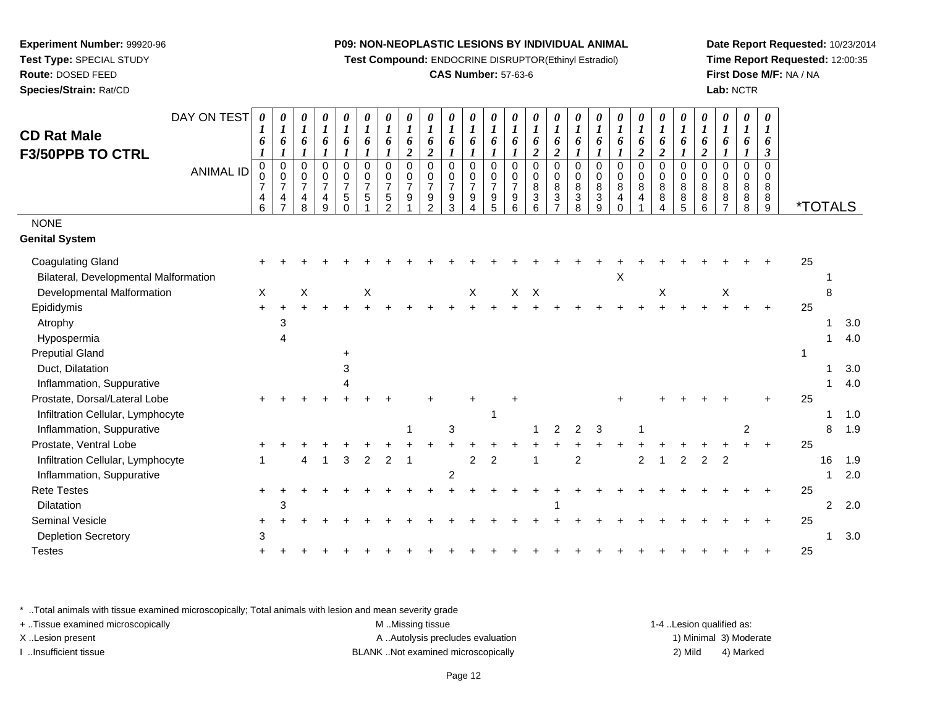**Test Compound:** ENDOCRINE DISRUPTOR(Ethinyl Estradiol)

# **CAS Number:** 57-63-6

**Date Report Requested:** 10/23/2014**Time Report Requested:** 12:00:35**First Dose M/F:** NA / NA**Lab:** NCTR

| <b>CD Rat Male</b><br><b>F3/50PPB TO CTRL</b><br><b>NONE</b><br><b>Genital System</b> | DAY ON TEST<br><b>ANIMAL ID</b> | 0<br>6<br>0<br>0<br>$\overline{7}$<br>4<br>6 | 0<br>6<br>$\mathbf{I}$<br>$\begin{matrix} 0 \\ 0 \end{matrix}$<br>$\overline{7}$<br>4<br>$\overline{ }$ | 0<br>$\boldsymbol{l}$<br>6<br>0<br>$\mathsf 0$<br>$\overline{7}$<br>$\overline{4}$<br>8 | 0<br>$\boldsymbol{l}$<br>6<br>$\pmb{0}$<br>$\pmb{0}$<br>$\overline{7}$<br>4<br>$\mathsf g$ | 0<br>$\boldsymbol{l}$<br>6<br>$\pmb{0}$<br>$\pmb{0}$<br>$\overline{7}$<br>$\sqrt{5}$<br>$\Omega$ | 0<br>$\boldsymbol{l}$<br>6<br>$\pmb{0}$<br>$\pmb{0}$<br>$\overline{7}$<br>$\sqrt{5}$ | 0<br>$\boldsymbol{l}$<br>6<br>$\mathbf 0$<br>$\mathbf 0$<br>$\overline{7}$<br>$\sqrt{5}$<br>$\mathcal{P}$ | 0<br>$\boldsymbol{l}$<br>6<br>$\overline{2}$<br>$\mathbf 0$<br>0<br>$\overline{7}$<br>9 | 6<br>$\overline{2}$<br>$\mathbf 0$<br>$\mathbf 0$<br>$\overline{7}$<br>9<br>$\Omega$ | 0<br>6<br>0<br>0<br>$\overline{7}$<br>9<br>3 | 0<br>6<br>$\mathbf 0$<br>$\mathbf 0$<br>$\overline{7}$<br>9 | 0<br>6<br>$\mathbf 0$<br>$\mathbf 0$<br>$\overline{7}$<br>9<br>5 | 6<br>0<br>$\mathbf 0$<br>$\overline{7}$<br>9<br>6 | 0<br>6<br>$\overline{2}$<br>$\mathbf 0$<br>$\mathbf 0$<br>8<br>3<br>6 | 0<br>$\boldsymbol{l}$<br>6<br>$\boldsymbol{2}$<br>$\mathbf 0$<br>$\mathbf 0$<br>$\bf8$<br>3<br>⇁ | 6<br>0<br>$\mathbf 0$<br>8<br>3<br>8 | 0<br>6<br>$\pmb{0}$<br>$\mathbf 0$<br>8<br>3<br>9 | 0<br>6<br>0<br>$\mathbf 0$<br>8<br>4<br>$\Omega$ | 0<br>1<br>6<br>$\overline{\mathbf{c}}$<br>0<br>0<br>8<br>4 | 0<br>$\boldsymbol{l}$<br>6<br>$\boldsymbol{2}$<br>$\mathbf 0$<br>$\mathbf 0$<br>8<br>8 | 0<br>$\boldsymbol{l}$<br>6<br>$\mathbf 0$<br>$\mathbf 0$<br>8<br>8<br>5 | 0<br>$\boldsymbol{l}$<br>6<br>$\boldsymbol{2}$<br>$\mathbf 0$<br>$\Omega$<br>8<br>8<br>6 | 0<br>$\boldsymbol{l}$<br>6<br>0<br>$\Omega$<br>8<br>8 | $\boldsymbol{l}$<br>6<br>$\mathbf{0}$<br>$\Omega$<br>8<br>8<br>8 | 0<br>6<br>3<br>$\mathbf 0$<br>$\mathbf 0$<br>8<br>8<br>$\boldsymbol{9}$ |              | <i><b>*TOTALS</b></i> |     |
|---------------------------------------------------------------------------------------|---------------------------------|----------------------------------------------|---------------------------------------------------------------------------------------------------------|-----------------------------------------------------------------------------------------|--------------------------------------------------------------------------------------------|--------------------------------------------------------------------------------------------------|--------------------------------------------------------------------------------------|-----------------------------------------------------------------------------------------------------------|-----------------------------------------------------------------------------------------|--------------------------------------------------------------------------------------|----------------------------------------------|-------------------------------------------------------------|------------------------------------------------------------------|---------------------------------------------------|-----------------------------------------------------------------------|--------------------------------------------------------------------------------------------------|--------------------------------------|---------------------------------------------------|--------------------------------------------------|------------------------------------------------------------|----------------------------------------------------------------------------------------|-------------------------------------------------------------------------|------------------------------------------------------------------------------------------|-------------------------------------------------------|------------------------------------------------------------------|-------------------------------------------------------------------------|--------------|-----------------------|-----|
|                                                                                       |                                 |                                              |                                                                                                         |                                                                                         |                                                                                            |                                                                                                  |                                                                                      |                                                                                                           |                                                                                         |                                                                                      |                                              |                                                             |                                                                  |                                                   |                                                                       |                                                                                                  |                                      |                                                   |                                                  |                                                            |                                                                                        |                                                                         |                                                                                          |                                                       |                                                                  |                                                                         |              |                       |     |
| <b>Coagulating Gland</b>                                                              |                                 |                                              |                                                                                                         |                                                                                         |                                                                                            |                                                                                                  |                                                                                      |                                                                                                           |                                                                                         |                                                                                      |                                              |                                                             |                                                                  |                                                   |                                                                       |                                                                                                  |                                      |                                                   |                                                  |                                                            |                                                                                        |                                                                         |                                                                                          |                                                       |                                                                  |                                                                         | 25           |                       |     |
| Bilateral, Developmental Malformation                                                 |                                 |                                              |                                                                                                         |                                                                                         |                                                                                            |                                                                                                  |                                                                                      |                                                                                                           |                                                                                         |                                                                                      |                                              |                                                             |                                                                  |                                                   |                                                                       |                                                                                                  |                                      |                                                   | Χ                                                |                                                            |                                                                                        |                                                                         |                                                                                          |                                                       |                                                                  |                                                                         |              |                       |     |
| Developmental Malformation                                                            |                                 | $\sf X$                                      |                                                                                                         | X                                                                                       |                                                                                            |                                                                                                  | $\mathsf X$                                                                          |                                                                                                           |                                                                                         |                                                                                      |                                              | X                                                           |                                                                  | X                                                 | $\mathsf{X}$                                                          |                                                                                                  |                                      |                                                   |                                                  |                                                            | X                                                                                      |                                                                         |                                                                                          | $\mathsf X$                                           |                                                                  |                                                                         |              | 8                     |     |
| Epididymis                                                                            |                                 |                                              |                                                                                                         |                                                                                         |                                                                                            |                                                                                                  |                                                                                      |                                                                                                           |                                                                                         |                                                                                      |                                              |                                                             |                                                                  |                                                   |                                                                       |                                                                                                  |                                      |                                                   |                                                  |                                                            |                                                                                        |                                                                         |                                                                                          |                                                       |                                                                  |                                                                         | 25           |                       |     |
| Atrophy                                                                               |                                 |                                              | 3                                                                                                       |                                                                                         |                                                                                            |                                                                                                  |                                                                                      |                                                                                                           |                                                                                         |                                                                                      |                                              |                                                             |                                                                  |                                                   |                                                                       |                                                                                                  |                                      |                                                   |                                                  |                                                            |                                                                                        |                                                                         |                                                                                          |                                                       |                                                                  |                                                                         |              |                       | 3.0 |
| Hypospermia                                                                           |                                 |                                              | Δ                                                                                                       |                                                                                         |                                                                                            |                                                                                                  |                                                                                      |                                                                                                           |                                                                                         |                                                                                      |                                              |                                                             |                                                                  |                                                   |                                                                       |                                                                                                  |                                      |                                                   |                                                  |                                                            |                                                                                        |                                                                         |                                                                                          |                                                       |                                                                  |                                                                         |              |                       | 4.0 |
| <b>Preputial Gland</b>                                                                |                                 |                                              |                                                                                                         |                                                                                         |                                                                                            |                                                                                                  |                                                                                      |                                                                                                           |                                                                                         |                                                                                      |                                              |                                                             |                                                                  |                                                   |                                                                       |                                                                                                  |                                      |                                                   |                                                  |                                                            |                                                                                        |                                                                         |                                                                                          |                                                       |                                                                  |                                                                         | $\mathbf{1}$ |                       |     |
| Duct, Dilatation                                                                      |                                 |                                              |                                                                                                         |                                                                                         |                                                                                            | 3                                                                                                |                                                                                      |                                                                                                           |                                                                                         |                                                                                      |                                              |                                                             |                                                                  |                                                   |                                                                       |                                                                                                  |                                      |                                                   |                                                  |                                                            |                                                                                        |                                                                         |                                                                                          |                                                       |                                                                  |                                                                         |              |                       | 3.0 |
| Inflammation, Suppurative                                                             |                                 |                                              |                                                                                                         |                                                                                         |                                                                                            |                                                                                                  |                                                                                      |                                                                                                           |                                                                                         |                                                                                      |                                              |                                                             |                                                                  |                                                   |                                                                       |                                                                                                  |                                      |                                                   |                                                  |                                                            |                                                                                        |                                                                         |                                                                                          |                                                       |                                                                  |                                                                         |              |                       | 4.0 |
| Prostate, Dorsal/Lateral Lobe                                                         |                                 |                                              |                                                                                                         |                                                                                         |                                                                                            |                                                                                                  |                                                                                      |                                                                                                           |                                                                                         |                                                                                      |                                              |                                                             |                                                                  |                                                   |                                                                       |                                                                                                  |                                      |                                                   |                                                  |                                                            |                                                                                        |                                                                         |                                                                                          |                                                       |                                                                  |                                                                         | 25           |                       |     |
| Infiltration Cellular, Lymphocyte                                                     |                                 |                                              |                                                                                                         |                                                                                         |                                                                                            |                                                                                                  |                                                                                      |                                                                                                           |                                                                                         |                                                                                      |                                              |                                                             |                                                                  |                                                   |                                                                       |                                                                                                  |                                      |                                                   |                                                  |                                                            |                                                                                        |                                                                         |                                                                                          |                                                       |                                                                  |                                                                         |              |                       | 1.0 |
| Inflammation, Suppurative                                                             |                                 |                                              |                                                                                                         |                                                                                         |                                                                                            |                                                                                                  |                                                                                      |                                                                                                           |                                                                                         |                                                                                      | 3                                            |                                                             |                                                                  |                                                   |                                                                       | 2                                                                                                | 2                                    | 3                                                 |                                                  |                                                            |                                                                                        |                                                                         |                                                                                          |                                                       | 2                                                                |                                                                         |              | 8                     | 1.9 |
| Prostate, Ventral Lobe                                                                |                                 |                                              |                                                                                                         |                                                                                         |                                                                                            |                                                                                                  |                                                                                      |                                                                                                           |                                                                                         |                                                                                      |                                              |                                                             |                                                                  |                                                   |                                                                       |                                                                                                  |                                      |                                                   |                                                  |                                                            |                                                                                        |                                                                         |                                                                                          |                                                       |                                                                  | $\overline{ }$                                                          | 25           |                       |     |
| Infiltration Cellular, Lymphocyte                                                     |                                 |                                              |                                                                                                         | 4                                                                                       | 1                                                                                          | 3                                                                                                | 2                                                                                    | $\overline{c}$                                                                                            |                                                                                         |                                                                                      |                                              | $\overline{2}$                                              | $\overline{c}$                                                   |                                                   |                                                                       |                                                                                                  | 2                                    |                                                   |                                                  | $\overline{c}$                                             |                                                                                        | 2                                                                       | 2                                                                                        | 2                                                     |                                                                  |                                                                         |              | 16                    | 1.9 |
| Inflammation, Suppurative                                                             |                                 |                                              |                                                                                                         |                                                                                         |                                                                                            |                                                                                                  |                                                                                      |                                                                                                           |                                                                                         |                                                                                      | $\overline{2}$                               |                                                             |                                                                  |                                                   |                                                                       |                                                                                                  |                                      |                                                   |                                                  |                                                            |                                                                                        |                                                                         |                                                                                          |                                                       |                                                                  |                                                                         |              |                       | 2.0 |
| <b>Rete Testes</b>                                                                    |                                 |                                              |                                                                                                         |                                                                                         |                                                                                            |                                                                                                  |                                                                                      |                                                                                                           |                                                                                         |                                                                                      |                                              |                                                             |                                                                  |                                                   |                                                                       |                                                                                                  |                                      |                                                   |                                                  |                                                            |                                                                                        |                                                                         |                                                                                          |                                                       |                                                                  |                                                                         | 25           |                       |     |
| Dilatation                                                                            |                                 |                                              | 3                                                                                                       |                                                                                         |                                                                                            |                                                                                                  |                                                                                      |                                                                                                           |                                                                                         |                                                                                      |                                              |                                                             |                                                                  |                                                   |                                                                       |                                                                                                  |                                      |                                                   |                                                  |                                                            |                                                                                        |                                                                         |                                                                                          |                                                       |                                                                  |                                                                         |              | 2                     | 2.0 |
| Seminal Vesicle                                                                       |                                 |                                              |                                                                                                         |                                                                                         |                                                                                            |                                                                                                  |                                                                                      |                                                                                                           |                                                                                         |                                                                                      |                                              |                                                             |                                                                  |                                                   |                                                                       |                                                                                                  |                                      |                                                   |                                                  |                                                            |                                                                                        |                                                                         |                                                                                          |                                                       |                                                                  |                                                                         | 25           |                       |     |
| <b>Depletion Secretory</b>                                                            |                                 | 3                                            |                                                                                                         |                                                                                         |                                                                                            |                                                                                                  |                                                                                      |                                                                                                           |                                                                                         |                                                                                      |                                              |                                                             |                                                                  |                                                   |                                                                       |                                                                                                  |                                      |                                                   |                                                  |                                                            |                                                                                        |                                                                         |                                                                                          |                                                       |                                                                  |                                                                         |              | 1                     | 3.0 |
| <b>Testes</b>                                                                         |                                 |                                              |                                                                                                         |                                                                                         |                                                                                            |                                                                                                  |                                                                                      |                                                                                                           |                                                                                         |                                                                                      |                                              |                                                             |                                                                  |                                                   |                                                                       |                                                                                                  |                                      |                                                   |                                                  |                                                            |                                                                                        |                                                                         |                                                                                          |                                                       |                                                                  |                                                                         | 25           |                       |     |
|                                                                                       |                                 |                                              |                                                                                                         |                                                                                         |                                                                                            |                                                                                                  |                                                                                      |                                                                                                           |                                                                                         |                                                                                      |                                              |                                                             |                                                                  |                                                   |                                                                       |                                                                                                  |                                      |                                                   |                                                  |                                                            |                                                                                        |                                                                         |                                                                                          |                                                       |                                                                  |                                                                         |              |                       |     |

\* ..Total animals with tissue examined microscopically; Total animals with lesion and mean severity grade

**Experiment Number:** 99920-96**Test Type:** SPECIAL STUDY**Route:** DOSED FEED**Species/Strain:** Rat/CD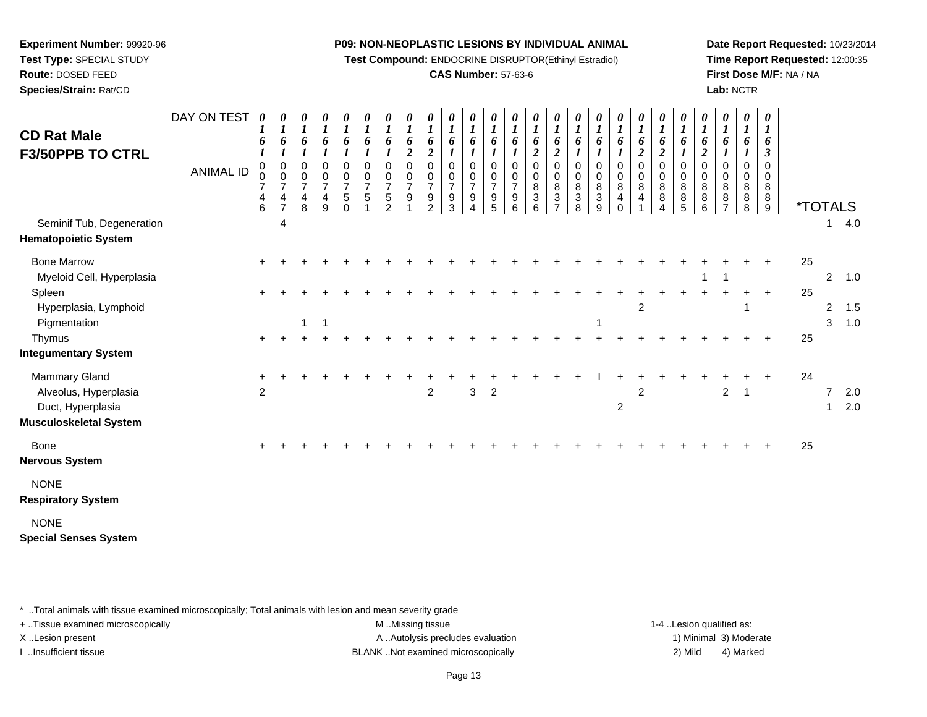**Test Compound:** ENDOCRINE DISRUPTOR(Ethinyl Estradiol)

# **CAS Number:** 57-63-6

**Date Report Requested:** 10/23/2014**Time Report Requested:** 12:00:35**First Dose M/F:** NA / NA**Lab:** NCTR

| <b>CD Rat Male</b><br><b>F3/50PPB TO CTRL</b><br>Seminif Tub, Degeneration              | DAY ON TEST<br><b>ANIMAL ID</b> | 0<br>1<br>6<br>$\pmb{0}$<br>0<br>$\overline{7}$<br>4<br>6 | 0<br>$\boldsymbol{l}$<br>6<br>1<br>$\pmb{0}$<br>$\pmb{0}$<br>$\overline{7}$<br>4<br>$\overline{7}$<br>4 | 0<br>$\boldsymbol{l}$<br>6<br>0<br>$\pmb{0}$<br>$\overline{7}$<br>4<br>8 | 0<br>$\boldsymbol{I}$<br>6<br>1<br>$\pmb{0}$<br>$\mathbf 0$<br>$\overline{7}$<br>$\overline{4}$<br>9 | 0<br>$\boldsymbol{l}$<br>6<br>$\pmb{0}$<br>0<br>$\boldsymbol{7}$<br>5<br>$\Omega$ | 0<br>$\boldsymbol{l}$<br>6<br>$\mathbf 0$<br>$\mathbf 0$<br>$\overline{7}$<br>5 | $\boldsymbol{\theta}$<br>$\boldsymbol{l}$<br>6<br>0<br>0<br>$\overline{7}$<br>5<br>$\mathcal{P}$ | 0<br>$\boldsymbol{l}$<br>6<br>$\boldsymbol{2}$<br>$\mathbf 0$<br>0<br>$\overline{7}$<br>9 | $\boldsymbol{l}$<br>6<br>$\overline{c}$<br>$\mathbf 0$<br>0<br>$\overline{7}$<br>9<br>2 | 6<br>$\mathbf 0$<br>$\Omega$<br>$\overline{7}$<br>9<br>3 | $\boldsymbol{\theta}$<br>$\boldsymbol{l}$<br>6<br>$\mathbf 0$<br>0<br>$\overline{7}$<br>9 | $\boldsymbol{\theta}$<br>$\boldsymbol{l}$<br>6<br>$\mathbf 0$<br>$\mathbf 0$<br>$\overline{7}$<br>9<br>$\overline{5}$ | 0<br>$\boldsymbol{l}$<br>6<br>0<br>0<br>$\overline{7}$<br>9<br>6 | $\boldsymbol{\theta}$<br>$\boldsymbol{l}$<br>6<br>2<br>$\mathbf 0$<br>$\mathbf 0$<br>8<br>3<br>6 | $\boldsymbol{\theta}$<br>$\boldsymbol{l}$<br>6<br>$\overline{2}$<br>$\mathbf 0$<br>0<br>8<br>3 | 0<br>$\boldsymbol{l}$<br>6<br>$\mathbf 0$<br>0<br>8<br>3<br>8 | 0<br>$\boldsymbol{l}$<br>6<br>0<br>0<br>8<br>$\ensuremath{\mathsf{3}}$<br>9 | $\boldsymbol{\theta}$<br>$\boldsymbol{l}$<br>6<br>$\pmb{0}$<br>$\mathbf 0$<br>8<br>4 | $\frac{\boldsymbol{\theta}}{\boldsymbol{I}}$<br>6<br>$\boldsymbol{2}$<br>$\mathbf 0$<br>$\pmb{0}$<br>8<br>$\overline{4}$ | $\boldsymbol{\theta}$<br>$\boldsymbol{l}$<br>6<br>$\overline{\mathbf{c}}$<br>0<br>0<br>8<br>8<br>$\boldsymbol{\Lambda}$ | 0<br>$\boldsymbol{l}$<br>6<br>0<br>0<br>$\bf 8$<br>8<br>5 | 0<br>$\boldsymbol{l}$<br>6<br>$\boldsymbol{2}$<br>$\mathbf 0$<br>$\mathbf 0$<br>8<br>8<br>6 | 0<br>$\boldsymbol{l}$<br>6<br>$\pmb{0}$<br>0<br>8<br>8<br>7 | 0<br>$\boldsymbol{l}$<br>6<br>0<br>$\mathbf 0$<br>8<br>8<br>8 | 0<br>$\boldsymbol{l}$<br>6<br>3<br>$\mathbf 0$<br>$\Omega$<br>8<br>8<br>9 | <i><b>*TOTALS</b></i> | $\mathbf{1}$                   | 4.0        |
|-----------------------------------------------------------------------------------------|---------------------------------|-----------------------------------------------------------|---------------------------------------------------------------------------------------------------------|--------------------------------------------------------------------------|------------------------------------------------------------------------------------------------------|-----------------------------------------------------------------------------------|---------------------------------------------------------------------------------|--------------------------------------------------------------------------------------------------|-------------------------------------------------------------------------------------------|-----------------------------------------------------------------------------------------|----------------------------------------------------------|-------------------------------------------------------------------------------------------|-----------------------------------------------------------------------------------------------------------------------|------------------------------------------------------------------|--------------------------------------------------------------------------------------------------|------------------------------------------------------------------------------------------------|---------------------------------------------------------------|-----------------------------------------------------------------------------|--------------------------------------------------------------------------------------|--------------------------------------------------------------------------------------------------------------------------|-------------------------------------------------------------------------------------------------------------------------|-----------------------------------------------------------|---------------------------------------------------------------------------------------------|-------------------------------------------------------------|---------------------------------------------------------------|---------------------------------------------------------------------------|-----------------------|--------------------------------|------------|
| <b>Hematopoietic System</b>                                                             |                                 |                                                           |                                                                                                         |                                                                          |                                                                                                      |                                                                                   |                                                                                 |                                                                                                  |                                                                                           |                                                                                         |                                                          |                                                                                           |                                                                                                                       |                                                                  |                                                                                                  |                                                                                                |                                                               |                                                                             |                                                                                      |                                                                                                                          |                                                                                                                         |                                                           |                                                                                             |                                                             |                                                               |                                                                           |                       |                                |            |
| <b>Bone Marrow</b><br>Myeloid Cell, Hyperplasia                                         |                                 |                                                           |                                                                                                         |                                                                          |                                                                                                      |                                                                                   |                                                                                 |                                                                                                  |                                                                                           |                                                                                         |                                                          |                                                                                           |                                                                                                                       |                                                                  |                                                                                                  |                                                                                                |                                                               |                                                                             |                                                                                      |                                                                                                                          |                                                                                                                         |                                                           |                                                                                             |                                                             |                                                               |                                                                           | 25                    |                                | 2, 1.0     |
| Spleen<br>Hyperplasia, Lymphoid<br>Pigmentation                                         |                                 |                                                           |                                                                                                         | 1                                                                        | -1                                                                                                   |                                                                                   |                                                                                 |                                                                                                  |                                                                                           |                                                                                         |                                                          |                                                                                           |                                                                                                                       |                                                                  |                                                                                                  |                                                                                                |                                                               | -1                                                                          |                                                                                      | $\overline{2}$                                                                                                           |                                                                                                                         |                                                           |                                                                                             |                                                             | 1                                                             | $\pm$                                                                     | 25                    | $\overline{2}$<br>3            | 1.5<br>1.0 |
| Thymus<br><b>Integumentary System</b>                                                   |                                 | $+$                                                       |                                                                                                         |                                                                          |                                                                                                      |                                                                                   |                                                                                 |                                                                                                  |                                                                                           |                                                                                         |                                                          |                                                                                           |                                                                                                                       |                                                                  |                                                                                                  |                                                                                                |                                                               |                                                                             |                                                                                      |                                                                                                                          |                                                                                                                         |                                                           |                                                                                             |                                                             |                                                               |                                                                           | 25                    |                                |            |
| Mammary Gland<br>Alveolus, Hyperplasia<br>Duct, Hyperplasia<br>Musculoskeletal System   |                                 | $\overline{2}$                                            |                                                                                                         |                                                                          |                                                                                                      |                                                                                   |                                                                                 |                                                                                                  |                                                                                           | $\overline{2}$                                                                          |                                                          | 3                                                                                         | $\sqrt{2}$                                                                                                            |                                                                  |                                                                                                  |                                                                                                |                                                               |                                                                             | $\boldsymbol{2}$                                                                     | $\overline{2}$                                                                                                           |                                                                                                                         |                                                           |                                                                                             | $\overline{c}$                                              | $\mathbf{1}$                                                  | $\ddot{}$                                                                 | 24                    | $\overline{7}$<br>$\mathbf{1}$ | 2.0<br>2.0 |
| Bone<br>Nervous System                                                                  |                                 |                                                           |                                                                                                         |                                                                          |                                                                                                      |                                                                                   |                                                                                 |                                                                                                  |                                                                                           |                                                                                         |                                                          |                                                                                           |                                                                                                                       |                                                                  |                                                                                                  |                                                                                                |                                                               |                                                                             |                                                                                      |                                                                                                                          |                                                                                                                         |                                                           |                                                                                             |                                                             |                                                               |                                                                           | 25                    |                                |            |
| <b>NONE</b><br><b>Respiratory System</b><br><b>NONE</b><br><b>Special Senses System</b> |                                 |                                                           |                                                                                                         |                                                                          |                                                                                                      |                                                                                   |                                                                                 |                                                                                                  |                                                                                           |                                                                                         |                                                          |                                                                                           |                                                                                                                       |                                                                  |                                                                                                  |                                                                                                |                                                               |                                                                             |                                                                                      |                                                                                                                          |                                                                                                                         |                                                           |                                                                                             |                                                             |                                                               |                                                                           |                       |                                |            |

\* ..Total animals with tissue examined microscopically; Total animals with lesion and mean severity grade

**Experiment Number:** 99920-96**Test Type:** SPECIAL STUDY**Route:** DOSED FEED**Species/Strain:** Rat/CD

+ ..Tissue examined microscopically examined microscopically examined as:  $M$  ..Missing tissue 1-4 ..Lesion qualified as: X..Lesion present **A ..Autolysis precludes evaluation** A ..Autolysis precludes evaluation 1) Minimal 3) Moderate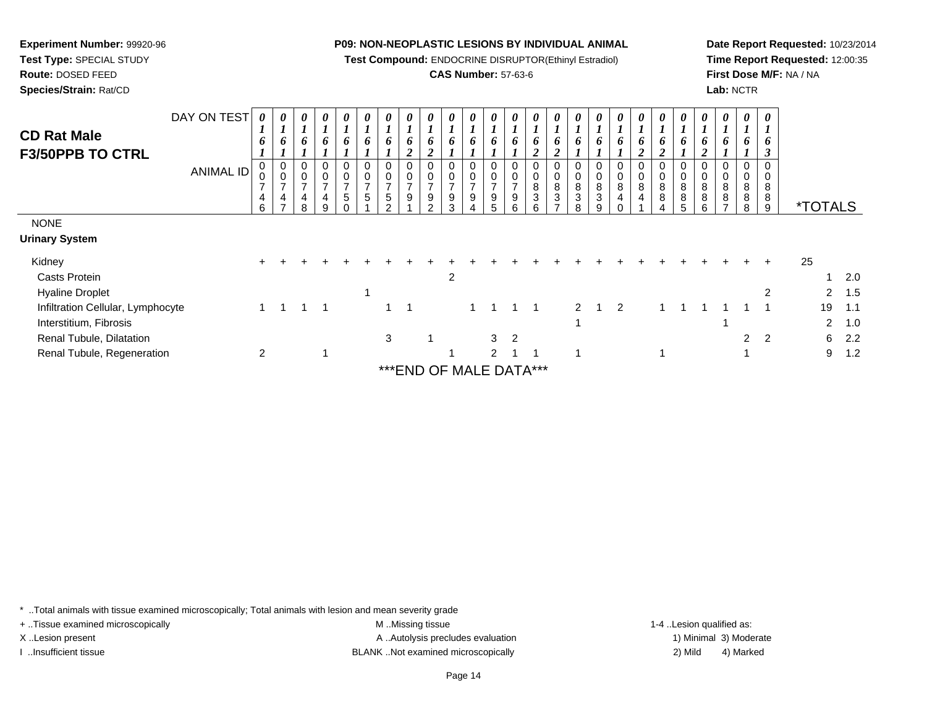**Test Compound:** ENDOCRINE DISRUPTOR(Ethinyl Estradiol)

# **CAS Number:** 57-63-6

**Date Report Requested:** 10/23/2014**Time Report Requested:** 12:00:35**First Dose M/F:** NA / NA**Lab:** NCTR

|                                   | DAY ON TEST      |                                    |             | $\theta$       | $\boldsymbol{\theta}$                 | $\boldsymbol{\theta}$ | $\boldsymbol{\theta}$ | 0                                         | $\boldsymbol{\theta}$ | 0              | $\boldsymbol{\theta}$ | 0                                 | 0                        | $\theta$                |                | $\theta$                            | $\boldsymbol{\theta}$      | $\theta$     |        | $\boldsymbol{\theta}$ | 0              | 0           |             |             | 0              | 0              |                       |         |
|-----------------------------------|------------------|------------------------------------|-------------|----------------|---------------------------------------|-----------------------|-----------------------|-------------------------------------------|-----------------------|----------------|-----------------------|-----------------------------------|--------------------------|-------------------------|----------------|-------------------------------------|----------------------------|--------------|--------|-----------------------|----------------|-------------|-------------|-------------|----------------|----------------|-----------------------|---------|
| <b>CD Rat Male</b>                |                  | $\mathbf{I}$                       |             |                | 6                                     | $\boldsymbol{l}$<br>6 |                       | 6                                         | $\mathbf{I}$<br>6     | $\overline{ }$ |                       | 6                                 | 6                        | 6                       | 6              | 6                                   | 6                          | 6            |        | 6                     | 6              | 6           |             |             |                |                |                       |         |
| <b>F3/50PPB TO CTRL</b>           |                  | o                                  | $\bm{o}$    | 6              |                                       |                       | $\bm{o}$              |                                           | 2                     | 0<br>2         | o                     |                                   |                          |                         | $\overline{2}$ | $\mathbf{\hat{z}}$                  |                            |              | 0      |                       |                |             | o           | o           |                | D              |                       |         |
|                                   | <b>ANIMAL ID</b> | 0                                  | 0           | 0<br>$\pmb{0}$ | 0<br>$\pmb{0}$                        | 0<br>$\pmb{0}$        | 0<br>$\mathbf 0$      | 0<br>0                                    | 0<br>$\pmb{0}$        |                | $\mathbf 0$           | 0<br>$\mathsf 0$                  | 0                        | 0                       |                | 0<br>0                              | $\mathbf 0$<br>$\mathbf 0$ | 0<br>$\,0\,$ |        | 0<br>$\,0\,$          | 0<br>$\pmb{0}$ | 0<br>0      | 0<br>0      | $\mathbf 0$ | 0              |                |                       |         |
|                                   |                  | $\overline{\phantom{a}}$<br>4<br>6 | ⇁<br>4<br>⇁ | ⇁<br>4<br>R.   | $\overline{ }$<br>$\overline{4}$<br>9 | $\overline{7}$<br>5   | $\overline{ }$<br>5   | $\overline{ }$<br>$\,$ 5 $\,$<br>$\Omega$ | $\overline{ }$<br>9   | 9<br>2         | ⇁<br>9<br>3           | $\rightarrow$<br>$\boldsymbol{9}$ | $\overline{ }$<br>9<br>5 | $\rightarrow$<br>9<br>6 | 8<br>3<br>6    | 8<br>$\ensuremath{\mathsf{3}}$<br>⇁ | 8<br>3<br>8                | 8<br>3<br>9  | 8<br>4 | 8<br>4                | 8<br>8         | 8<br>8<br>5 | 8<br>8<br>6 | 8<br>8<br>⇁ | 8<br>8<br>8    | 8<br>8<br>9    | <i><b>*TOTALS</b></i> |         |
| <b>NONE</b>                       |                  |                                    |             |                |                                       |                       |                       |                                           |                       |                |                       |                                   |                          |                         |                |                                     |                            |              |        |                       |                |             |             |             |                |                |                       |         |
| Urinary System                    |                  |                                    |             |                |                                       |                       |                       |                                           |                       |                |                       |                                   |                          |                         |                |                                     |                            |              |        |                       |                |             |             |             |                |                |                       |         |
| Kidney                            |                  | $+$                                |             |                |                                       |                       |                       |                                           |                       |                |                       |                                   |                          |                         |                |                                     |                            |              |        |                       |                |             |             |             |                | $\pm$          | 25                    |         |
| <b>Casts Protein</b>              |                  |                                    |             |                |                                       |                       |                       |                                           |                       |                | 2                     |                                   |                          |                         |                |                                     |                            |              |        |                       |                |             |             |             |                |                |                       | 2.0     |
| <b>Hyaline Droplet</b>            |                  |                                    |             |                |                                       |                       | 1                     |                                           |                       |                |                       |                                   |                          |                         |                |                                     |                            |              |        |                       |                |             |             |             |                | 2              | $\mathbf{2}$          | 1.5     |
| Infiltration Cellular, Lymphocyte |                  |                                    |             |                |                                       |                       |                       |                                           |                       |                |                       |                                   |                          |                         |                |                                     | C                          |              | 2      |                       |                |             |             |             |                |                | 19                    | $-1.1$  |
| Interstitium, Fibrosis            |                  |                                    |             |                |                                       |                       |                       |                                           |                       |                |                       |                                   |                          |                         |                |                                     | 1                          |              |        |                       |                |             |             |             |                |                |                       | 2, 1.0  |
| Renal Tubule, Dilatation          |                  |                                    |             |                |                                       |                       |                       | 3                                         |                       |                |                       |                                   | 3                        | 2                       |                |                                     |                            |              |        |                       |                |             |             |             | $\overline{2}$ | $\overline{2}$ |                       | $6$ 2.2 |
| Renal Tubule, Regeneration        |                  | $\overline{2}$                     |             |                |                                       |                       |                       |                                           |                       |                |                       |                                   | 2                        |                         |                |                                     | -4                         |              |        |                       |                |             |             |             |                |                | 9                     | 1.2     |
|                                   |                  |                                    |             |                |                                       |                       |                       |                                           |                       |                |                       |                                   |                          |                         |                |                                     |                            |              |        |                       |                |             |             |             |                |                |                       |         |

\*\*\*END OF MALE DATA\*\*\*

\* ..Total animals with tissue examined microscopically; Total animals with lesion and mean severity grade

**Experiment Number:** 99920-96**Test Type:** SPECIAL STUDY**Route:** DOSED FEED**Species/Strain:** Rat/CD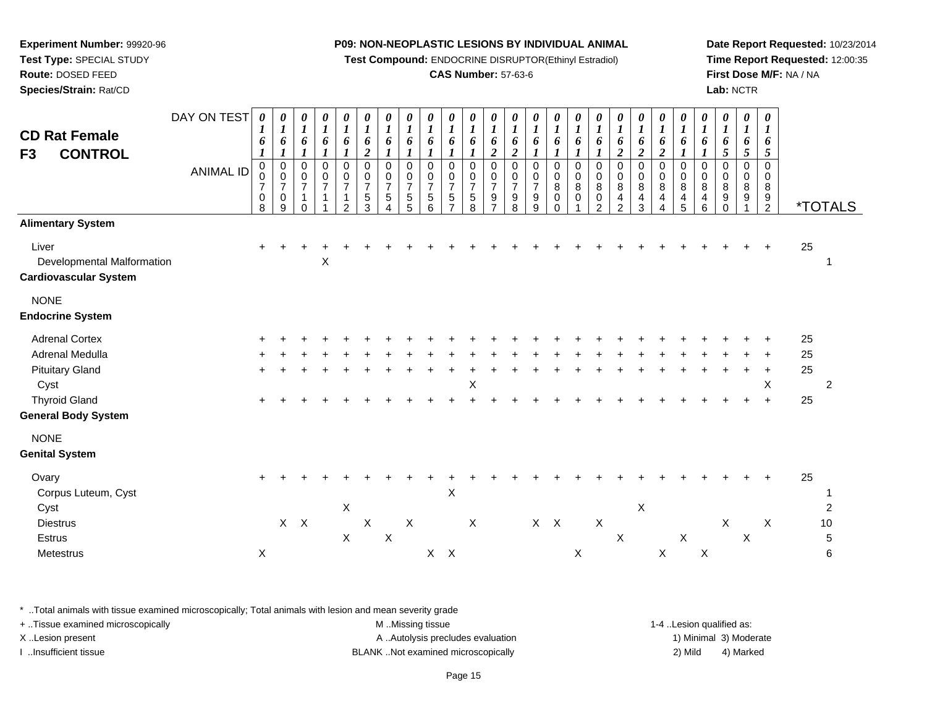**Test Compound:** ENDOCRINE DISRUPTOR(Ethinyl Estradiol)

# **CAS Number:** 57-63-6

**Date Report Requested:** 10/23/2014**Time Report Requested:** 12:00:35**First Dose M/F:** NA / NA**Lab:** NCTR

| F <sub>3</sub>          | <b>CD Rat Female</b><br><b>CONTROL</b>                                                                                   | DAY ON TEST<br><b>ANIMAL ID</b> | 0<br>$\boldsymbol{l}$<br>6<br>$\boldsymbol{l}$<br>0<br>0<br>$\overline{7}$<br>0<br>8 | 0<br>$\boldsymbol{l}$<br>6<br>$\boldsymbol{l}$<br>$\mathbf 0$<br>$\frac{0}{7}$<br>$\mathbf 0$<br>9 | 0<br>$\boldsymbol{l}$<br>6<br>$\mathbf{I}$<br>$\pmb{0}$<br>$\pmb{0}$<br>$\overline{7}$<br>$\mathbf{1}$<br>$\Omega$ | 0<br>$\boldsymbol{l}$<br>6<br>0<br>0<br>$\overline{7}$<br>1 | 0<br>$\boldsymbol{l}$<br>6<br>0<br>$\frac{0}{7}$<br>$\mathbf{1}$<br>2 | 0<br>$\boldsymbol{l}$<br>6<br>$\overline{c}$<br>$\pmb{0}$<br>$\mathbf 0$<br>$\overline{7}$<br>$\overline{5}$<br>3 | $\frac{\boldsymbol{\theta}}{\boldsymbol{I}}$<br>6<br>$\mathbf{I}$<br>$\,0\,$<br>$\frac{0}{7}$<br>$\sqrt{5}$<br>4 | 0<br>$\boldsymbol{l}$<br>6<br>$\boldsymbol{l}$<br>0<br>0<br>$\overline{7}$<br>$\sqrt{5}$<br>5 | 0<br>$\boldsymbol{l}$<br>6<br>0<br>0<br>$\overline{7}$<br>$\sqrt{5}$<br>6 | 0<br>$\boldsymbol{l}$<br>6<br>$\mathbf 0$<br>$\mathbf 0$<br>$\overline{7}$<br>$\sqrt{5}$<br>$\overline{ }$ | 0<br>$\boldsymbol{l}$<br>6<br>0<br>0<br>$\overline{7}$<br>5<br>8 | 0<br>$\boldsymbol{l}$<br>6<br>$\overline{\mathbf{c}}$<br>0<br>0<br>$\overline{7}$<br>9<br>$\overline{7}$ | 0<br>$\boldsymbol{l}$<br>6<br>$\boldsymbol{2}$<br>$\pmb{0}$<br>$\mathbf 0$<br>$\overline{7}$<br>$\boldsymbol{9}$<br>8 | 0<br>$\boldsymbol{l}$<br>6<br>0<br>0<br>$\overline{7}$<br>9<br>9 | 0<br>$\boldsymbol{I}$<br>6<br>0<br>0<br>8<br>0<br>$\Omega$ | 0<br>$\boldsymbol{l}$<br>6<br>$\boldsymbol{\mathit{1}}$<br>0<br>$\mathbf 0$<br>$\,8\,$<br>$\mathbf 0$ | 0<br>$\boldsymbol{\mathit{1}}$<br>6<br>1<br>0<br>$\mathbf 0$<br>8<br>$\mathbf 0$<br>$\overline{2}$ | $\frac{\boldsymbol{\theta}}{\boldsymbol{I}}$<br>6<br>$\boldsymbol{2}$<br>$\pmb{0}$<br>$_{8}^{\rm 0}$<br>$\overline{\mathbf{4}}$<br>$\overline{2}$ | $\frac{\theta}{I}$<br>6<br>$\overline{2}$<br>0<br>$\mathsf{O}$<br>$\bf8$<br>$\overline{4}$<br>3 | 0<br>$\overline{\mathbf{I}}$<br>6<br>$\overline{2}$<br>$\pmb{0}$<br>$\pmb{0}$<br>$\bf 8$<br>$\overline{\mathbf{4}}$<br>4 | 0<br>$\boldsymbol{l}$<br>6<br>- 7<br>$\mathbf 0$<br>0<br>8<br>$\overline{4}$<br>5 | $\boldsymbol{\theta}$<br>$\boldsymbol{l}$<br>6<br>0<br>0<br>8<br>$\overline{4}$<br>6 | 0<br>$\boldsymbol{l}$<br>6<br>5<br>$\mathbf 0$<br>$\mathbf 0$<br>8<br>9<br>$\mathbf 0$ | 0<br>$\boldsymbol{l}$<br>6<br>5<br>0<br>$\mathbf 0$<br>8<br>9 | $\boldsymbol{\theta}$<br>$\boldsymbol{l}$<br>6<br>$\overline{5}$<br>0<br>$\mathbf 0$<br>8<br>$\boldsymbol{9}$<br>$\overline{2}$ | <i><b>*TOTALS</b></i>                            |  |
|-------------------------|--------------------------------------------------------------------------------------------------------------------------|---------------------------------|--------------------------------------------------------------------------------------|----------------------------------------------------------------------------------------------------|--------------------------------------------------------------------------------------------------------------------|-------------------------------------------------------------|-----------------------------------------------------------------------|-------------------------------------------------------------------------------------------------------------------|------------------------------------------------------------------------------------------------------------------|-----------------------------------------------------------------------------------------------|---------------------------------------------------------------------------|------------------------------------------------------------------------------------------------------------|------------------------------------------------------------------|----------------------------------------------------------------------------------------------------------|-----------------------------------------------------------------------------------------------------------------------|------------------------------------------------------------------|------------------------------------------------------------|-------------------------------------------------------------------------------------------------------|----------------------------------------------------------------------------------------------------|---------------------------------------------------------------------------------------------------------------------------------------------------|-------------------------------------------------------------------------------------------------|--------------------------------------------------------------------------------------------------------------------------|-----------------------------------------------------------------------------------|--------------------------------------------------------------------------------------|----------------------------------------------------------------------------------------|---------------------------------------------------------------|---------------------------------------------------------------------------------------------------------------------------------|--------------------------------------------------|--|
| Liver                   | <b>Alimentary System</b><br>Developmental Malformation<br><b>Cardiovascular System</b>                                   |                                 |                                                                                      |                                                                                                    |                                                                                                                    | Χ                                                           |                                                                       |                                                                                                                   |                                                                                                                  |                                                                                               |                                                                           |                                                                                                            |                                                                  |                                                                                                          |                                                                                                                       |                                                                  |                                                            |                                                                                                       |                                                                                                    |                                                                                                                                                   |                                                                                                 |                                                                                                                          |                                                                                   |                                                                                      |                                                                                        |                                                               |                                                                                                                                 | 25                                               |  |
| <b>NONE</b>             | <b>Endocrine System</b>                                                                                                  |                                 |                                                                                      |                                                                                                    |                                                                                                                    |                                                             |                                                                       |                                                                                                                   |                                                                                                                  |                                                                                               |                                                                           |                                                                                                            |                                                                  |                                                                                                          |                                                                                                                       |                                                                  |                                                            |                                                                                                       |                                                                                                    |                                                                                                                                                   |                                                                                                 |                                                                                                                          |                                                                                   |                                                                                      |                                                                                        |                                                               |                                                                                                                                 |                                                  |  |
| Cyst                    | <b>Adrenal Cortex</b><br>Adrenal Medulla<br><b>Pituitary Gland</b><br><b>Thyroid Gland</b><br><b>General Body System</b> |                                 |                                                                                      |                                                                                                    |                                                                                                                    |                                                             |                                                                       |                                                                                                                   |                                                                                                                  |                                                                                               |                                                                           |                                                                                                            | Χ                                                                |                                                                                                          |                                                                                                                       |                                                                  |                                                            |                                                                                                       |                                                                                                    |                                                                                                                                                   |                                                                                                 |                                                                                                                          |                                                                                   |                                                                                      |                                                                                        |                                                               | X<br>$\ddot{}$                                                                                                                  | 25<br>25<br>25<br>$\overline{2}$<br>25           |  |
| <b>NONE</b>             | <b>Genital System</b>                                                                                                    |                                 |                                                                                      |                                                                                                    |                                                                                                                    |                                                             |                                                                       |                                                                                                                   |                                                                                                                  |                                                                                               |                                                                           |                                                                                                            |                                                                  |                                                                                                          |                                                                                                                       |                                                                  |                                                            |                                                                                                       |                                                                                                    |                                                                                                                                                   |                                                                                                 |                                                                                                                          |                                                                                   |                                                                                      |                                                                                        |                                                               |                                                                                                                                 |                                                  |  |
| Ovary<br>Cyst<br>Estrus | Corpus Luteum, Cyst<br><b>Diestrus</b><br>Metestrus                                                                      |                                 | X                                                                                    |                                                                                                    | $X$ $X$                                                                                                            |                                                             | X<br>$\boldsymbol{\mathsf{X}}$                                        | $\boldsymbol{\mathsf{X}}$                                                                                         | $\times$                                                                                                         | $\boldsymbol{\mathsf{X}}$                                                                     |                                                                           | X<br>$X$ $X$                                                                                               | $\boldsymbol{\mathsf{X}}$                                        |                                                                                                          |                                                                                                                       | $X$ $X$                                                          |                                                            | X                                                                                                     | $\boldsymbol{\mathsf{X}}$                                                                          | X                                                                                                                                                 | X                                                                                               | $\mathsf X$                                                                                                              | $\mathsf X$                                                                       | $\boldsymbol{\mathsf{X}}$                                                            | $\boldsymbol{\mathsf{X}}$                                                              | $\boldsymbol{\mathsf{X}}$                                     | $\mathsf{X}$                                                                                                                    | 25<br>$\overline{c}$<br>$10$<br>$\,$ 5 $\,$<br>6 |  |

\* ..Total animals with tissue examined microscopically; Total animals with lesion and mean severity grade

**Experiment Number:** 99920-96**Test Type:** SPECIAL STUDY**Route:** DOSED FEED**Species/Strain:** Rat/CD

| + Tissue examined microscopically | M Missing tissue                  | 1-4 Lesion qualified as: |                        |
|-----------------------------------|-----------------------------------|--------------------------|------------------------|
| X Lesion present                  | A Autolysis precludes evaluation  |                          | 1) Minimal 3) Moderate |
| Insufficient tissue               | BLANKNot examined microscopically | 2) Mild                  | 4) Marked              |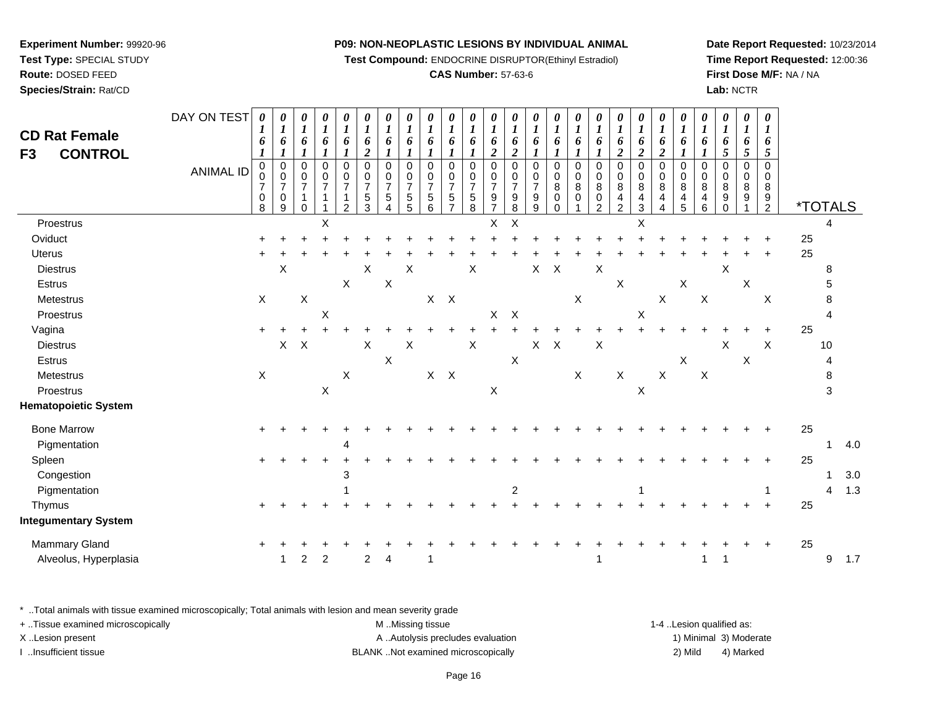**Test Compound:** ENDOCRINE DISRUPTOR(Ethinyl Estradiol)

#### **CAS Number:** 57-63-6

**Date Report Requested:** 10/23/2014**Time Report Requested:** 12:00:36**First Dose M/F:** NA / NA**Lab:** NCTR

| <b>CD Rat Female</b><br><b>CONTROL</b><br>F <sub>3</sub> | DAY ON TEST<br><b>ANIMAL ID</b> | $\boldsymbol{\theta}$<br>1<br>6<br>$\boldsymbol{l}$<br>$\pmb{0}$<br>0<br>$\overline{7}$<br>$\pmb{0}$<br>8 | 0<br>$\boldsymbol{l}$<br>6<br>$\boldsymbol{l}$<br>$\mathbf 0$<br>$\frac{0}{7}$<br>$\,0\,$<br>9 | 0<br>$\boldsymbol{l}$<br>6<br>1<br>0<br>$\mathbf 0$<br>$\overline{7}$<br>1<br>$\Omega$ | 0<br>$\boldsymbol{l}$<br>6<br>1<br>0<br>$\pmb{0}$<br>$\overline{7}$<br>1 | 0<br>$\boldsymbol{l}$<br>6<br>1<br>$\pmb{0}$<br>$\mathbf 0$<br>$\overline{7}$<br>1<br>$\overline{2}$ | 0<br>$\boldsymbol{l}$<br>6<br>$\boldsymbol{2}$<br>$\mathbf 0$<br>$\pmb{0}$<br>$\overline{7}$<br>5<br>3 | 0<br>$\boldsymbol{l}$<br>6<br>1<br>0<br>0<br>$\overline{7}$<br>5<br>4 | 0<br>$\boldsymbol{l}$<br>6<br>1<br>$\mathbf 0$<br>0<br>$\overline{7}$<br>5<br>5 | 0<br>$\boldsymbol{l}$<br>6<br>0<br>$\mathbf 0$<br>$\overline{7}$<br>5<br>6 | 0<br>$\boldsymbol{l}$<br>6<br>$\mathbf 0$<br>0<br>7<br>5<br>$\overline{7}$ | 0<br>$\boldsymbol{l}$<br>6<br>$\mathbf 0$<br>$\pmb{0}$<br>$\overline{7}$<br>$\sqrt{5}$<br>8 | 0<br>$\boldsymbol{l}$<br>6<br>$\overline{\mathbf{c}}$<br>$\mathbf 0$<br>$\pmb{0}$<br>$\overline{7}$<br>9<br>$\overline{7}$ | 0<br>$\boldsymbol{l}$<br>6<br>$\overline{2}$<br>$\mathbf 0$<br>$\begin{array}{c} 0 \\ 7 \end{array}$<br>9<br>8 | 0<br>$\boldsymbol{l}$<br>6<br>$\mathbf 0$<br>0<br>$\overline{7}$<br>9<br>9 | 0<br>$\boldsymbol{l}$<br>6<br>$\boldsymbol{I}$<br>$\mathbf 0$<br>0<br>8<br>$\pmb{0}$<br>$\Omega$ | 0<br>$\boldsymbol{l}$<br>6<br>$\mathbf 0$<br>0<br>8<br>0 | 0<br>$\boldsymbol{l}$<br>6<br>0<br>0<br>8<br>$\pmb{0}$<br>$\overline{2}$ | 0<br>$\boldsymbol{l}$<br>6<br>$\boldsymbol{2}$<br>$\pmb{0}$<br>$\pmb{0}$<br>8<br>$\overline{\mathbf{4}}$<br>$\overline{2}$ | 0<br>$\boldsymbol{l}$<br>6<br>$\overline{\mathbf{c}}$<br>$\mathbf 0$<br>$\mathbf 0$<br>8<br>4<br>$\sqrt{3}$ | 0<br>$\boldsymbol{l}$<br>6<br>$\boldsymbol{2}$<br>$\mathbf 0$<br>$\pmb{0}$<br>8<br>4<br>4 | 0<br>$\boldsymbol{l}$<br>6<br>0<br>0<br>8<br>4<br>5 | 0<br>$\boldsymbol{l}$<br>6<br>0<br>0<br>8<br>4<br>6 | 0<br>$\boldsymbol{l}$<br>6<br>5<br>0<br>0<br>8<br>9<br>0 | 0<br>$\boldsymbol{l}$<br>6<br>5<br>0<br>0<br>8<br>9 | 0<br>$\boldsymbol{l}$<br>6<br>$\mathfrak{s}$<br>0<br>0<br>8<br>$\frac{9}{2}$ | <i><b>*TOTALS</b></i> |    |     |
|----------------------------------------------------------|---------------------------------|-----------------------------------------------------------------------------------------------------------|------------------------------------------------------------------------------------------------|----------------------------------------------------------------------------------------|--------------------------------------------------------------------------|------------------------------------------------------------------------------------------------------|--------------------------------------------------------------------------------------------------------|-----------------------------------------------------------------------|---------------------------------------------------------------------------------|----------------------------------------------------------------------------|----------------------------------------------------------------------------|---------------------------------------------------------------------------------------------|----------------------------------------------------------------------------------------------------------------------------|----------------------------------------------------------------------------------------------------------------|----------------------------------------------------------------------------|--------------------------------------------------------------------------------------------------|----------------------------------------------------------|--------------------------------------------------------------------------|----------------------------------------------------------------------------------------------------------------------------|-------------------------------------------------------------------------------------------------------------|-------------------------------------------------------------------------------------------|-----------------------------------------------------|-----------------------------------------------------|----------------------------------------------------------|-----------------------------------------------------|------------------------------------------------------------------------------|-----------------------|----|-----|
| Proestrus                                                |                                 |                                                                                                           |                                                                                                |                                                                                        | X                                                                        |                                                                                                      |                                                                                                        |                                                                       |                                                                                 |                                                                            |                                                                            |                                                                                             | X                                                                                                                          | $\boldsymbol{\mathsf{X}}$                                                                                      |                                                                            |                                                                                                  |                                                          |                                                                          |                                                                                                                            | X                                                                                                           |                                                                                           |                                                     |                                                     |                                                          |                                                     |                                                                              |                       | 4  |     |
| Oviduct                                                  |                                 |                                                                                                           |                                                                                                |                                                                                        |                                                                          |                                                                                                      |                                                                                                        |                                                                       |                                                                                 |                                                                            |                                                                            |                                                                                             |                                                                                                                            |                                                                                                                |                                                                            |                                                                                                  |                                                          |                                                                          |                                                                                                                            |                                                                                                             |                                                                                           |                                                     |                                                     |                                                          |                                                     |                                                                              | 25                    |    |     |
| Uterus                                                   |                                 |                                                                                                           |                                                                                                |                                                                                        |                                                                          |                                                                                                      |                                                                                                        |                                                                       |                                                                                 |                                                                            |                                                                            |                                                                                             |                                                                                                                            |                                                                                                                |                                                                            |                                                                                                  |                                                          |                                                                          |                                                                                                                            |                                                                                                             |                                                                                           |                                                     |                                                     |                                                          |                                                     |                                                                              | 25                    |    |     |
| <b>Diestrus</b>                                          |                                 |                                                                                                           | X                                                                                              |                                                                                        |                                                                          |                                                                                                      | Χ                                                                                                      |                                                                       | X                                                                               |                                                                            |                                                                            | X                                                                                           |                                                                                                                            |                                                                                                                | $\mathsf X$                                                                | $\boldsymbol{X}$                                                                                 |                                                          | $\pmb{\times}$                                                           |                                                                                                                            |                                                                                                             |                                                                                           |                                                     |                                                     | X                                                        |                                                     |                                                                              |                       | 8  |     |
| Estrus                                                   |                                 |                                                                                                           |                                                                                                |                                                                                        |                                                                          | $\boldsymbol{\mathsf{X}}$                                                                            |                                                                                                        | $\mathsf X$                                                           |                                                                                 |                                                                            |                                                                            |                                                                                             |                                                                                                                            |                                                                                                                |                                                                            |                                                                                                  |                                                          |                                                                          | $\mathsf X$                                                                                                                |                                                                                                             |                                                                                           | $\mathsf X$                                         |                                                     |                                                          | $\mathsf X$                                         |                                                                              |                       | 5  |     |
| Metestrus                                                |                                 | $\mathsf{X}$                                                                                              |                                                                                                | $\mathsf X$                                                                            |                                                                          |                                                                                                      |                                                                                                        |                                                                       |                                                                                 |                                                                            | $X$ $X$                                                                    |                                                                                             |                                                                                                                            |                                                                                                                |                                                                            |                                                                                                  | X                                                        |                                                                          |                                                                                                                            |                                                                                                             | X                                                                                         |                                                     | X                                                   |                                                          |                                                     | $\mathsf X$                                                                  |                       | 8  |     |
| Proestrus                                                |                                 |                                                                                                           |                                                                                                |                                                                                        | X                                                                        |                                                                                                      |                                                                                                        |                                                                       |                                                                                 |                                                                            |                                                                            |                                                                                             | $\mathsf{X}$                                                                                                               | $\mathsf{X}$                                                                                                   |                                                                            |                                                                                                  |                                                          |                                                                          |                                                                                                                            | $\boldsymbol{\mathsf{X}}$                                                                                   |                                                                                           |                                                     |                                                     |                                                          |                                                     |                                                                              |                       |    |     |
| Vagina                                                   |                                 |                                                                                                           |                                                                                                |                                                                                        |                                                                          |                                                                                                      |                                                                                                        |                                                                       |                                                                                 |                                                                            |                                                                            |                                                                                             |                                                                                                                            |                                                                                                                |                                                                            |                                                                                                  |                                                          |                                                                          |                                                                                                                            |                                                                                                             |                                                                                           |                                                     |                                                     |                                                          |                                                     | $\ddot{}$                                                                    | 25                    |    |     |
| <b>Diestrus</b>                                          |                                 |                                                                                                           | $\mathsf{X}$                                                                                   | $\boldsymbol{\mathsf{X}}$                                                              |                                                                          |                                                                                                      | $\mathsf X$                                                                                            |                                                                       | $\boldsymbol{\mathsf{X}}$                                                       |                                                                            |                                                                            | $\pmb{\times}$                                                                              |                                                                                                                            |                                                                                                                | $\pmb{\times}$                                                             | $\boldsymbol{\mathsf{X}}$                                                                        |                                                          | $\sf X$                                                                  |                                                                                                                            |                                                                                                             |                                                                                           |                                                     |                                                     | X                                                        |                                                     | $\pmb{\times}$                                                               |                       | 10 |     |
| Estrus                                                   |                                 |                                                                                                           |                                                                                                |                                                                                        |                                                                          |                                                                                                      |                                                                                                        | $\pmb{\times}$                                                        |                                                                                 |                                                                            |                                                                            |                                                                                             |                                                                                                                            | $\times$                                                                                                       |                                                                            |                                                                                                  |                                                          |                                                                          |                                                                                                                            |                                                                                                             |                                                                                           | $\boldsymbol{\mathsf{X}}$                           |                                                     |                                                          | $\times$                                            |                                                                              |                       | 4  |     |
| Metestrus                                                |                                 | $\mathsf{X}$                                                                                              |                                                                                                |                                                                                        |                                                                          | X                                                                                                    |                                                                                                        |                                                                       |                                                                                 |                                                                            | $\mathsf{X}-\mathsf{X}$                                                    |                                                                                             |                                                                                                                            |                                                                                                                |                                                                            |                                                                                                  | $\mathsf X$                                              |                                                                          | X                                                                                                                          |                                                                                                             | X                                                                                         |                                                     | $\boldsymbol{\mathsf{X}}$                           |                                                          |                                                     |                                                                              |                       | 8  |     |
| Proestrus                                                |                                 |                                                                                                           |                                                                                                |                                                                                        | $\boldsymbol{\mathsf{X}}$                                                |                                                                                                      |                                                                                                        |                                                                       |                                                                                 |                                                                            |                                                                            |                                                                                             | $\boldsymbol{\mathsf{X}}$                                                                                                  |                                                                                                                |                                                                            |                                                                                                  |                                                          |                                                                          |                                                                                                                            | $\boldsymbol{\mathsf{X}}$                                                                                   |                                                                                           |                                                     |                                                     |                                                          |                                                     |                                                                              |                       | 3  |     |
| <b>Hematopoietic System</b>                              |                                 |                                                                                                           |                                                                                                |                                                                                        |                                                                          |                                                                                                      |                                                                                                        |                                                                       |                                                                                 |                                                                            |                                                                            |                                                                                             |                                                                                                                            |                                                                                                                |                                                                            |                                                                                                  |                                                          |                                                                          |                                                                                                                            |                                                                                                             |                                                                                           |                                                     |                                                     |                                                          |                                                     |                                                                              |                       |    |     |
| <b>Bone Marrow</b>                                       |                                 |                                                                                                           |                                                                                                |                                                                                        |                                                                          |                                                                                                      |                                                                                                        |                                                                       |                                                                                 |                                                                            |                                                                            |                                                                                             |                                                                                                                            |                                                                                                                |                                                                            |                                                                                                  |                                                          |                                                                          |                                                                                                                            |                                                                                                             |                                                                                           |                                                     |                                                     |                                                          |                                                     |                                                                              | 25                    |    |     |
| Pigmentation                                             |                                 |                                                                                                           |                                                                                                |                                                                                        |                                                                          | Δ                                                                                                    |                                                                                                        |                                                                       |                                                                                 |                                                                            |                                                                            |                                                                                             |                                                                                                                            |                                                                                                                |                                                                            |                                                                                                  |                                                          |                                                                          |                                                                                                                            |                                                                                                             |                                                                                           |                                                     |                                                     |                                                          |                                                     |                                                                              |                       | 1  | 4.0 |
| Spleen                                                   |                                 |                                                                                                           |                                                                                                |                                                                                        |                                                                          |                                                                                                      |                                                                                                        |                                                                       |                                                                                 |                                                                            |                                                                            |                                                                                             |                                                                                                                            |                                                                                                                |                                                                            |                                                                                                  |                                                          |                                                                          |                                                                                                                            |                                                                                                             |                                                                                           |                                                     |                                                     |                                                          |                                                     |                                                                              | 25                    |    |     |
| Congestion                                               |                                 |                                                                                                           |                                                                                                |                                                                                        |                                                                          | 3                                                                                                    |                                                                                                        |                                                                       |                                                                                 |                                                                            |                                                                            |                                                                                             |                                                                                                                            |                                                                                                                |                                                                            |                                                                                                  |                                                          |                                                                          |                                                                                                                            |                                                                                                             |                                                                                           |                                                     |                                                     |                                                          |                                                     |                                                                              |                       |    | 3.0 |
| Pigmentation                                             |                                 |                                                                                                           |                                                                                                |                                                                                        |                                                                          |                                                                                                      |                                                                                                        |                                                                       |                                                                                 |                                                                            |                                                                            |                                                                                             |                                                                                                                            | $\overline{2}$                                                                                                 |                                                                            |                                                                                                  |                                                          |                                                                          |                                                                                                                            |                                                                                                             |                                                                                           |                                                     |                                                     |                                                          |                                                     |                                                                              |                       | 4  | 1.3 |
| Thymus                                                   |                                 | $\ddot{}$                                                                                                 |                                                                                                |                                                                                        |                                                                          |                                                                                                      |                                                                                                        |                                                                       |                                                                                 |                                                                            |                                                                            |                                                                                             |                                                                                                                            |                                                                                                                |                                                                            |                                                                                                  |                                                          |                                                                          |                                                                                                                            |                                                                                                             |                                                                                           |                                                     |                                                     |                                                          |                                                     |                                                                              | 25                    |    |     |
| <b>Integumentary System</b>                              |                                 |                                                                                                           |                                                                                                |                                                                                        |                                                                          |                                                                                                      |                                                                                                        |                                                                       |                                                                                 |                                                                            |                                                                            |                                                                                             |                                                                                                                            |                                                                                                                |                                                                            |                                                                                                  |                                                          |                                                                          |                                                                                                                            |                                                                                                             |                                                                                           |                                                     |                                                     |                                                          |                                                     |                                                                              |                       |    |     |
| Mammary Gland                                            |                                 |                                                                                                           |                                                                                                |                                                                                        |                                                                          |                                                                                                      |                                                                                                        |                                                                       |                                                                                 |                                                                            |                                                                            |                                                                                             |                                                                                                                            |                                                                                                                |                                                                            |                                                                                                  |                                                          |                                                                          |                                                                                                                            |                                                                                                             |                                                                                           |                                                     |                                                     |                                                          |                                                     |                                                                              | 25                    |    |     |
| Alveolus, Hyperplasia                                    |                                 |                                                                                                           | 1                                                                                              | 2                                                                                      | 2                                                                        |                                                                                                      | 2                                                                                                      | 4                                                                     |                                                                                 |                                                                            |                                                                            |                                                                                             |                                                                                                                            |                                                                                                                |                                                                            |                                                                                                  |                                                          |                                                                          |                                                                                                                            |                                                                                                             |                                                                                           |                                                     |                                                     | 1                                                        |                                                     |                                                                              |                       | 9  | 1.7 |

\* ..Total animals with tissue examined microscopically; Total animals with lesion and mean severity grade

| + Tissue examined microscopically | M Missing tissue                   | 1-4 Lesion qualified as: |                        |
|-----------------------------------|------------------------------------|--------------------------|------------------------|
| X Lesion present                  | A Autolysis precludes evaluation   |                          | 1) Minimal 3) Moderate |
| …Insufficient tissue              | BLANK Not examined microscopically | 2) Mild                  | 4) Marked              |

**Experiment Number:** 99920-96

**Test Type:** SPECIAL STUDY

**Route:** DOSED FEED

**Species/Strain:** Rat/CD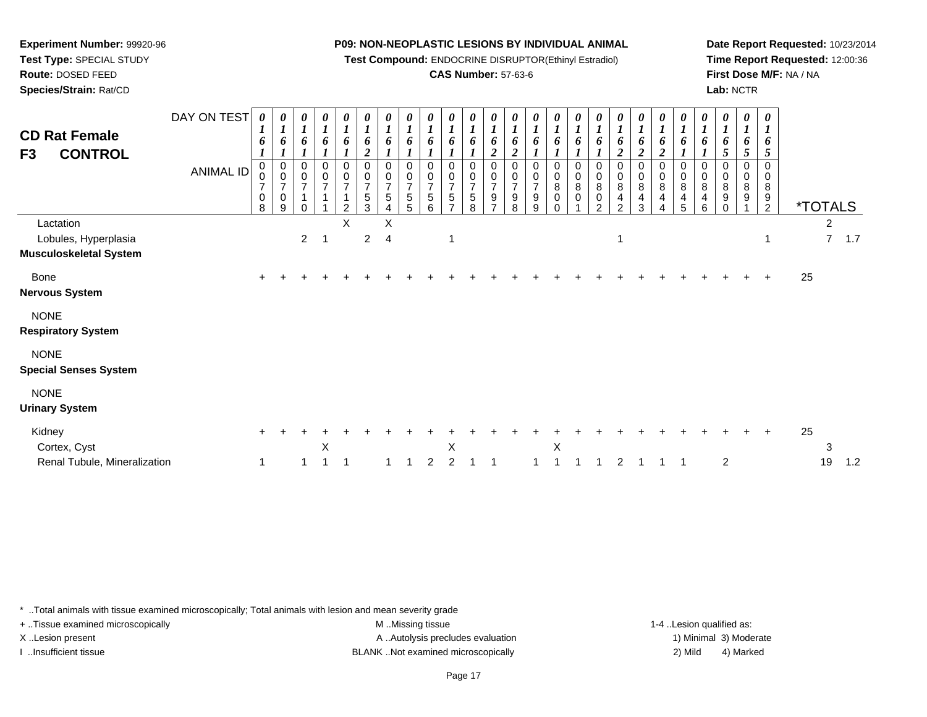**Test Compound:** ENDOCRINE DISRUPTOR(Ethinyl Estradiol)

# **CAS Number:** 57-63-6

**Date Report Requested:** 10/23/2014**Time Report Requested:** 12:00:36**First Dose M/F:** NA / NA**Lab:** NCTR

| <b>CD Rat Female</b><br><b>CONTROL</b><br>F3                       | DAY ON TEST<br><b>ANIMAL ID</b> | $\boldsymbol{\theta}$<br>$\bf{l}$<br>6<br>0<br>0<br>$\overline{\mathbf{7}}$<br>$\pmb{0}$<br>8 | 0<br>$\boldsymbol{l}$<br>6<br>$\begin{smallmatrix}0\\0\end{smallmatrix}$<br>$\boldsymbol{7}$<br>$\pmb{0}$<br>9 | $\frac{\boldsymbol{0}}{\boldsymbol{1}}$<br>6<br>0<br>$\mathsf{O}\xspace$<br>$\overline{7}$<br>$\mathbf{1}$<br>0 | 0<br>$\boldsymbol{l}$<br>6<br>0<br>$\frac{0}{7}$<br>$\overline{A}$ | $\boldsymbol{\theta}$<br>$\boldsymbol{l}$<br>6<br>0<br>$\frac{0}{7}$<br>$\mathbf 1$<br>C | $\boldsymbol{\theta}$<br>$\boldsymbol{l}$<br>6<br>$\overline{c}$<br>0<br>$\frac{0}{7}$<br>5<br>3 | $\boldsymbol{\theta}$<br>$\boldsymbol{l}$<br>6<br>0<br>0<br>$\overline{7}$<br>5 | $\boldsymbol{\theta}$<br>$\boldsymbol{l}$<br>$\Omega$<br>0<br>$\overline{7}$<br>5 | U<br>6<br>0<br>0<br>$\overline{7}$<br>5<br>6 | 0<br>$\boldsymbol{l}$<br>6<br>0<br>0<br>$\overline{7}$<br>5<br>$\overline{ }$ | 0<br>$\boldsymbol{l}$<br>6<br>0<br>$\frac{0}{7}$<br>$\,$ 5 $\,$<br>8 | 0<br>$\boldsymbol{l}$<br>6<br>$\boldsymbol{2}$<br>0<br>$\pmb{0}$<br>$\boldsymbol{7}$<br>$\boldsymbol{9}$<br>7 | 0<br>$\boldsymbol{l}$<br>6<br>$\overline{2}$<br>0<br>$\frac{0}{7}$<br>$\begin{array}{c} 9 \\ 8 \end{array}$ | $\boldsymbol{\theta}$<br>$\boldsymbol{l}$<br>6<br>0<br>$\begin{smallmatrix}0\\7\end{smallmatrix}$<br>9<br>9 | 1<br>6<br>0<br>0<br>8<br>0 | 6<br>0<br>0<br>8<br>0 | $\boldsymbol{\theta}$<br>6<br>0<br>$\pmb{0}$<br>8<br>0<br>$\mathfrak{D}$ | 0<br>$\boldsymbol{l}$<br>6<br>$\boldsymbol{2}$<br>0<br>$\pmb{0}$<br>8<br>4<br>$\overline{2}$ | 0<br>$\boldsymbol{l}$<br>6<br>2<br>0<br>$\pmb{0}$<br>$\bf8$<br>4<br>3 | $\boldsymbol{\theta}$<br>$\boldsymbol{l}$<br>6<br>2<br>0<br>$\pmb{0}$<br>$\bf 8$<br>4<br>4 | $\boldsymbol{\theta}$<br>$\boldsymbol{l}$<br>6<br>0<br>$\mathbf 0$<br>8<br>4<br>5 | 0<br>$\boldsymbol{l}$<br>6<br>0<br>0<br>8<br>4<br>6 | 0<br>$\boldsymbol{l}$<br>6<br>5<br>0<br>0<br>8<br>9<br>$\Omega$ | 0<br>$\boldsymbol{l}$<br>6<br>5<br>0<br>0<br>8<br>9 | $\boldsymbol{\theta}$<br>$\boldsymbol{I}$<br>6<br>$\mathfrak{s}$<br>$\mathbf 0$<br>0<br>8<br>$\frac{9}{2}$ |    | <i><b>*TOTALS</b></i> |     |
|--------------------------------------------------------------------|---------------------------------|-----------------------------------------------------------------------------------------------|----------------------------------------------------------------------------------------------------------------|-----------------------------------------------------------------------------------------------------------------|--------------------------------------------------------------------|------------------------------------------------------------------------------------------|--------------------------------------------------------------------------------------------------|---------------------------------------------------------------------------------|-----------------------------------------------------------------------------------|----------------------------------------------|-------------------------------------------------------------------------------|----------------------------------------------------------------------|---------------------------------------------------------------------------------------------------------------|-------------------------------------------------------------------------------------------------------------|-------------------------------------------------------------------------------------------------------------|----------------------------|-----------------------|--------------------------------------------------------------------------|----------------------------------------------------------------------------------------------|-----------------------------------------------------------------------|--------------------------------------------------------------------------------------------|-----------------------------------------------------------------------------------|-----------------------------------------------------|-----------------------------------------------------------------|-----------------------------------------------------|------------------------------------------------------------------------------------------------------------|----|-----------------------|-----|
| Lactation<br>Lobules, Hyperplasia<br><b>Musculoskeletal System</b> |                                 |                                                                                               |                                                                                                                | $\overline{2}$                                                                                                  | -1                                                                 | X                                                                                        | $\overline{2}$                                                                                   | X<br>$\overline{4}$                                                             |                                                                                   |                                              | 1                                                                             |                                                                      |                                                                                                               |                                                                                                             |                                                                                                             |                            |                       |                                                                          |                                                                                              |                                                                       |                                                                                            |                                                                                   |                                                     |                                                                 |                                                     | $\mathbf 1$                                                                                                |    | 2<br>$\overline{7}$   | 1.7 |
| Bone<br><b>Nervous System</b>                                      |                                 |                                                                                               |                                                                                                                |                                                                                                                 |                                                                    |                                                                                          |                                                                                                  |                                                                                 |                                                                                   |                                              |                                                                               |                                                                      |                                                                                                               |                                                                                                             |                                                                                                             |                            |                       |                                                                          |                                                                                              |                                                                       |                                                                                            |                                                                                   |                                                     |                                                                 |                                                     |                                                                                                            | 25 |                       |     |
| <b>NONE</b><br><b>Respiratory System</b>                           |                                 |                                                                                               |                                                                                                                |                                                                                                                 |                                                                    |                                                                                          |                                                                                                  |                                                                                 |                                                                                   |                                              |                                                                               |                                                                      |                                                                                                               |                                                                                                             |                                                                                                             |                            |                       |                                                                          |                                                                                              |                                                                       |                                                                                            |                                                                                   |                                                     |                                                                 |                                                     |                                                                                                            |    |                       |     |
| <b>NONE</b><br><b>Special Senses System</b>                        |                                 |                                                                                               |                                                                                                                |                                                                                                                 |                                                                    |                                                                                          |                                                                                                  |                                                                                 |                                                                                   |                                              |                                                                               |                                                                      |                                                                                                               |                                                                                                             |                                                                                                             |                            |                       |                                                                          |                                                                                              |                                                                       |                                                                                            |                                                                                   |                                                     |                                                                 |                                                     |                                                                                                            |    |                       |     |
| <b>NONE</b><br><b>Urinary System</b>                               |                                 |                                                                                               |                                                                                                                |                                                                                                                 |                                                                    |                                                                                          |                                                                                                  |                                                                                 |                                                                                   |                                              |                                                                               |                                                                      |                                                                                                               |                                                                                                             |                                                                                                             |                            |                       |                                                                          |                                                                                              |                                                                       |                                                                                            |                                                                                   |                                                     |                                                                 |                                                     |                                                                                                            |    |                       |     |
| Kidney<br>Cortex, Cyst<br>Renal Tubule, Mineralization             |                                 | $\pm$<br>1                                                                                    |                                                                                                                |                                                                                                                 | X                                                                  | 1                                                                                        |                                                                                                  |                                                                                 |                                                                                   | 2                                            | Χ<br>っ                                                                        |                                                                      |                                                                                                               |                                                                                                             |                                                                                                             | X                          |                       |                                                                          | 2                                                                                            |                                                                       |                                                                                            |                                                                                   |                                                     | $\overline{c}$                                                  |                                                     |                                                                                                            | 25 | 3<br>19               | 1.2 |

\* ..Total animals with tissue examined microscopically; Total animals with lesion and mean severity grade

**Experiment Number:** 99920-96**Test Type:** SPECIAL STUDY**Route:** DOSED FEED**Species/Strain:** Rat/CD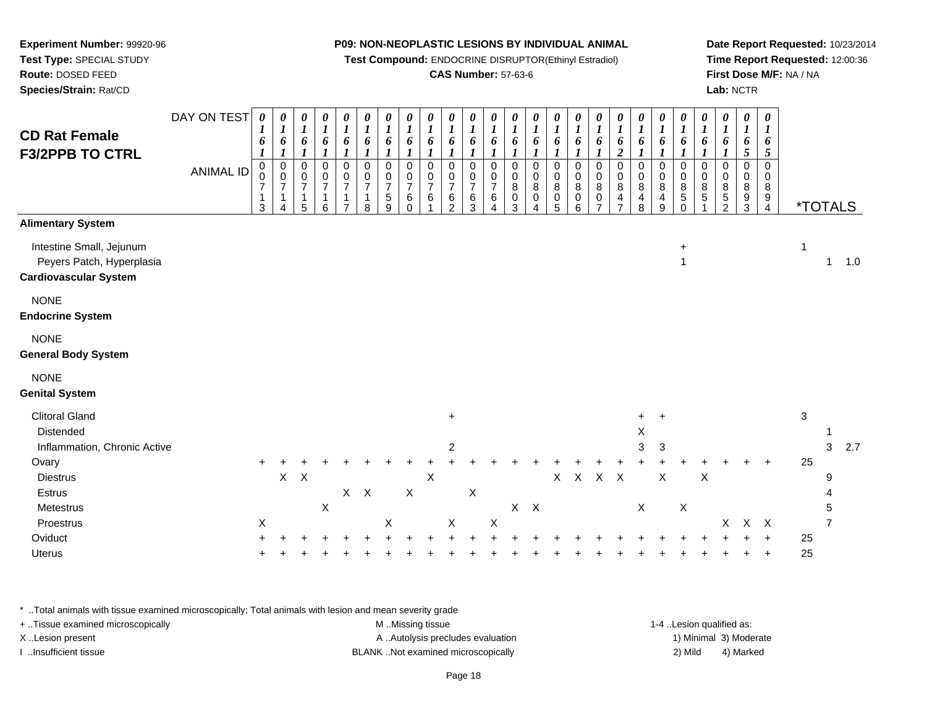**Test Compound:** ENDOCRINE DISRUPTOR(Ethinyl Estradiol)

# **CAS Number:** 57-63-6

**Date Report Requested:** 10/23/2014**Time Report Requested:** 12:00:36**First Dose M/F:** NA / NA**Lab:** NCTR

| <b>CD Rat Female</b><br><b>F3/2PPB TO CTRL</b>                                                                        | DAY ON TEST<br><b>ANIMAL ID</b> | $\boldsymbol{\theta}$<br>1<br>6<br>$\pmb{0}$<br>$\pmb{0}$<br>$\boldsymbol{7}$<br>$\mathbf{1}$<br>3 | 0<br>1<br>6<br>$\pmb{0}$<br>0<br>$\overline{7}$<br>$\mathbf 1$<br>Δ | 0<br>$\boldsymbol{l}$<br>6<br>$\pmb{0}$<br>$\pmb{0}$<br>$\overline{7}$<br>$\mathbf{1}$<br>5 | 0<br>$\boldsymbol{l}$<br>6<br>$\boldsymbol{l}$<br>$\pmb{0}$<br>$\pmb{0}$<br>$\boldsymbol{7}$<br>1<br>6 | 0<br>$\boldsymbol{l}$<br>6<br>$\pmb{0}$<br>$\pmb{0}$<br>$\overline{7}$<br>1<br>$\overline{ }$ | 0<br>$\boldsymbol{l}$<br>6<br>$\mathbf 0$<br>0<br>$\overline{7}$<br>1<br>8 | 0<br>$\boldsymbol{l}$<br>6<br>$\mathbf 0$<br>0<br>$\overline{7}$<br>$\,$ 5 $\,$<br>9 | 0<br>$\bm{l}$<br>6<br>$\mathsf 0$<br>$\mathbf 0$<br>$\overline{7}$<br>$\,6$<br>$\Omega$ | 0<br>$\boldsymbol{l}$<br>6<br>0<br>$\mathbf 0$<br>$\overline{7}$<br>$\,6\,$ | 0<br>$\boldsymbol{l}$<br>6<br>0<br>0<br>$\overline{7}$<br>$\,6\,$<br>2 | 0<br>$\boldsymbol{l}$<br>6<br>$\boldsymbol{l}$<br>$\mathbf 0$<br>$\mathbf 0$<br>$\overline{7}$<br>$\,6$<br>3 | 0<br>$\boldsymbol{l}$<br>6<br>$\mathbf 0$<br>$\pmb{0}$<br>$\overline{7}$<br>6<br>4 | $\boldsymbol{\theta}$<br>$\boldsymbol{l}$<br>6<br>$\boldsymbol{l}$<br>$\pmb{0}$<br>0<br>8<br>$\pmb{0}$<br>3 | 0<br>$\boldsymbol{l}$<br>6<br>$\boldsymbol{l}$<br>$\mathsf 0$<br>0<br>8<br>$\pmb{0}$<br>$\Delta$ | 0<br>$\boldsymbol{l}$<br>6<br>$\mathbf 0$<br>0<br>8<br>0<br>5 | $\boldsymbol{\theta}$<br>$\boldsymbol{l}$<br>6<br>0<br>0<br>8<br>$\pmb{0}$<br>6 | 0<br>$\boldsymbol{l}$<br>6<br>$\mathsf 0$<br>0<br>8<br>$\pmb{0}$<br>$\overline{ }$ | 0<br>$\boldsymbol{l}$<br>6<br>$\boldsymbol{2}$<br>$\mathbf 0$<br>$\mathbf 0$<br>$\bf 8$<br>$\overline{\mathbf{4}}$<br>$\overline{7}$ | 0<br>$\boldsymbol{l}$<br>6<br>$\mathsf 0$<br>0<br>8<br>$\overline{\mathbf{4}}$<br>8 | 0<br>$\boldsymbol{l}$<br>6<br>$\mathbf 0$<br>$\Omega$<br>8<br>4<br>9 | 0<br>$\boldsymbol{l}$<br>6<br>$\Omega$<br>$\Omega$<br>8<br>$\mathbf 5$<br>$\Omega$ | 0<br>$\boldsymbol{l}$<br>6<br>$\mathbf 0$<br>$\mathbf 0$<br>8<br>$\,$ 5 $\,$ | 0<br>$\boldsymbol{l}$<br>6<br>0<br>0<br>8<br>$\overline{5}$<br>$\overline{2}$ | 0<br>$\boldsymbol{l}$<br>6<br>5<br>0<br>0<br>$\bf 8$<br>$\boldsymbol{9}$<br>3 | 0<br>$\bm{l}$<br>6<br>5<br>$\mathbf 0$<br>$\mathbf 0$<br>8<br>9<br>$\overline{4}$ | <i><b>*TOTALS</b></i> |                  |     |
|-----------------------------------------------------------------------------------------------------------------------|---------------------------------|----------------------------------------------------------------------------------------------------|---------------------------------------------------------------------|---------------------------------------------------------------------------------------------|--------------------------------------------------------------------------------------------------------|-----------------------------------------------------------------------------------------------|----------------------------------------------------------------------------|--------------------------------------------------------------------------------------|-----------------------------------------------------------------------------------------|-----------------------------------------------------------------------------|------------------------------------------------------------------------|--------------------------------------------------------------------------------------------------------------|------------------------------------------------------------------------------------|-------------------------------------------------------------------------------------------------------------|--------------------------------------------------------------------------------------------------|---------------------------------------------------------------|---------------------------------------------------------------------------------|------------------------------------------------------------------------------------|--------------------------------------------------------------------------------------------------------------------------------------|-------------------------------------------------------------------------------------|----------------------------------------------------------------------|------------------------------------------------------------------------------------|------------------------------------------------------------------------------|-------------------------------------------------------------------------------|-------------------------------------------------------------------------------|-----------------------------------------------------------------------------------|-----------------------|------------------|-----|
| <b>Alimentary System</b>                                                                                              |                                 |                                                                                                    |                                                                     |                                                                                             |                                                                                                        |                                                                                               |                                                                            |                                                                                      |                                                                                         |                                                                             |                                                                        |                                                                                                              |                                                                                    |                                                                                                             |                                                                                                  |                                                               |                                                                                 |                                                                                    |                                                                                                                                      |                                                                                     |                                                                      |                                                                                    |                                                                              |                                                                               |                                                                               |                                                                                   |                       |                  |     |
| Intestine Small, Jejunum<br>Peyers Patch, Hyperplasia<br><b>Cardiovascular System</b>                                 |                                 |                                                                                                    |                                                                     |                                                                                             |                                                                                                        |                                                                                               |                                                                            |                                                                                      |                                                                                         |                                                                             |                                                                        |                                                                                                              |                                                                                    |                                                                                                             |                                                                                                  |                                                               |                                                                                 |                                                                                    |                                                                                                                                      |                                                                                     |                                                                      | $\ddot{}$<br>$\mathbf{1}$                                                          |                                                                              |                                                                               |                                                                               |                                                                                   | 1                     | $\mathbf{1}$     | 1.0 |
| <b>NONE</b><br><b>Endocrine System</b>                                                                                |                                 |                                                                                                    |                                                                     |                                                                                             |                                                                                                        |                                                                                               |                                                                            |                                                                                      |                                                                                         |                                                                             |                                                                        |                                                                                                              |                                                                                    |                                                                                                             |                                                                                                  |                                                               |                                                                                 |                                                                                    |                                                                                                                                      |                                                                                     |                                                                      |                                                                                    |                                                                              |                                                                               |                                                                               |                                                                                   |                       |                  |     |
| <b>NONE</b><br><b>General Body System</b>                                                                             |                                 |                                                                                                    |                                                                     |                                                                                             |                                                                                                        |                                                                                               |                                                                            |                                                                                      |                                                                                         |                                                                             |                                                                        |                                                                                                              |                                                                                    |                                                                                                             |                                                                                                  |                                                               |                                                                                 |                                                                                    |                                                                                                                                      |                                                                                     |                                                                      |                                                                                    |                                                                              |                                                                               |                                                                               |                                                                                   |                       |                  |     |
| <b>NONE</b><br><b>Genital System</b>                                                                                  |                                 |                                                                                                    |                                                                     |                                                                                             |                                                                                                        |                                                                                               |                                                                            |                                                                                      |                                                                                         |                                                                             |                                                                        |                                                                                                              |                                                                                    |                                                                                                             |                                                                                                  |                                                               |                                                                                 |                                                                                    |                                                                                                                                      |                                                                                     |                                                                      |                                                                                    |                                                                              |                                                                               |                                                                               |                                                                                   |                       |                  |     |
| <b>Clitoral Gland</b><br>Distended<br>Inflammation, Chronic Active<br>Ovary<br><b>Diestrus</b><br>Estrus<br>Metestrus |                                 | $\ddot{}$                                                                                          | $\mathsf X$                                                         | $\times$                                                                                    | $\pmb{\times}$                                                                                         | $X$ $X$                                                                                       |                                                                            |                                                                                      | $\mathsf X$                                                                             | $\mathsf X$                                                                 | $\pm$<br>2                                                             | $\boldsymbol{\mathsf{X}}$                                                                                    |                                                                                    | $\mathsf{X}$                                                                                                | $\mathsf{X}$                                                                                     | X                                                             | $\mathsf X$                                                                     | $\mathsf{X}$                                                                       | $\mathsf{X}$                                                                                                                         | $\ddot{}$<br>Χ<br>3<br>$\boldsymbol{\mathsf{X}}$                                    | $\ddot{}$<br>3<br>$\sf X$                                            | $\boldsymbol{\mathsf{X}}$                                                          | $\mathsf X$                                                                  |                                                                               |                                                                               |                                                                                   | $\mathbf{3}$<br>25    | 1<br>3<br>9<br>5 | 2.7 |
| Proestrus                                                                                                             |                                 | $\mathsf X$                                                                                        |                                                                     |                                                                                             |                                                                                                        |                                                                                               |                                                                            | X                                                                                    |                                                                                         |                                                                             | X                                                                      |                                                                                                              | $\pmb{\times}$                                                                     |                                                                                                             |                                                                                                  |                                                               |                                                                                 |                                                                                    |                                                                                                                                      |                                                                                     |                                                                      |                                                                                    |                                                                              | X                                                                             | $X$ $X$                                                                       |                                                                                   |                       | $\overline{7}$   |     |
| Oviduct<br>Uterus                                                                                                     |                                 |                                                                                                    |                                                                     |                                                                                             |                                                                                                        |                                                                                               |                                                                            |                                                                                      |                                                                                         |                                                                             |                                                                        |                                                                                                              |                                                                                    |                                                                                                             |                                                                                                  |                                                               |                                                                                 |                                                                                    |                                                                                                                                      |                                                                                     |                                                                      |                                                                                    |                                                                              |                                                                               |                                                                               |                                                                                   | 25<br>25              |                  |     |

\* ..Total animals with tissue examined microscopically; Total animals with lesion and mean severity grade

**Experiment Number:** 99920-96**Test Type:** SPECIAL STUDY**Route:** DOSED FEED**Species/Strain:** Rat/CD

| + Tissue examined microscopically | M Missing tissue                   | 1-4 Lesion qualified as: |                        |
|-----------------------------------|------------------------------------|--------------------------|------------------------|
| X Lesion present                  | A Autolysis precludes evaluation   |                          | 1) Minimal 3) Moderate |
| Insufficient tissue               | BLANK Not examined microscopically | 2) Mild                  | 4) Marked              |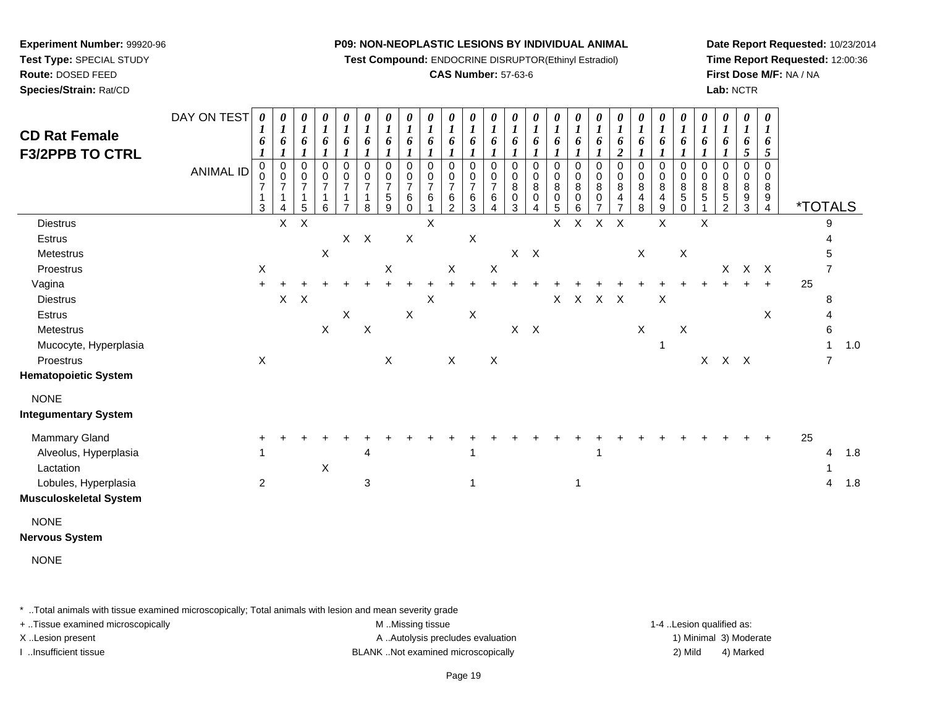**Test Compound:** ENDOCRINE DISRUPTOR(Ethinyl Estradiol)

#### **CAS Number:** 57-63-6

**Date Report Requested:** 10/23/2014**Time Report Requested:** 12:00:36**First Dose M/F:** NA / NA**Lab:** NCTR

| <b>CD Rat Female</b><br><b>F3/2PPB TO CTRL</b> | DAY ON TEST<br><b>ANIMAL ID</b> | 0<br>1<br>6<br>1<br>0<br>7<br>$\mathbf{1}$<br>3 | 0<br>$\boldsymbol{l}$<br>6<br>$_{\rm 0}^{\rm 0}$<br>$\overline{7}$<br>$\mathbf{1}$<br>4 | 0<br>$\boldsymbol{l}$<br>6<br>0<br>$\mathbf 0$<br>$\overline{7}$<br>$\mathbf{1}$<br>5 | 0<br>$\boldsymbol{l}$<br>6<br>$\mathbf 0$<br>$\pmb{0}$<br>$\overline{7}$<br>$\mathbf{1}$<br>6 | $\boldsymbol{\theta}$<br>$\boldsymbol{l}$<br>6<br>1<br>$\pmb{0}$<br>$\pmb{0}$<br>$\boldsymbol{7}$<br>$\mathbf{1}$<br>$\overline{7}$ | $\boldsymbol{\theta}$<br>$\boldsymbol{l}$<br>6<br>0<br>0<br>$\overline{7}$<br>1<br>8 | $\boldsymbol{\theta}$<br>$\boldsymbol{l}$<br>6<br>1<br>$\mathbf 0$<br>0<br>$\overline{7}$<br>5<br>9 | 0<br>1<br>6<br>$\Omega$<br>0<br>$\overline{7}$<br>6<br>$\Omega$ | $\boldsymbol{\theta}$<br>$\boldsymbol{l}$<br>6<br>0<br>0<br>$\overline{7}$<br>6 | 0<br>$\boldsymbol{l}$<br>6<br>$\mathbf 0$<br>0<br>$\overline{7}$<br>6<br>$\overline{c}$ | 0<br>$\boldsymbol{l}$<br>6<br>0<br>$\frac{0}{7}$<br>$\,6$<br>$\mathbf{3}$ | $\boldsymbol{\theta}$<br>$\boldsymbol{l}$<br>6<br>$\mathbf 0$<br>0<br>$\overline{7}$<br>6<br>4 | 0<br>$\boldsymbol{l}$<br>6<br>0<br>0<br>$\,8\,$<br>0<br>3 | 0<br>$\boldsymbol{l}$<br>6<br>0<br>0<br>8<br>$\mathbf 0$<br>4 | $\boldsymbol{\theta}$<br>$\boldsymbol{l}$<br>6<br>$\boldsymbol{l}$<br>0<br>$\mathbf 0$<br>$\bf8$<br>0<br>5 | $\boldsymbol{\theta}$<br>$\boldsymbol{l}$<br>6<br>$\pmb{0}$<br>$\pmb{0}$<br>$\overline{8}$<br>0<br>6 | $\boldsymbol{\theta}$<br>$\boldsymbol{l}$<br>6<br>0<br>0<br>8<br>$\mathbf 0$ | 0<br>$\boldsymbol{l}$<br>6<br>$\boldsymbol{2}$<br>0<br>$\pmb{0}$<br>$\bf 8$<br>4<br>$\overline{7}$ | $\boldsymbol{\theta}$<br>$\boldsymbol{l}$<br>6<br>$\mathbf 0$<br>0<br>$\, 8$<br>$\overline{4}$<br>8 | 0<br>$\boldsymbol{l}$<br>6<br>0<br>0<br>8<br>$\overline{4}$<br>9 | 0<br>$\boldsymbol{l}$<br>6<br>0<br>0<br>8<br>5<br>0 | $\boldsymbol{\theta}$<br>$\boldsymbol{l}$<br>6<br>$\Omega$<br>0<br>8<br>5 | 0<br>$\boldsymbol{l}$<br>6<br>$\mathbf 0$<br>$\mathbf 0$<br>8<br>$\,$ 5 $\,$<br>$\mathfrak{p}$ | 0<br>$\boldsymbol{l}$<br>6<br>5<br>0<br>0<br>8<br>$\frac{9}{3}$ | 0<br>1<br>6<br>5<br>$\Omega$<br>0<br>8<br>$\frac{9}{4}$ | <i><b>*TOTALS</b></i> |                |     |
|------------------------------------------------|---------------------------------|-------------------------------------------------|-----------------------------------------------------------------------------------------|---------------------------------------------------------------------------------------|-----------------------------------------------------------------------------------------------|-------------------------------------------------------------------------------------------------------------------------------------|--------------------------------------------------------------------------------------|-----------------------------------------------------------------------------------------------------|-----------------------------------------------------------------|---------------------------------------------------------------------------------|-----------------------------------------------------------------------------------------|---------------------------------------------------------------------------|------------------------------------------------------------------------------------------------|-----------------------------------------------------------|---------------------------------------------------------------|------------------------------------------------------------------------------------------------------------|------------------------------------------------------------------------------------------------------|------------------------------------------------------------------------------|----------------------------------------------------------------------------------------------------|-----------------------------------------------------------------------------------------------------|------------------------------------------------------------------|-----------------------------------------------------|---------------------------------------------------------------------------|------------------------------------------------------------------------------------------------|-----------------------------------------------------------------|---------------------------------------------------------|-----------------------|----------------|-----|
| <b>Diestrus</b>                                |                                 |                                                 | $\mathsf{X}$                                                                            | $\sf X$                                                                               |                                                                                               |                                                                                                                                     |                                                                                      |                                                                                                     |                                                                 | X                                                                               |                                                                                         |                                                                           |                                                                                                |                                                           |                                                               | X                                                                                                          | $\mathsf X$                                                                                          | $\mathsf X$                                                                  | $\mathsf{X}$                                                                                       |                                                                                                     | X                                                                |                                                     | $\sf X$                                                                   |                                                                                                |                                                                 |                                                         |                       | 9              |     |
| Estrus                                         |                                 |                                                 |                                                                                         |                                                                                       |                                                                                               | $X$ $X$                                                                                                                             |                                                                                      |                                                                                                     | $\mathsf X$                                                     |                                                                                 |                                                                                         | X                                                                         |                                                                                                |                                                           |                                                               |                                                                                                            |                                                                                                      |                                                                              |                                                                                                    |                                                                                                     |                                                                  |                                                     |                                                                           |                                                                                                |                                                                 |                                                         |                       |                |     |
| Metestrus                                      |                                 |                                                 |                                                                                         |                                                                                       | $\mathsf X$                                                                                   |                                                                                                                                     |                                                                                      |                                                                                                     |                                                                 |                                                                                 |                                                                                         |                                                                           |                                                                                                |                                                           | $X$ $X$                                                       |                                                                                                            |                                                                                                      |                                                                              |                                                                                                    | $\mathsf{X}$                                                                                        |                                                                  | $\mathsf X$                                         |                                                                           |                                                                                                |                                                                 |                                                         |                       |                |     |
| Proestrus                                      |                                 | $\mathsf{X}$                                    |                                                                                         |                                                                                       |                                                                                               |                                                                                                                                     |                                                                                      | X                                                                                                   |                                                                 |                                                                                 | $\mathsf X$                                                                             |                                                                           | $\pmb{\times}$                                                                                 |                                                           |                                                               |                                                                                                            |                                                                                                      |                                                                              |                                                                                                    |                                                                                                     |                                                                  |                                                     |                                                                           | $X -$                                                                                          |                                                                 | $X$ $X$                                                 |                       | 7              |     |
| Vagina                                         |                                 |                                                 |                                                                                         |                                                                                       |                                                                                               |                                                                                                                                     |                                                                                      |                                                                                                     |                                                                 |                                                                                 |                                                                                         |                                                                           |                                                                                                |                                                           |                                                               |                                                                                                            |                                                                                                      |                                                                              |                                                                                                    |                                                                                                     |                                                                  |                                                     |                                                                           |                                                                                                |                                                                 | $+$                                                     | 25                    |                |     |
| <b>Diestrus</b>                                |                                 |                                                 | $\mathsf{X}^-$                                                                          | $\boldsymbol{\mathsf{X}}$                                                             |                                                                                               |                                                                                                                                     |                                                                                      |                                                                                                     |                                                                 | $\boldsymbol{\mathsf{X}}$                                                       |                                                                                         |                                                                           |                                                                                                |                                                           |                                                               | X                                                                                                          |                                                                                                      | X X X                                                                        |                                                                                                    |                                                                                                     | $\boldsymbol{\mathsf{X}}$                                        |                                                     |                                                                           |                                                                                                |                                                                 |                                                         |                       | 8              |     |
| Estrus                                         |                                 |                                                 |                                                                                         |                                                                                       |                                                                                               | X                                                                                                                                   |                                                                                      |                                                                                                     | $\mathsf X$                                                     |                                                                                 |                                                                                         | $\boldsymbol{\mathsf{X}}$                                                 |                                                                                                |                                                           |                                                               |                                                                                                            |                                                                                                      |                                                                              |                                                                                                    |                                                                                                     |                                                                  |                                                     |                                                                           |                                                                                                |                                                                 | X                                                       |                       | 4              |     |
| Metestrus                                      |                                 |                                                 |                                                                                         |                                                                                       | $\mathsf X$                                                                                   |                                                                                                                                     | $\boldsymbol{\mathsf{X}}$                                                            |                                                                                                     |                                                                 |                                                                                 |                                                                                         |                                                                           |                                                                                                | $\mathsf X$                                               | $\mathsf{X}$                                                  |                                                                                                            |                                                                                                      |                                                                              |                                                                                                    | $\mathsf X$                                                                                         |                                                                  | $\boldsymbol{\mathsf{X}}$                           |                                                                           |                                                                                                |                                                                 |                                                         |                       | 6              |     |
| Mucocyte, Hyperplasia                          |                                 |                                                 |                                                                                         |                                                                                       |                                                                                               |                                                                                                                                     |                                                                                      |                                                                                                     |                                                                 |                                                                                 |                                                                                         |                                                                           |                                                                                                |                                                           |                                                               |                                                                                                            |                                                                                                      |                                                                              |                                                                                                    |                                                                                                     | $\mathbf 1$                                                      |                                                     |                                                                           |                                                                                                |                                                                 |                                                         |                       | $\mathbf{1}$   | 1.0 |
| Proestrus                                      |                                 | $\mathsf X$                                     |                                                                                         |                                                                                       |                                                                                               |                                                                                                                                     |                                                                                      | $\mathsf X$                                                                                         |                                                                 |                                                                                 | $\mathsf{X}$                                                                            |                                                                           | $\mathsf X$                                                                                    |                                                           |                                                               |                                                                                                            |                                                                                                      |                                                                              |                                                                                                    |                                                                                                     |                                                                  |                                                     |                                                                           | $X$ $X$ $X$                                                                                    |                                                                 |                                                         |                       | $\overline{7}$ |     |
| <b>Hematopoietic System</b>                    |                                 |                                                 |                                                                                         |                                                                                       |                                                                                               |                                                                                                                                     |                                                                                      |                                                                                                     |                                                                 |                                                                                 |                                                                                         |                                                                           |                                                                                                |                                                           |                                                               |                                                                                                            |                                                                                                      |                                                                              |                                                                                                    |                                                                                                     |                                                                  |                                                     |                                                                           |                                                                                                |                                                                 |                                                         |                       |                |     |
| <b>NONE</b>                                    |                                 |                                                 |                                                                                         |                                                                                       |                                                                                               |                                                                                                                                     |                                                                                      |                                                                                                     |                                                                 |                                                                                 |                                                                                         |                                                                           |                                                                                                |                                                           |                                                               |                                                                                                            |                                                                                                      |                                                                              |                                                                                                    |                                                                                                     |                                                                  |                                                     |                                                                           |                                                                                                |                                                                 |                                                         |                       |                |     |
| <b>Integumentary System</b>                    |                                 |                                                 |                                                                                         |                                                                                       |                                                                                               |                                                                                                                                     |                                                                                      |                                                                                                     |                                                                 |                                                                                 |                                                                                         |                                                                           |                                                                                                |                                                           |                                                               |                                                                                                            |                                                                                                      |                                                                              |                                                                                                    |                                                                                                     |                                                                  |                                                     |                                                                           |                                                                                                |                                                                 |                                                         |                       |                |     |
| Mammary Gland                                  |                                 |                                                 |                                                                                         |                                                                                       |                                                                                               |                                                                                                                                     |                                                                                      |                                                                                                     |                                                                 |                                                                                 |                                                                                         |                                                                           |                                                                                                |                                                           |                                                               |                                                                                                            |                                                                                                      |                                                                              |                                                                                                    |                                                                                                     |                                                                  |                                                     |                                                                           |                                                                                                |                                                                 |                                                         | 25                    |                |     |
| Alveolus, Hyperplasia                          |                                 |                                                 |                                                                                         |                                                                                       |                                                                                               |                                                                                                                                     | 4                                                                                    |                                                                                                     |                                                                 |                                                                                 |                                                                                         |                                                                           |                                                                                                |                                                           |                                                               |                                                                                                            |                                                                                                      |                                                                              |                                                                                                    |                                                                                                     |                                                                  |                                                     |                                                                           |                                                                                                |                                                                 |                                                         |                       | 4              | 1.8 |
| Lactation                                      |                                 |                                                 |                                                                                         |                                                                                       | $\mathsf X$                                                                                   |                                                                                                                                     |                                                                                      |                                                                                                     |                                                                 |                                                                                 |                                                                                         |                                                                           |                                                                                                |                                                           |                                                               |                                                                                                            |                                                                                                      |                                                                              |                                                                                                    |                                                                                                     |                                                                  |                                                     |                                                                           |                                                                                                |                                                                 |                                                         |                       | 1              |     |
| Lobules, Hyperplasia                           |                                 | $\overline{2}$                                  |                                                                                         |                                                                                       |                                                                                               |                                                                                                                                     | $\sqrt{3}$                                                                           |                                                                                                     |                                                                 |                                                                                 |                                                                                         | 1                                                                         |                                                                                                |                                                           |                                                               |                                                                                                            | 1                                                                                                    |                                                                              |                                                                                                    |                                                                                                     |                                                                  |                                                     |                                                                           |                                                                                                |                                                                 |                                                         |                       | $\overline{4}$ | 1.8 |
| <b>Musculoskeletal System</b>                  |                                 |                                                 |                                                                                         |                                                                                       |                                                                                               |                                                                                                                                     |                                                                                      |                                                                                                     |                                                                 |                                                                                 |                                                                                         |                                                                           |                                                                                                |                                                           |                                                               |                                                                                                            |                                                                                                      |                                                                              |                                                                                                    |                                                                                                     |                                                                  |                                                     |                                                                           |                                                                                                |                                                                 |                                                         |                       |                |     |
| <b>NONE</b>                                    |                                 |                                                 |                                                                                         |                                                                                       |                                                                                               |                                                                                                                                     |                                                                                      |                                                                                                     |                                                                 |                                                                                 |                                                                                         |                                                                           |                                                                                                |                                                           |                                                               |                                                                                                            |                                                                                                      |                                                                              |                                                                                                    |                                                                                                     |                                                                  |                                                     |                                                                           |                                                                                                |                                                                 |                                                         |                       |                |     |
| <b>Nervous System</b>                          |                                 |                                                 |                                                                                         |                                                                                       |                                                                                               |                                                                                                                                     |                                                                                      |                                                                                                     |                                                                 |                                                                                 |                                                                                         |                                                                           |                                                                                                |                                                           |                                                               |                                                                                                            |                                                                                                      |                                                                              |                                                                                                    |                                                                                                     |                                                                  |                                                     |                                                                           |                                                                                                |                                                                 |                                                         |                       |                |     |
| <b>NONE</b>                                    |                                 |                                                 |                                                                                         |                                                                                       |                                                                                               |                                                                                                                                     |                                                                                      |                                                                                                     |                                                                 |                                                                                 |                                                                                         |                                                                           |                                                                                                |                                                           |                                                               |                                                                                                            |                                                                                                      |                                                                              |                                                                                                    |                                                                                                     |                                                                  |                                                     |                                                                           |                                                                                                |                                                                 |                                                         |                       |                |     |

\* ..Total animals with tissue examined microscopically; Total animals with lesion and mean severity grade

**Experiment Number:** 99920-96**Test Type:** SPECIAL STUDY**Route:** DOSED FEED**Species/Strain:** Rat/CD

+ ..Tissue examined microscopically examined microscopically examined as:  $M$  ..Missing tissue 1-4 ..Lesion qualified as: X..Lesion present **A ..Autolysis precludes evaluation** A ..Autolysis precludes evaluation 1) Minimal 3) Moderate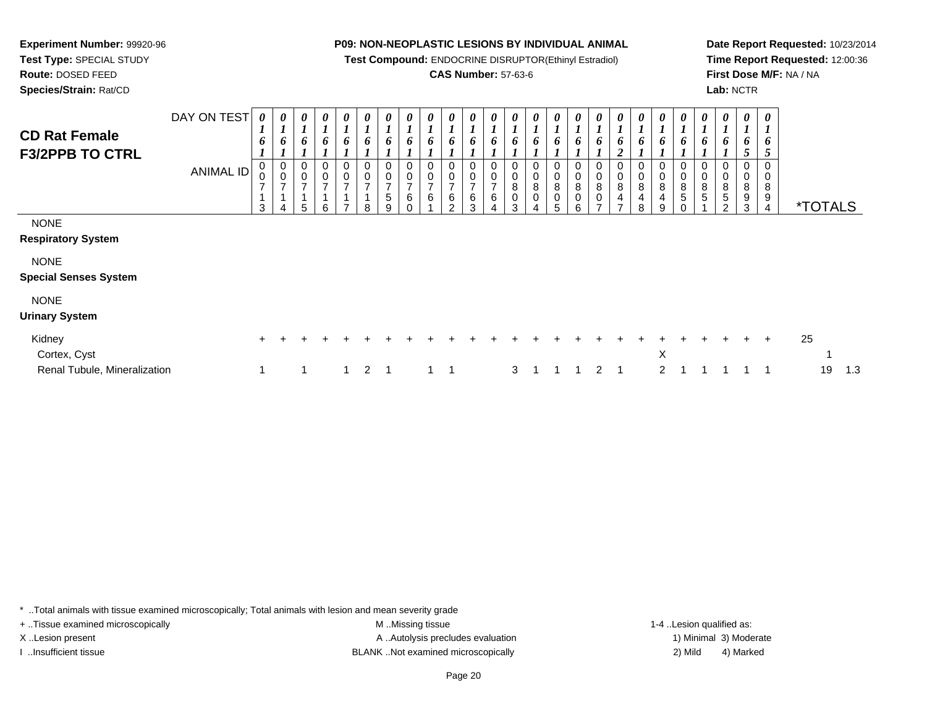**Test Compound:** ENDOCRINE DISRUPTOR(Ethinyl Estradiol)

# **CAS Number:** 57-63-6

**Date Report Requested:** 10/23/2014**Time Report Requested:** 12:00:36**First Dose M/F:** NA / NA**Lab:** NCTR

| <b>CD Rat Female</b><br><b>F3/2PPB TO CTRL</b> | DAY ON TEST<br><b>ANIMAL ID</b> | 0<br>$\mathbf{I}$<br>6<br>0<br>3 | $\boldsymbol{l}$<br>7 | 0<br>6<br>0<br>$\pmb{0}$<br>$\overline{ }$<br>5 | 0<br>6<br>0<br>$\overline{0}$<br>$\overline{\phantom{a}}$<br>6 | 0<br>6<br>0<br>$\pmb{0}$<br>$\overline{ }$<br>$\overline{ }$ | $\boldsymbol{\theta}$<br>1<br>6<br>0<br>$\pmb{0}$<br>$\overline{ }$<br>8 | 0<br>$\mathbf{I}$<br>L<br>6<br>$\pmb{0}$<br>$\mathbf 0$<br>$\overline{ }$<br>$\,$ 5 $\,$<br>9 | 0<br>$\mathbf{I}$<br>6<br>$\pmb{0}$<br>$\mathbf 0$<br>$\overline{ }$<br>6 | 6            | 6<br>◠ | 0<br>6<br>0<br>0<br>⇁<br>6<br>3 | 0<br>6<br>0<br>0<br>$\overline{ }$<br>6<br>4 | 0<br>6<br>0<br>0<br>8<br>3 | 0<br>6<br>0<br>0<br>8<br>$\mathbf 0$ | 0<br>6<br>0<br>$\pmb{0}$<br>8<br>$\pmb{0}$<br>5 | 0<br>$\mathbf{I}$<br>6<br>$\pmb{0}$<br>8<br>$\pmb{0}$<br>6 | $\bm{o}$<br>$\mathbf 0$<br>8 | 0<br>6<br>$\overline{2}$<br>$\begin{smallmatrix}0\0\0\end{smallmatrix}$<br>$\bf 8$<br>$\overline{4}$<br>$\overline{ }$ | 0<br>6<br>$\begin{array}{c} 0 \\ 0 \\ 8 \\ 4 \end{array}$<br>8 | 0<br>1<br>6<br>$_0^0$<br>$\bf8$<br>4<br>9 | $\bm{o}$<br>$\begin{smallmatrix}0\\0\end{smallmatrix}$<br>$\, 8$<br>5 | 0<br>0<br>0<br>8<br>5 | 0<br>o<br>0<br>0<br>8<br>5<br>$\mathfrak{p}$ | 0<br>$\boldsymbol{l}$<br>8<br>9<br>3 | $\boldsymbol{\theta}$<br>6<br>C<br>0<br>0<br>8<br>$\boldsymbol{9}$<br>4 |    | <i><b>*TOTALS</b></i> |     |
|------------------------------------------------|---------------------------------|----------------------------------|-----------------------|-------------------------------------------------|----------------------------------------------------------------|--------------------------------------------------------------|--------------------------------------------------------------------------|-----------------------------------------------------------------------------------------------|---------------------------------------------------------------------------|--------------|--------|---------------------------------|----------------------------------------------|----------------------------|--------------------------------------|-------------------------------------------------|------------------------------------------------------------|------------------------------|------------------------------------------------------------------------------------------------------------------------|----------------------------------------------------------------|-------------------------------------------|-----------------------------------------------------------------------|-----------------------|----------------------------------------------|--------------------------------------|-------------------------------------------------------------------------|----|-----------------------|-----|
| <b>NONE</b>                                    |                                 |                                  |                       |                                                 |                                                                |                                                              |                                                                          |                                                                                               |                                                                           |              |        |                                 |                                              |                            |                                      |                                                 |                                                            |                              |                                                                                                                        |                                                                |                                           |                                                                       |                       |                                              |                                      |                                                                         |    |                       |     |
| <b>Respiratory System</b>                      |                                 |                                  |                       |                                                 |                                                                |                                                              |                                                                          |                                                                                               |                                                                           |              |        |                                 |                                              |                            |                                      |                                                 |                                                            |                              |                                                                                                                        |                                                                |                                           |                                                                       |                       |                                              |                                      |                                                                         |    |                       |     |
| <b>NONE</b>                                    |                                 |                                  |                       |                                                 |                                                                |                                                              |                                                                          |                                                                                               |                                                                           |              |        |                                 |                                              |                            |                                      |                                                 |                                                            |                              |                                                                                                                        |                                                                |                                           |                                                                       |                       |                                              |                                      |                                                                         |    |                       |     |
| <b>Special Senses System</b>                   |                                 |                                  |                       |                                                 |                                                                |                                                              |                                                                          |                                                                                               |                                                                           |              |        |                                 |                                              |                            |                                      |                                                 |                                                            |                              |                                                                                                                        |                                                                |                                           |                                                                       |                       |                                              |                                      |                                                                         |    |                       |     |
| <b>NONE</b>                                    |                                 |                                  |                       |                                                 |                                                                |                                                              |                                                                          |                                                                                               |                                                                           |              |        |                                 |                                              |                            |                                      |                                                 |                                                            |                              |                                                                                                                        |                                                                |                                           |                                                                       |                       |                                              |                                      |                                                                         |    |                       |     |
| <b>Urinary System</b>                          |                                 |                                  |                       |                                                 |                                                                |                                                              |                                                                          |                                                                                               |                                                                           |              |        |                                 |                                              |                            |                                      |                                                 |                                                            |                              |                                                                                                                        |                                                                |                                           |                                                                       |                       |                                              |                                      |                                                                         |    |                       |     |
| Kidney                                         |                                 | $\ddot{}$                        |                       |                                                 |                                                                |                                                              |                                                                          |                                                                                               |                                                                           |              |        |                                 |                                              |                            |                                      |                                                 |                                                            |                              |                                                                                                                        |                                                                |                                           |                                                                       |                       |                                              |                                      | $\pm$                                                                   | 25 |                       |     |
| Cortex, Cyst                                   |                                 |                                  |                       |                                                 |                                                                |                                                              |                                                                          |                                                                                               |                                                                           |              |        |                                 |                                              |                            |                                      |                                                 |                                                            |                              |                                                                                                                        |                                                                | X                                         |                                                                       |                       |                                              |                                      |                                                                         |    |                       |     |
| Renal Tubule, Mineralization                   |                                 |                                  |                       |                                                 |                                                                | $\mathbf{1}$                                                 | $\overline{2}$                                                           |                                                                                               |                                                                           | $\mathbf{1}$ | -1     |                                 |                                              | 3                          |                                      |                                                 |                                                            | 2                            |                                                                                                                        |                                                                | $\overline{2}$                            |                                                                       |                       |                                              |                                      |                                                                         |    | 19                    | 1.3 |

\* ..Total animals with tissue examined microscopically; Total animals with lesion and mean severity grade

**Experiment Number:** 99920-96**Test Type:** SPECIAL STUDY**Route:** DOSED FEED**Species/Strain:** Rat/CD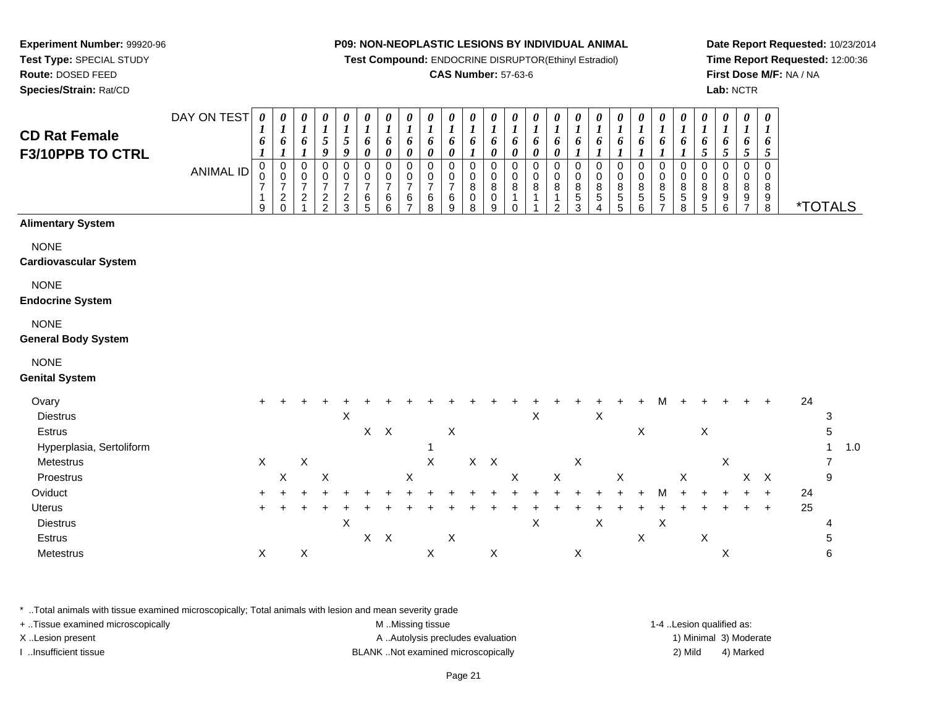**Test Compound:** ENDOCRINE DISRUPTOR(Ethinyl Estradiol)

# **CAS Number:** 57-63-6

**Date Report Requested:** 10/23/2014**Time Report Requested:** 12:00:36**First Dose M/F:** NA / NA**Lab:** NCTR

| <b>CD Rat Female</b><br>F3/10PPB TO CTRL    | DAY ON TEST<br><b>ANIMAL ID</b> | 0<br>6<br>0<br>7<br>9 | 0<br>1<br>6<br>0<br>0<br>7<br>$\overline{c}$<br>$\Omega$ | 0<br>$\boldsymbol{l}$<br>6<br>0<br>0<br>$\overline{7}$<br>$\overline{c}$ | 0<br>$\boldsymbol{l}$<br>5<br>9<br>0<br>0<br>7<br>$\frac{2}{2}$ | 0<br>$\boldsymbol{l}$<br>$\mathfrak{s}$<br>9<br>0<br>0<br>$\overline{7}$<br>$\frac{2}{3}$ | 0<br>$\boldsymbol{l}$<br>6<br>0<br>$\Omega$<br>0<br>$\overline{7}$<br>6<br>5 | 0<br>$\boldsymbol{l}$<br>6<br>0<br>$\mathbf 0$<br>0<br>$\overline{7}$<br>6<br>6 | 0<br>$\boldsymbol{l}$<br>6<br>0<br>$\Omega$<br>0<br>7<br>6 | 0<br>$\boldsymbol{l}$<br>6<br>0<br>$\mathbf 0$<br>0<br>$\overline{7}$<br>6<br>8 | 0<br>$\boldsymbol{l}$<br>6<br>$\Omega$<br>0<br>6<br>9 | 0<br>$\boldsymbol{l}$<br>6<br>$\Omega$<br>0<br>8<br>0<br>8 | 0<br>$\boldsymbol{l}$<br>6<br>0<br>$\Omega$<br>0<br>8<br>0<br>9 | 0<br>$\boldsymbol{l}$<br>6<br>0<br>0<br>0<br>8<br>0 | 0<br>$\boldsymbol{l}$<br>6<br>0<br>0<br>0<br>8 | $\boldsymbol{\theta}$<br>6<br>0<br>0<br>8<br>2 | 0<br>$\boldsymbol{l}$<br>6<br>$\Omega$<br>0<br>8<br>$\mathbf 5$<br>3 | $\boldsymbol{\theta}$<br>$\boldsymbol{l}$<br>6<br>$\Omega$<br>0<br>8<br>5<br>4 | 0<br>$\boldsymbol{l}$<br>6<br>0<br>0<br>8<br>5<br>5 | 0<br>$\boldsymbol{l}$<br>6<br>$\mathbf 0$<br>0<br>8<br>5<br>6 | 0<br>$\boldsymbol{l}$<br>6<br>$\mathbf 0$<br>$\pmb{0}$<br>8<br>$\mathbf 5$ | 0<br>$\boldsymbol{l}$<br>6<br>$\Omega$<br>0<br>8<br>5<br>8 | 0<br>$\boldsymbol{l}$<br>6<br>5<br>0<br>0<br>8<br>9<br>5 | 0<br>1<br>6<br>5<br>$\Omega$<br>$\mathbf 0$<br>8<br>9<br>6 | 0<br>$\boldsymbol{l}$<br>6<br>5<br>$\mathbf 0$<br>$\mathbf 0$<br>8<br>9<br>7 | $\boldsymbol{\theta}$<br>$\boldsymbol{l}$<br>6<br>5<br>$\Omega$<br>0<br>8<br>9<br>8 | <i><b>*TOTALS</b></i> |   |     |
|---------------------------------------------|---------------------------------|-----------------------|----------------------------------------------------------|--------------------------------------------------------------------------|-----------------------------------------------------------------|-------------------------------------------------------------------------------------------|------------------------------------------------------------------------------|---------------------------------------------------------------------------------|------------------------------------------------------------|---------------------------------------------------------------------------------|-------------------------------------------------------|------------------------------------------------------------|-----------------------------------------------------------------|-----------------------------------------------------|------------------------------------------------|------------------------------------------------|----------------------------------------------------------------------|--------------------------------------------------------------------------------|-----------------------------------------------------|---------------------------------------------------------------|----------------------------------------------------------------------------|------------------------------------------------------------|----------------------------------------------------------|------------------------------------------------------------|------------------------------------------------------------------------------|-------------------------------------------------------------------------------------|-----------------------|---|-----|
| <b>Alimentary System</b>                    |                                 |                       |                                                          |                                                                          |                                                                 |                                                                                           |                                                                              |                                                                                 |                                                            |                                                                                 |                                                       |                                                            |                                                                 |                                                     |                                                |                                                |                                                                      |                                                                                |                                                     |                                                               |                                                                            |                                                            |                                                          |                                                            |                                                                              |                                                                                     |                       |   |     |
| <b>NONE</b><br><b>Cardiovascular System</b> |                                 |                       |                                                          |                                                                          |                                                                 |                                                                                           |                                                                              |                                                                                 |                                                            |                                                                                 |                                                       |                                                            |                                                                 |                                                     |                                                |                                                |                                                                      |                                                                                |                                                     |                                                               |                                                                            |                                                            |                                                          |                                                            |                                                                              |                                                                                     |                       |   |     |
| <b>NONE</b><br><b>Endocrine System</b>      |                                 |                       |                                                          |                                                                          |                                                                 |                                                                                           |                                                                              |                                                                                 |                                                            |                                                                                 |                                                       |                                                            |                                                                 |                                                     |                                                |                                                |                                                                      |                                                                                |                                                     |                                                               |                                                                            |                                                            |                                                          |                                                            |                                                                              |                                                                                     |                       |   |     |
| <b>NONE</b><br><b>General Body System</b>   |                                 |                       |                                                          |                                                                          |                                                                 |                                                                                           |                                                                              |                                                                                 |                                                            |                                                                                 |                                                       |                                                            |                                                                 |                                                     |                                                |                                                |                                                                      |                                                                                |                                                     |                                                               |                                                                            |                                                            |                                                          |                                                            |                                                                              |                                                                                     |                       |   |     |
| <b>NONE</b><br><b>Genital System</b>        |                                 |                       |                                                          |                                                                          |                                                                 |                                                                                           |                                                                              |                                                                                 |                                                            |                                                                                 |                                                       |                                                            |                                                                 |                                                     |                                                |                                                |                                                                      |                                                                                |                                                     |                                                               |                                                                            |                                                            |                                                          |                                                            |                                                                              |                                                                                     |                       |   |     |
| Ovary<br><b>Diestrus</b>                    |                                 | $\pm$                 |                                                          |                                                                          |                                                                 | X                                                                                         |                                                                              |                                                                                 |                                                            |                                                                                 |                                                       |                                                            |                                                                 |                                                     | X                                              |                                                |                                                                      | $\boldsymbol{\mathsf{X}}$                                                      |                                                     |                                                               | м                                                                          |                                                            |                                                          |                                                            |                                                                              | $\ddot{}$                                                                           | 24                    | 3 |     |
| Estrus                                      |                                 |                       |                                                          |                                                                          |                                                                 |                                                                                           | $X$ $X$                                                                      |                                                                                 |                                                            |                                                                                 | $\boldsymbol{\mathsf{X}}$                             |                                                            |                                                                 |                                                     |                                                |                                                |                                                                      |                                                                                |                                                     | $\mathsf X$                                                   |                                                                            |                                                            | X                                                        |                                                            |                                                                              |                                                                                     |                       | 5 |     |
| Hyperplasia, Sertoliform                    |                                 | X                     |                                                          | $\mathsf X$                                                              |                                                                 |                                                                                           |                                                                              |                                                                                 |                                                            | X                                                                               |                                                       |                                                            | $X$ $X$                                                         |                                                     |                                                |                                                | $\boldsymbol{\mathsf{X}}$                                            |                                                                                |                                                     |                                                               |                                                                            |                                                            |                                                          | $\pmb{\times}$                                             |                                                                              |                                                                                     |                       |   | 1.0 |
| Metestrus<br>Proestrus                      |                                 |                       | X                                                        |                                                                          | Χ                                                               |                                                                                           |                                                                              |                                                                                 | X                                                          |                                                                                 |                                                       |                                                            |                                                                 | X                                                   |                                                | X                                              |                                                                      |                                                                                | X                                                   |                                                               |                                                                            | X                                                          |                                                          |                                                            | $\mathsf{X}$                                                                 | $\boldsymbol{\mathsf{X}}$                                                           |                       | 9 |     |
| Oviduct                                     |                                 | $\ddot{}$             |                                                          |                                                                          |                                                                 |                                                                                           |                                                                              |                                                                                 |                                                            |                                                                                 |                                                       |                                                            |                                                                 |                                                     |                                                |                                                |                                                                      |                                                                                |                                                     |                                                               | M                                                                          |                                                            |                                                          |                                                            |                                                                              | $\ddot{}$                                                                           | 24                    |   |     |
| Uterus                                      |                                 |                       |                                                          |                                                                          |                                                                 |                                                                                           |                                                                              |                                                                                 |                                                            |                                                                                 |                                                       |                                                            |                                                                 |                                                     |                                                |                                                |                                                                      |                                                                                |                                                     |                                                               |                                                                            |                                                            |                                                          |                                                            | $+$                                                                          | $\div$                                                                              | 25                    |   |     |

Uterus <sup>+</sup> <sup>+</sup> <sup>+</sup> <sup>+</sup> <sup>+</sup> <sup>+</sup> <sup>+</sup> <sup>+</sup> <sup>+</sup> <sup>+</sup> <sup>+</sup> <sup>+</sup> <sup>+</sup> <sup>+</sup> <sup>+</sup> <sup>+</sup> <sup>+</sup> <sup>+</sup> <sup>+</sup> <sup>+</sup> <sup>+</sup> <sup>+</sup> <sup>+</sup> <sup>+</sup> + 25 **Diestrus**  $\mathsf{s}$  X  $X$   $X$   $X$   $X$   $4$ **Estrus**  $\mathsf{s}$  X  $X$  X  $X$  5 **Metestrus**  $\mathsf{s}$  X  $X$  X  $X$  X  $X$  X  $\geq$  6

\* ..Total animals with tissue examined microscopically; Total animals with lesion and mean severity grade

**Experiment Number:** 99920-96**Test Type:** SPECIAL STUDY**Route:** DOSED FEED**Species/Strain:** Rat/CD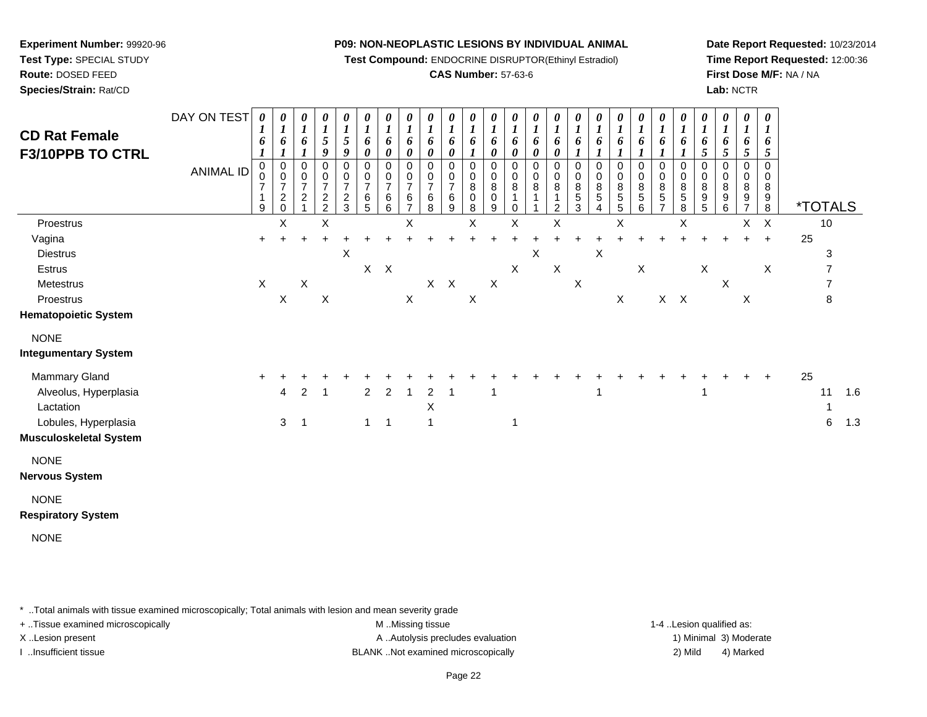**Test Compound:** ENDOCRINE DISRUPTOR(Ethinyl Estradiol)

# **CAS Number:** 57-63-6

**Date Report Requested:** 10/23/2014**Time Report Requested:** 12:00:36**First Dose M/F:** NA / NA**Lab:** NCTR

| <b>CD Rat Female</b><br><b>F3/10PPB TO CTRL</b>                                                       | DAY ON TEST<br><b>ANIMAL ID</b> | 1<br>6<br>$\mathbf 0$<br>$\overline{7}$ | $\boldsymbol{I}$<br>6<br>$\mathbf 0$<br>0<br>$\overline{7}$ | 0<br>$\boldsymbol{l}$<br>6<br>0<br>0<br>$\overline{7}$<br>$\overline{c}$ | 0<br>$\boldsymbol{l}$<br>$\sqrt{5}$<br>$\boldsymbol{g}$<br>$\mathbf 0$<br>$\mathbf 0$<br>$\overline{7}$ | 0<br>$\boldsymbol{l}$<br>$\mathfrak{S}$<br>9<br>0<br>0<br>$\overline{7}$ | 0<br>$\boldsymbol{l}$<br>6<br>$\boldsymbol{\theta}$<br>$\mathbf 0$<br>0<br>$\overline{7}$<br>6 | 0<br>$\boldsymbol{l}$<br>6<br>$\pmb{\theta}$<br>$\,0\,$<br>$\,0\,$<br>$\overline{7}$<br>6 | $\boldsymbol{\theta}$<br>$\boldsymbol{l}$<br>6<br>$\pmb{\theta}$<br>0<br>0<br>$\overline{7}$<br>6 | 0<br>$\boldsymbol{l}$<br>6<br>$\pmb{\theta}$<br>0<br>0<br>$\overline{7}$<br>6 | $\boldsymbol{\theta}$<br>$\boldsymbol{l}$<br>6<br>$\pmb{\theta}$<br>$\mathbf 0$<br>0<br>$\overline{7}$<br>6 | 0<br>$\boldsymbol{l}$<br>6<br>0<br>0<br>$\overline{8}$<br>$\pmb{0}$ | 0<br>$\boldsymbol{l}$<br>6<br>$\pmb{\theta}$<br>0<br>0<br>8<br>$\mathbf 0$ | 0<br>$\boldsymbol{l}$<br>6<br>0<br>$\mathbf 0$<br>0<br>8 | 0<br>$\boldsymbol{l}$<br>6<br>$\boldsymbol{\theta}$<br>$\mathbf 0$<br>0<br>8<br>1 | 0<br>$\boldsymbol{l}$<br>6<br>$\pmb{\theta}$<br>$\mathbf 0$<br>0<br>8 | 0<br>$\boldsymbol{I}$<br>6<br>$\mathbf 0$<br>0<br>8<br>$\overline{5}$ | 0<br>$\boldsymbol{l}$<br>6<br>$\boldsymbol{l}$<br>0<br>0<br>$^8_5$ | 0<br>$\boldsymbol{l}$<br>6<br>$\mathbf 0$<br>0<br>8<br>$\mathbf 5$ | 0<br>$\boldsymbol{l}$<br>6<br>1<br>0<br>0<br>$\bf 8$<br>$\overline{5}$ | 0<br>$\boldsymbol{l}$<br>6<br>0<br>$\begin{array}{c} 0 \\ 8 \\ 5 \end{array}$ | 0<br>$\boldsymbol{l}$<br>6<br>$\boldsymbol{l}$<br>0<br>0<br>$\begin{array}{c} 8 \\ 5 \\ 8 \end{array}$ | 0<br>$\boldsymbol{l}$<br>6<br>5<br>$\mathbf 0$<br>$\pmb{0}$<br>8<br>9 | 0<br>$\boldsymbol{I}$<br>6<br>$\sqrt{5}$<br>$\mathbf 0$<br>0<br>8<br>9 | 0<br>$\boldsymbol{l}$<br>6<br>$\mathfrak{s}$<br>$\mathbf 0$<br>0<br>8<br>9 | 0<br>$\boldsymbol{l}$<br>6<br>$\mathfrak{s}$<br>$\Omega$<br>0<br>8<br>9 |    |                       |            |
|-------------------------------------------------------------------------------------------------------|---------------------------------|-----------------------------------------|-------------------------------------------------------------|--------------------------------------------------------------------------|---------------------------------------------------------------------------------------------------------|--------------------------------------------------------------------------|------------------------------------------------------------------------------------------------|-------------------------------------------------------------------------------------------|---------------------------------------------------------------------------------------------------|-------------------------------------------------------------------------------|-------------------------------------------------------------------------------------------------------------|---------------------------------------------------------------------|----------------------------------------------------------------------------|----------------------------------------------------------|-----------------------------------------------------------------------------------|-----------------------------------------------------------------------|-----------------------------------------------------------------------|--------------------------------------------------------------------|--------------------------------------------------------------------|------------------------------------------------------------------------|-------------------------------------------------------------------------------|--------------------------------------------------------------------------------------------------------|-----------------------------------------------------------------------|------------------------------------------------------------------------|----------------------------------------------------------------------------|-------------------------------------------------------------------------|----|-----------------------|------------|
|                                                                                                       |                                 | 9                                       | $^2_{\rm 0}$                                                |                                                                          | $\frac{2}{2}$                                                                                           | $\frac{2}{3}$                                                            | $\overline{5}$                                                                                 | $\,6$                                                                                     | $\overline{7}$                                                                                    | 8                                                                             | 9                                                                                                           | 8                                                                   | 9                                                                          | 0                                                        |                                                                                   | 2                                                                     | 3                                                                     | 4                                                                  | 5                                                                  | 6                                                                      | $\overline{7}$                                                                |                                                                                                        | $\overline{5}$                                                        | 6                                                                      | $\overline{7}$                                                             | 8                                                                       |    | <i><b>*TOTALS</b></i> |            |
| Proestrus                                                                                             |                                 |                                         | X                                                           |                                                                          | X                                                                                                       |                                                                          |                                                                                                |                                                                                           | X                                                                                                 |                                                                               |                                                                                                             | X                                                                   |                                                                            | X                                                        |                                                                                   | X                                                                     |                                                                       |                                                                    | X                                                                  |                                                                        |                                                                               | X                                                                                                      |                                                                       |                                                                        | X                                                                          | $\times$                                                                |    | 10                    |            |
| Vagina                                                                                                |                                 | $\ddot{}$                               |                                                             | $\ddot{}$                                                                | $\ddot{}$                                                                                               |                                                                          |                                                                                                |                                                                                           |                                                                                                   |                                                                               |                                                                                                             |                                                                     | +                                                                          | +                                                        |                                                                                   |                                                                       |                                                                       |                                                                    |                                                                    |                                                                        |                                                                               |                                                                                                        |                                                                       |                                                                        | $\ddot{}$                                                                  | $\ddot{}$                                                               | 25 |                       |            |
| <b>Diestrus</b>                                                                                       |                                 |                                         |                                                             |                                                                          |                                                                                                         | X                                                                        |                                                                                                |                                                                                           |                                                                                                   |                                                                               |                                                                                                             |                                                                     |                                                                            |                                                          | X                                                                                 |                                                                       |                                                                       | Χ                                                                  |                                                                    |                                                                        |                                                                               |                                                                                                        |                                                                       |                                                                        |                                                                            |                                                                         |    | 3                     |            |
| Estrus                                                                                                |                                 |                                         |                                                             |                                                                          |                                                                                                         |                                                                          |                                                                                                | $X$ $X$                                                                                   |                                                                                                   |                                                                               |                                                                                                             |                                                                     |                                                                            | X                                                        |                                                                                   | $\mathsf X$                                                           |                                                                       |                                                                    |                                                                    | X                                                                      |                                                                               |                                                                                                        | $\boldsymbol{\mathsf{X}}$                                             |                                                                        |                                                                            | $\mathsf X$                                                             |    | 7                     |            |
| Metestrus                                                                                             |                                 | $\mathsf X$                             |                                                             | X                                                                        |                                                                                                         |                                                                          |                                                                                                |                                                                                           |                                                                                                   |                                                                               | $X$ $X$                                                                                                     |                                                                     | X                                                                          |                                                          |                                                                                   |                                                                       | $\boldsymbol{\mathsf{X}}$                                             |                                                                    |                                                                    |                                                                        |                                                                               |                                                                                                        |                                                                       | $\times$                                                               |                                                                            |                                                                         |    | $\overline{7}$        |            |
| Proestrus                                                                                             |                                 |                                         | $\mathsf X$                                                 |                                                                          | $\sf X$                                                                                                 |                                                                          |                                                                                                |                                                                                           | $\mathsf X$                                                                                       |                                                                               |                                                                                                             | $\mathsf X$                                                         |                                                                            |                                                          |                                                                                   |                                                                       |                                                                       |                                                                    | $\mathsf X$                                                        |                                                                        |                                                                               | $X$ $X$                                                                                                |                                                                       |                                                                        | $\boldsymbol{\mathsf{X}}$                                                  |                                                                         |    | 8                     |            |
| <b>Hematopoietic System</b>                                                                           |                                 |                                         |                                                             |                                                                          |                                                                                                         |                                                                          |                                                                                                |                                                                                           |                                                                                                   |                                                                               |                                                                                                             |                                                                     |                                                                            |                                                          |                                                                                   |                                                                       |                                                                       |                                                                    |                                                                    |                                                                        |                                                                               |                                                                                                        |                                                                       |                                                                        |                                                                            |                                                                         |    |                       |            |
| <b>NONE</b><br><b>Integumentary System</b>                                                            |                                 |                                         |                                                             |                                                                          |                                                                                                         |                                                                          |                                                                                                |                                                                                           |                                                                                                   |                                                                               |                                                                                                             |                                                                     |                                                                            |                                                          |                                                                                   |                                                                       |                                                                       |                                                                    |                                                                    |                                                                        |                                                                               |                                                                                                        |                                                                       |                                                                        |                                                                            |                                                                         |    |                       |            |
| Mammary Gland<br>Alveolus, Hyperplasia<br>Lactation<br>Lobules, Hyperplasia<br>Musculoskeletal System |                                 | $\ddot{}$                               | 4<br>$\mathbf{3}$                                           | $\overline{2}$<br>$\overline{1}$                                         | $\overline{1}$                                                                                          |                                                                          | $\overline{2}$<br>$\mathbf{1}$                                                                 | $\overline{2}$<br>$\overline{1}$                                                          | 1                                                                                                 | $\overline{2}$<br>X<br>$\mathbf{1}$                                           | $\mathbf 1$                                                                                                 |                                                                     | -1                                                                         | 1                                                        |                                                                                   |                                                                       |                                                                       | 1                                                                  |                                                                    |                                                                        |                                                                               |                                                                                                        |                                                                       |                                                                        |                                                                            | $\ddot{}$                                                               | 25 | 11<br>6               | 1.6<br>1.3 |
| <b>NONE</b><br>Nervous System                                                                         |                                 |                                         |                                                             |                                                                          |                                                                                                         |                                                                          |                                                                                                |                                                                                           |                                                                                                   |                                                                               |                                                                                                             |                                                                     |                                                                            |                                                          |                                                                                   |                                                                       |                                                                       |                                                                    |                                                                    |                                                                        |                                                                               |                                                                                                        |                                                                       |                                                                        |                                                                            |                                                                         |    |                       |            |
| <b>NONE</b><br><b>Respiratory System</b>                                                              |                                 |                                         |                                                             |                                                                          |                                                                                                         |                                                                          |                                                                                                |                                                                                           |                                                                                                   |                                                                               |                                                                                                             |                                                                     |                                                                            |                                                          |                                                                                   |                                                                       |                                                                       |                                                                    |                                                                    |                                                                        |                                                                               |                                                                                                        |                                                                       |                                                                        |                                                                            |                                                                         |    |                       |            |
| <b>NONE</b>                                                                                           |                                 |                                         |                                                             |                                                                          |                                                                                                         |                                                                          |                                                                                                |                                                                                           |                                                                                                   |                                                                               |                                                                                                             |                                                                     |                                                                            |                                                          |                                                                                   |                                                                       |                                                                       |                                                                    |                                                                    |                                                                        |                                                                               |                                                                                                        |                                                                       |                                                                        |                                                                            |                                                                         |    |                       |            |

\* ..Total animals with tissue examined microscopically; Total animals with lesion and mean severity grade

**Experiment Number:** 99920-96**Test Type:** SPECIAL STUDY**Route:** DOSED FEED**Species/Strain:** Rat/CD

+ ..Tissue examined microscopically examined microscopically examined as:  $M$  ..Missing tissue 1-4 ..Lesion qualified as: X..Lesion present **A ..Autolysis precludes evaluation** A ..Autolysis precludes evaluation 1) Minimal 3) Moderate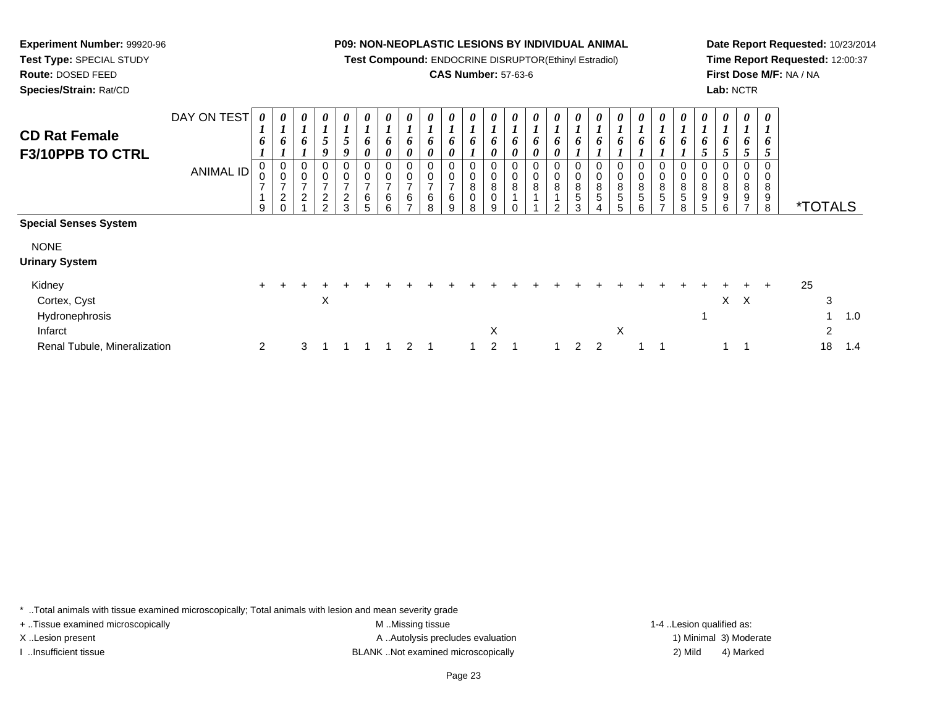**Test Compound:** ENDOCRINE DISRUPTOR(Ethinyl Estradiol)

# **CAS Number:** 57-63-6

<sup>2</sup> <sup>3</sup> <sup>1</sup> <sup>1</sup> <sup>1</sup> <sup>1</sup> <sup>2</sup> <sup>1</sup> <sup>1</sup> <sup>2</sup> <sup>1</sup> <sup>1</sup> <sup>2</sup> <sup>2</sup> <sup>1</sup> <sup>1</sup> <sup>1</sup> <sup>1</sup> <sup>18</sup> 1.4

**Date Report Requested:** 10/23/2014**Time Report Requested:** 12:00:37**First Dose M/F:** NA / NA**Lab:** NCTR

| <b>CD Rat Female</b><br>F3/10PPB TO CTRL            | DAY ON TEST<br><b>ANIMAL ID</b> | $\boldsymbol{\theta}$<br>$\mathbf{I}$<br>6<br>0 | 0<br>$\overline{ }$<br>6<br>0<br>0 | 0<br>$\mathbf{I}$<br>6<br>0<br>$\boldsymbol{0}$ | 0<br>$\mathbf{I}$<br>$\mathfrak{s}$<br>9<br>0<br>0 | 0<br>$\mathbf{I}$<br>$\mathfrak{s}$<br>9<br>$\boldsymbol{0}$ | 0<br>6<br>$\boldsymbol{\theta}$<br>0<br>0 | $\boldsymbol{\theta}$<br>6<br>0<br>$\mathbf 0$<br>0 | $\boldsymbol{\theta}$<br>o<br>0<br>0 | $\boldsymbol{\theta}$<br>6<br>0 | 0<br>6<br>0<br>0<br>0        | 0<br>6<br>0<br>0    | 0<br>x.<br>6<br>0<br>0<br>0 | $\boldsymbol{\theta}$<br>L<br>6<br>U<br>$\mathbf 0$ | 0<br>6<br>0<br>0<br>$\pmb{0}$ | $\boldsymbol{\theta}$<br>$\overline{ }$<br>6<br>0<br>0<br>$\,0\,$ | $\boldsymbol{\theta}$<br>$\overline{ }$<br>6<br>0 | $\boldsymbol{\theta}$<br>$\mathbf{I}$<br>6<br>$\boldsymbol{0}$ | 0<br>$\overline{ }$<br>6<br>0<br>0 | $\boldsymbol{\theta}$<br>$\boldsymbol{l}$<br>6<br>0<br>$\,0\,$ | 0<br>$\mathbf{I}$<br>6<br>0 | $\boldsymbol{\theta}$<br>$\overline{ }$<br>6<br>$\boldsymbol{0}$ | 0<br>6<br>$\pmb{0}$             | $\boldsymbol{\theta}$<br>$\overline{\phantom{a}}$<br>$\bm{o}$<br>0 | 0<br>$\bm{o}$<br>0    | $\boldsymbol{\theta}$<br>$\bm{o}$<br>0 |    |                       |     |  |
|-----------------------------------------------------|---------------------------------|-------------------------------------------------|------------------------------------|-------------------------------------------------|----------------------------------------------------|--------------------------------------------------------------|-------------------------------------------|-----------------------------------------------------|--------------------------------------|---------------------------------|------------------------------|---------------------|-----------------------------|-----------------------------------------------------|-------------------------------|-------------------------------------------------------------------|---------------------------------------------------|----------------------------------------------------------------|------------------------------------|----------------------------------------------------------------|-----------------------------|------------------------------------------------------------------|---------------------------------|--------------------------------------------------------------------|-----------------------|----------------------------------------|----|-----------------------|-----|--|
| <b>Special Senses System</b>                        |                                 | $\overline{ }$<br>9                             | $\overline{ }$<br>$\frac{2}{0}$    | $\overline{\phantom{a}}$<br>$\overline{a}$      | $\overline{\phantom{a}}$<br>$\sqrt{2}$<br>$\Omega$ | $\overline{7}$<br>$\sqrt{2}$<br>3                            | $\overline{ }$<br>6<br>5                  | $\overline{\phantom{a}}$<br>6<br>6                  | $\overline{ }$<br>6                  | $\overline{ }$<br>6<br>8        | $\overline{ }$<br>$\,6$<br>9 | 8<br>$\bar{0}$<br>8 | 8<br>$\overline{0}$<br>9    | $\bf8$                                              | $\bf 8$                       | $\bf 8$<br>$\mathcal{P}$                                          | $\begin{array}{c} 8 \\ 5 \end{array}$<br>3        | $\, 8$<br>5                                                    | $\frac{8}{5}$<br>5                 | $^8$ 5<br>6                                                    | $^8$ 5                      | $\begin{array}{c} 8 \\ 5 \end{array}$<br>8                       | $\bf8$<br>$\boldsymbol{9}$<br>5 | $\bf 8$<br>$\boldsymbol{9}$<br>6                                   | 8<br>$\boldsymbol{9}$ | 8<br>$\boldsymbol{9}$<br>8             |    | <i><b>*TOTALS</b></i> |     |  |
| <b>NONE</b><br><b>Urinary System</b>                |                                 |                                                 |                                    |                                                 |                                                    |                                                              |                                           |                                                     |                                      |                                 |                              |                     |                             |                                                     |                               |                                                                   |                                                   |                                                                |                                    |                                                                |                             |                                                                  |                                 |                                                                    |                       |                                        |    |                       |     |  |
| Kidney<br>Cortex, Cyst<br>Hydronephrosis<br>Infarct |                                 | $+$                                             | $\div$                             | ÷                                               | X                                                  |                                                              |                                           |                                                     |                                      |                                 |                              |                     | Χ                           |                                                     |                               |                                                                   |                                                   |                                                                | X                                  |                                                                |                             |                                                                  |                                 | X                                                                  | $+$<br>$\mathsf{X}$   | $+$                                    | 25 | 3<br>2                | 1.0 |  |

\* ..Total animals with tissue examined microscopically; Total animals with lesion and mean severity grade

+ ..Tissue examined microscopically examined microscopically examined as:  $M$  ..Missing tissue 1-4 ..Lesion qualified as:

Renal Tubule, Mineralization

**Experiment Number:** 99920-96**Test Type:** SPECIAL STUDY**Route:** DOSED FEED**Species/Strain:** Rat/CD

X..Lesion present **A ..Autolysis precludes evaluation** A ..Autolysis precludes evaluation 1) Minimal 3) Moderate I ..Insufficient tissue BLANK ..Not examined microscopically 2) Mild 4) Marked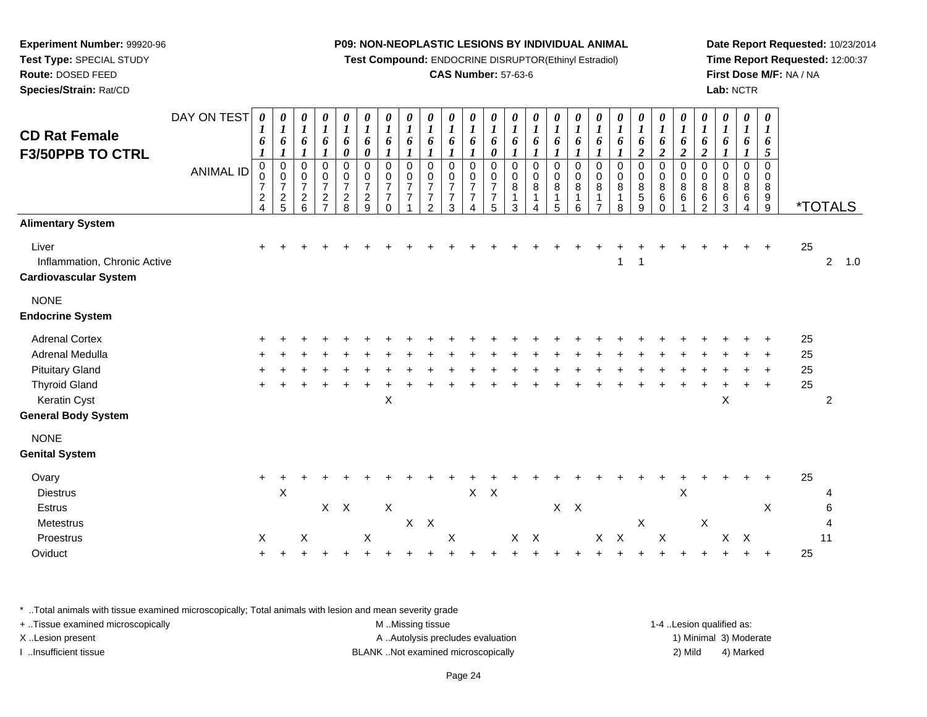**Test Compound:** ENDOCRINE DISRUPTOR(Ethinyl Estradiol)

# **CAS Number:** 57-63-6

**Date Report Requested:** 10/23/2014**Time Report Requested:** 12:00:37**First Dose M/F:** NA / NA**Lab:** NCTR

| <b>CD Rat Female</b>                                                  | DAY ON TEST      | 0<br>$\boldsymbol{l}$<br>6                                                     | 0<br>$\boldsymbol{l}$<br>6                                              | 0<br>$\boldsymbol{l}$<br>6                                      | $\boldsymbol{\theta}$<br>$\boldsymbol{l}$<br>6                          | $\boldsymbol{\theta}$<br>$\boldsymbol{l}$<br>6 | $\boldsymbol{\theta}$<br>$\boldsymbol{l}$<br>6                               | 0<br>$\boldsymbol{l}$<br>6                                                                       | 0<br>$\boldsymbol{l}$<br>6                                                     | 0<br>$\boldsymbol{l}$<br>6                                | 0<br>$\boldsymbol{l}$<br>6                                       | 0<br>$\boldsymbol{l}$<br>6                                          | 0<br>$\boldsymbol{l}$<br>6                                     | $\boldsymbol{\theta}$<br>$\boldsymbol{l}$<br>6 | 0<br>$\boldsymbol{l}$<br>6 | 0<br>$\boldsymbol{l}$<br>6                       | 0<br>$\boldsymbol{l}$<br>6                                     | $\boldsymbol{\theta}$<br>$\boldsymbol{l}$<br>6 | 0<br>$\boldsymbol{l}$<br>6             | $\boldsymbol{\theta}$<br>$\boldsymbol{l}$<br>6               | $\boldsymbol{\theta}$<br>$\boldsymbol{l}$<br>6               | $\boldsymbol{\theta}$<br>$\boldsymbol{l}$<br>6 | 0<br>$\boldsymbol{l}$<br>6                                       | 0<br>$\boldsymbol{l}$<br>6           | 0<br>$\boldsymbol{I}$<br>6      | 0<br>$\boldsymbol{l}$<br>6        |    |                       |     |
|-----------------------------------------------------------------------|------------------|--------------------------------------------------------------------------------|-------------------------------------------------------------------------|-----------------------------------------------------------------|-------------------------------------------------------------------------|------------------------------------------------|------------------------------------------------------------------------------|--------------------------------------------------------------------------------------------------|--------------------------------------------------------------------------------|-----------------------------------------------------------|------------------------------------------------------------------|---------------------------------------------------------------------|----------------------------------------------------------------|------------------------------------------------|----------------------------|--------------------------------------------------|----------------------------------------------------------------|------------------------------------------------|----------------------------------------|--------------------------------------------------------------|--------------------------------------------------------------|------------------------------------------------|------------------------------------------------------------------|--------------------------------------|---------------------------------|-----------------------------------|----|-----------------------|-----|
| <b>F3/50PPB TO CTRL</b>                                               | <b>ANIMAL ID</b> | $\pmb{0}$<br>$\pmb{0}$<br>$\overline{7}$<br>$\boldsymbol{2}$<br>$\overline{4}$ | $\boldsymbol{l}$<br>$\mathbf 0$<br>0<br>$\overline{7}$<br>$\frac{2}{5}$ | $\boldsymbol{l}$<br>0<br>0<br>$\boldsymbol{7}$<br>$\frac{2}{6}$ | $\boldsymbol{l}$<br>$\mathbf 0$<br>0<br>$\overline{7}$<br>$\frac{2}{7}$ | 0<br>0<br>$\frac{0}{7}$<br>$\frac{2}{8}$       | $\boldsymbol{\theta}$<br>$\mathbf 0$<br>0<br>$\overline{7}$<br>$\frac{2}{9}$ | $\boldsymbol{l}$<br>$\mathbf 0$<br>$\pmb{0}$<br>$\boldsymbol{7}$<br>$\boldsymbol{7}$<br>$\Omega$ | $\mathbf{I}$<br>$\mathbf 0$<br>$\mathbf 0$<br>$\overline{7}$<br>$\overline{7}$ | $\mathbf 0$<br>0<br>7<br>$\overline{7}$<br>$\overline{2}$ | 1<br>$\mathbf 0$<br>0<br>$\overline{7}$<br>$\boldsymbol{7}$<br>3 | 1<br>$\mathbf 0$<br>$\mathbf 0$<br>$\overline{7}$<br>$\overline{7}$ | 0<br>$\mathbf 0$<br>0<br>$\overline{7}$<br>$\overline{7}$<br>5 | $\mathbf 0$<br>0<br>8<br>1<br>3                | 0<br>0<br>$\bf 8$<br>4     | $\mathbf 0$<br>0<br>$\bf 8$<br>$\mathbf{1}$<br>5 | $\mathbf{I}$<br>$\,0\,$<br>$\pmb{0}$<br>8<br>$\mathbf{1}$<br>6 | 0<br>0<br>8<br>$\mathbf{1}$<br>$\overline{7}$  | 0<br>0<br>$\bf 8$<br>$\mathbf{1}$<br>8 | $\boldsymbol{2}$<br>$\mathbf 0$<br>0<br>8<br>$\sqrt{5}$<br>9 | $\boldsymbol{2}$<br>0<br>0<br>$\bf 8$<br>$\,6\,$<br>$\Omega$ | $\overline{c}$<br>$\mathbf 0$<br>0<br>8<br>6   | $\boldsymbol{2}$<br>$\mathbf 0$<br>0<br>8<br>6<br>$\overline{c}$ | 1<br>$\mathbf 0$<br>0<br>8<br>6<br>3 | $\mathbf 0$<br>0<br>8<br>6<br>4 | 5<br>$\Omega$<br>0<br>8<br>$^9_9$ |    | <i><b>*TOTALS</b></i> |     |
| <b>Alimentary System</b>                                              |                  |                                                                                |                                                                         |                                                                 |                                                                         |                                                |                                                                              |                                                                                                  |                                                                                |                                                           |                                                                  |                                                                     |                                                                |                                                |                            |                                                  |                                                                |                                                |                                        |                                                              |                                                              |                                                |                                                                  |                                      |                                 |                                   |    |                       |     |
| Liver<br>Inflammation, Chronic Active<br><b>Cardiovascular System</b> |                  |                                                                                |                                                                         |                                                                 |                                                                         |                                                |                                                                              |                                                                                                  |                                                                                |                                                           |                                                                  |                                                                     |                                                                |                                                |                            |                                                  |                                                                |                                                | 1                                      | 1                                                            |                                                              |                                                |                                                                  |                                      |                                 |                                   | 25 | $\overline{2}$        | 1.0 |
| <b>NONE</b><br><b>Endocrine System</b>                                |                  |                                                                                |                                                                         |                                                                 |                                                                         |                                                |                                                                              |                                                                                                  |                                                                                |                                                           |                                                                  |                                                                     |                                                                |                                                |                            |                                                  |                                                                |                                                |                                        |                                                              |                                                              |                                                |                                                                  |                                      |                                 |                                   |    |                       |     |
| <b>Adrenal Cortex</b>                                                 |                  |                                                                                |                                                                         |                                                                 |                                                                         |                                                |                                                                              |                                                                                                  |                                                                                |                                                           |                                                                  |                                                                     |                                                                |                                                |                            |                                                  |                                                                |                                                |                                        |                                                              |                                                              |                                                |                                                                  |                                      |                                 |                                   | 25 |                       |     |
| Adrenal Medulla                                                       |                  |                                                                                |                                                                         |                                                                 |                                                                         |                                                |                                                                              |                                                                                                  |                                                                                |                                                           |                                                                  |                                                                     |                                                                |                                                |                            |                                                  |                                                                |                                                |                                        |                                                              |                                                              |                                                |                                                                  |                                      |                                 |                                   | 25 |                       |     |
| <b>Pituitary Gland</b>                                                |                  |                                                                                |                                                                         |                                                                 |                                                                         |                                                |                                                                              |                                                                                                  |                                                                                |                                                           |                                                                  |                                                                     |                                                                |                                                |                            |                                                  |                                                                |                                                |                                        |                                                              |                                                              |                                                |                                                                  |                                      |                                 |                                   | 25 |                       |     |
| <b>Thyroid Gland</b>                                                  |                  |                                                                                |                                                                         |                                                                 |                                                                         |                                                |                                                                              |                                                                                                  |                                                                                |                                                           |                                                                  |                                                                     |                                                                |                                                |                            |                                                  |                                                                |                                                |                                        |                                                              |                                                              |                                                |                                                                  |                                      |                                 | $\ddot{}$                         | 25 |                       |     |
| Keratin Cyst                                                          |                  |                                                                                |                                                                         |                                                                 |                                                                         |                                                |                                                                              | X                                                                                                |                                                                                |                                                           |                                                                  |                                                                     |                                                                |                                                |                            |                                                  |                                                                |                                                |                                        |                                                              |                                                              |                                                |                                                                  | $\mathsf X$                          |                                 |                                   |    | $\overline{2}$        |     |
| <b>General Body System</b>                                            |                  |                                                                                |                                                                         |                                                                 |                                                                         |                                                |                                                                              |                                                                                                  |                                                                                |                                                           |                                                                  |                                                                     |                                                                |                                                |                            |                                                  |                                                                |                                                |                                        |                                                              |                                                              |                                                |                                                                  |                                      |                                 |                                   |    |                       |     |
| <b>NONE</b><br><b>Genital System</b>                                  |                  |                                                                                |                                                                         |                                                                 |                                                                         |                                                |                                                                              |                                                                                                  |                                                                                |                                                           |                                                                  |                                                                     |                                                                |                                                |                            |                                                  |                                                                |                                                |                                        |                                                              |                                                              |                                                |                                                                  |                                      |                                 |                                   |    |                       |     |
| Ovary                                                                 |                  | $\ddot{}$                                                                      |                                                                         |                                                                 |                                                                         |                                                |                                                                              |                                                                                                  |                                                                                |                                                           |                                                                  |                                                                     |                                                                |                                                |                            |                                                  |                                                                |                                                |                                        |                                                              |                                                              |                                                |                                                                  |                                      |                                 |                                   | 25 |                       |     |
| <b>Diestrus</b>                                                       |                  |                                                                                | $\boldsymbol{\mathsf{X}}$                                               |                                                                 |                                                                         |                                                |                                                                              |                                                                                                  |                                                                                |                                                           |                                                                  | $\mathsf X$                                                         | $\boldsymbol{\mathsf{X}}$                                      |                                                |                            |                                                  |                                                                |                                                |                                        |                                                              |                                                              | Χ                                              |                                                                  |                                      |                                 |                                   |    |                       |     |
| Estrus                                                                |                  |                                                                                |                                                                         |                                                                 | $\mathsf{X}$                                                            | $\boldsymbol{\mathsf{X}}$                      |                                                                              | $\boldsymbol{\mathsf{X}}$                                                                        |                                                                                |                                                           |                                                                  |                                                                     |                                                                |                                                |                            | $X$ $X$                                          |                                                                |                                                |                                        |                                                              |                                                              |                                                |                                                                  |                                      |                                 | Χ                                 |    | 6                     |     |
| Metestrus                                                             |                  |                                                                                |                                                                         |                                                                 |                                                                         |                                                |                                                                              |                                                                                                  | X                                                                              | $\mathsf{X}$                                              |                                                                  |                                                                     |                                                                |                                                |                            |                                                  |                                                                |                                                |                                        | X                                                            |                                                              |                                                | X                                                                |                                      |                                 |                                   |    | 4                     |     |
| Proestrus                                                             |                  | X                                                                              |                                                                         | X                                                               |                                                                         |                                                | X                                                                            |                                                                                                  |                                                                                |                                                           | $\boldsymbol{\mathsf{X}}$                                        |                                                                     |                                                                | X.                                             | $\mathsf{X}$               |                                                  |                                                                | X                                              | $\boldsymbol{\mathsf{X}}$              |                                                              | $\sf X$                                                      |                                                |                                                                  | X                                    | $\boldsymbol{\mathsf{X}}$       |                                   |    | 11                    |     |
| Oviduct                                                               |                  | ÷                                                                              |                                                                         |                                                                 |                                                                         |                                                |                                                                              |                                                                                                  |                                                                                |                                                           |                                                                  |                                                                     |                                                                |                                                |                            |                                                  |                                                                |                                                |                                        |                                                              |                                                              |                                                |                                                                  |                                      |                                 | $\ddot{}$                         | 25 |                       |     |

\* ..Total animals with tissue examined microscopically; Total animals with lesion and mean severity grade

**Experiment Number:** 99920-96**Test Type:** SPECIAL STUDY**Route:** DOSED FEED**Species/Strain:** Rat/CD

| + Tissue examined microscopically | M Missing tissue                  | 1-4 Lesion qualified as: |                        |
|-----------------------------------|-----------------------------------|--------------------------|------------------------|
| X Lesion present                  | A Autolysis precludes evaluation  |                          | 1) Minimal 3) Moderate |
| Insufficient tissue               | BLANKNot examined microscopically | 2) Mild                  | 4) Marked              |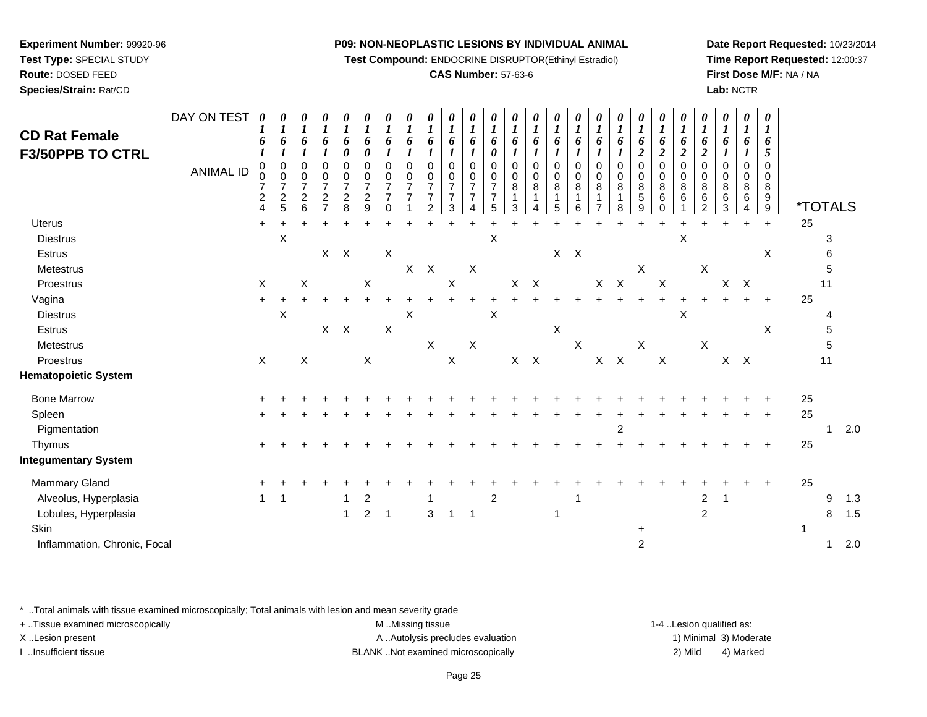**Test Compound:** ENDOCRINE DISRUPTOR(Ethinyl Estradiol)

### **CAS Number:** 57-63-6

**Date Report Requested:** 10/23/2014**Time Report Requested:** 12:00:37**First Dose M/F:** NA / NA**Lab:** NCTR

| <b>CD Rat Female</b><br><b>F3/50PPB TO CTRL</b> | DAY ON TEST<br><b>ANIMAL ID</b> | 0<br>6<br>$\mathbf 0$<br>$\overline{7}$<br>2<br>4 | 0<br>6<br>$\pmb{0}$<br>0<br>$\overline{7}$<br>$\overline{c}$<br>5 | 0<br>6<br>0<br>0<br>$\overline{7}$<br>$\overline{c}$<br>6 | $\boldsymbol{\theta}$<br>$\boldsymbol{l}$<br>6<br>0<br>0<br>$\overline{7}$<br>$\overline{c}$<br>$\overline{z}$ | $\boldsymbol{\theta}$<br>$\boldsymbol{l}$<br>6<br>0<br>0<br>$\begin{smallmatrix}0\\7\end{smallmatrix}$<br>$\overline{a}$<br>8 | 0<br>$\boldsymbol{l}$<br>6<br>0<br>$\pmb{0}$<br>0<br>$\overline{7}$<br>$\overline{2}$<br>9 | 0<br>$\boldsymbol{l}$<br>6<br>$\pmb{0}$<br>$\,0\,$<br>$\overline{7}$<br>$\overline{7}$<br>$\Omega$ | $\pmb{\theta}$<br>$\boldsymbol{l}$<br>6<br>$\mathbf 0$<br>0<br>$\overline{7}$<br>$\overline{7}$ | $\pmb{\theta}$<br>$\boldsymbol{l}$<br>6<br>$\pmb{0}$<br>0<br>$\overline{7}$<br>$\overline{7}$<br>2 | 0<br>6<br>$\pmb{0}$<br>0<br>$\overline{7}$<br>$\overline{7}$<br>3 | $\pmb{\theta}$<br>6<br>$\mathsf 0$<br>0<br>$\overline{7}$ | 0<br>6<br>0<br>$\mathbf 0$<br>0<br>$\overline{7}$<br>7<br>5 | 0<br>$\bm{l}$<br>6<br>$\mathbf 0$<br>$\Omega$<br>$\,8\,$<br>3 | 0<br>$\boldsymbol{l}$<br>6<br>$\mathbf 0$<br>$\mathbf 0$<br>8<br>$\mathbf 1$ | 0<br>$\boldsymbol{l}$<br>6<br>$\mathbf 0$<br>0<br>8<br>1<br>5 | 0<br>$\boldsymbol{l}$<br>6<br>0<br>0<br>8<br>$\mathbf{1}$<br>6 | 0<br>$\boldsymbol{l}$<br>6<br>0<br>0<br>8 | 0<br>$\boldsymbol{l}$<br>$\mathbf 0$<br>0<br>8<br>8 | $\pmb{\theta}$<br>6<br>$\overline{\mathbf{c}}$<br>$\mathsf 0$<br>0<br>$\bf 8$<br>5<br>9 | 0<br>1<br>6<br>$\overline{c}$<br>0<br>0<br>8<br>6<br>0 | 0<br>$\boldsymbol{l}$<br>6<br>$\overline{c}$<br>0<br>0<br>$\bf 8$<br>6 | 0<br>$\boldsymbol{l}$<br>6<br>$\boldsymbol{2}$<br>0<br>0<br>8<br>6<br>$\mathfrak{p}$ | 0<br>$\boldsymbol{l}$<br>6<br>$\mathbf 0$<br>0<br>8<br>6<br>3 | 0<br>1<br>6<br>$\mathbf 0$<br>0<br>8<br>6 | $\boldsymbol{\theta}$<br>$\mathbf{I}$<br>6<br>5<br>$\Omega$<br>0<br>8<br>9<br>9 | <i><b>*TOTALS</b></i> |              |     |
|-------------------------------------------------|---------------------------------|---------------------------------------------------|-------------------------------------------------------------------|-----------------------------------------------------------|----------------------------------------------------------------------------------------------------------------|-------------------------------------------------------------------------------------------------------------------------------|--------------------------------------------------------------------------------------------|----------------------------------------------------------------------------------------------------|-------------------------------------------------------------------------------------------------|----------------------------------------------------------------------------------------------------|-------------------------------------------------------------------|-----------------------------------------------------------|-------------------------------------------------------------|---------------------------------------------------------------|------------------------------------------------------------------------------|---------------------------------------------------------------|----------------------------------------------------------------|-------------------------------------------|-----------------------------------------------------|-----------------------------------------------------------------------------------------|--------------------------------------------------------|------------------------------------------------------------------------|--------------------------------------------------------------------------------------|---------------------------------------------------------------|-------------------------------------------|---------------------------------------------------------------------------------|-----------------------|--------------|-----|
| Uterus                                          |                                 | $+$                                               |                                                                   |                                                           |                                                                                                                |                                                                                                                               |                                                                                            |                                                                                                    |                                                                                                 |                                                                                                    |                                                                   |                                                           |                                                             |                                                               |                                                                              |                                                               |                                                                |                                           |                                                     |                                                                                         |                                                        |                                                                        |                                                                                      |                                                               | $\ddot{}$                                 | $\ddot{}$                                                                       | 25                    |              |     |
| <b>Diestrus</b>                                 |                                 |                                                   | $\mathsf X$                                                       |                                                           |                                                                                                                |                                                                                                                               |                                                                                            |                                                                                                    |                                                                                                 |                                                                                                    |                                                                   |                                                           | X                                                           |                                                               |                                                                              |                                                               |                                                                |                                           |                                                     |                                                                                         |                                                        | X                                                                      |                                                                                      |                                                               |                                           |                                                                                 |                       | 3            |     |
| Estrus                                          |                                 |                                                   |                                                                   |                                                           |                                                                                                                | $X$ $X$                                                                                                                       |                                                                                            | $\boldsymbol{\mathsf{X}}$                                                                          |                                                                                                 |                                                                                                    |                                                                   |                                                           |                                                             |                                                               |                                                                              |                                                               | $X$ $X$                                                        |                                           |                                                     |                                                                                         |                                                        |                                                                        |                                                                                      |                                                               |                                           | X                                                                               |                       | 6            |     |
| Metestrus                                       |                                 |                                                   |                                                                   |                                                           |                                                                                                                |                                                                                                                               |                                                                                            |                                                                                                    | X                                                                                               | $\boldsymbol{\mathsf{X}}$                                                                          |                                                                   | X                                                         |                                                             |                                                               |                                                                              |                                                               |                                                                |                                           |                                                     | X                                                                                       |                                                        |                                                                        | $\boldsymbol{\mathsf{X}}$                                                            |                                                               |                                           |                                                                                 |                       | 5            |     |
| Proestrus                                       |                                 | X                                                 |                                                                   | X                                                         |                                                                                                                |                                                                                                                               | X                                                                                          |                                                                                                    |                                                                                                 |                                                                                                    | $\mathsf X$                                                       |                                                           |                                                             |                                                               | $X$ $X$                                                                      |                                                               |                                                                |                                           | $\mathsf{X}-\mathsf{X}$                             |                                                                                         | X                                                      |                                                                        |                                                                                      | $\mathsf{X}$                                                  | $\mathsf{X}$                              |                                                                                 |                       | 11           |     |
| Vagina                                          |                                 |                                                   |                                                                   |                                                           |                                                                                                                |                                                                                                                               |                                                                                            |                                                                                                    |                                                                                                 |                                                                                                    |                                                                   |                                                           |                                                             |                                                               |                                                                              |                                                               |                                                                |                                           |                                                     |                                                                                         |                                                        |                                                                        |                                                                                      |                                                               |                                           | $+$                                                                             | 25                    |              |     |
| <b>Diestrus</b>                                 |                                 |                                                   | $\pmb{\times}$                                                    |                                                           |                                                                                                                |                                                                                                                               |                                                                                            |                                                                                                    | X                                                                                               |                                                                                                    |                                                                   |                                                           | $\pmb{\times}$                                              |                                                               |                                                                              |                                                               |                                                                |                                           |                                                     |                                                                                         |                                                        | X                                                                      |                                                                                      |                                                               |                                           |                                                                                 |                       | 4            |     |
| Estrus                                          |                                 |                                                   |                                                                   |                                                           |                                                                                                                | $X$ $X$                                                                                                                       |                                                                                            | $\boldsymbol{\mathsf{X}}$                                                                          |                                                                                                 |                                                                                                    |                                                                   |                                                           |                                                             |                                                               |                                                                              | X                                                             |                                                                |                                           |                                                     |                                                                                         |                                                        |                                                                        |                                                                                      |                                                               |                                           | $\pmb{\times}$                                                                  |                       | 5            |     |
| Metestrus                                       |                                 |                                                   |                                                                   |                                                           |                                                                                                                |                                                                                                                               |                                                                                            |                                                                                                    |                                                                                                 | X                                                                                                  |                                                                   | $\mathsf X$                                               |                                                             |                                                               |                                                                              |                                                               | $\boldsymbol{\mathsf{X}}$                                      |                                           |                                                     | $\boldsymbol{\mathsf{X}}$                                                               |                                                        |                                                                        | $\boldsymbol{\mathsf{X}}$                                                            |                                                               |                                           |                                                                                 |                       | $\mathbf 5$  |     |
| Proestrus                                       |                                 | $\boldsymbol{\mathsf{X}}$                         |                                                                   | X                                                         |                                                                                                                |                                                                                                                               | $\mathsf X$                                                                                |                                                                                                    |                                                                                                 |                                                                                                    | $\boldsymbol{X}$                                                  |                                                           |                                                             |                                                               | $X$ $X$                                                                      |                                                               |                                                                |                                           | $X$ $X$                                             |                                                                                         | $\boldsymbol{\mathsf{X}}$                              |                                                                        |                                                                                      | $X$ $X$                                                       |                                           |                                                                                 |                       | 11           |     |
| <b>Hematopoietic System</b>                     |                                 |                                                   |                                                                   |                                                           |                                                                                                                |                                                                                                                               |                                                                                            |                                                                                                    |                                                                                                 |                                                                                                    |                                                                   |                                                           |                                                             |                                                               |                                                                              |                                                               |                                                                |                                           |                                                     |                                                                                         |                                                        |                                                                        |                                                                                      |                                                               |                                           |                                                                                 |                       |              |     |
| <b>Bone Marrow</b>                              |                                 |                                                   |                                                                   |                                                           |                                                                                                                |                                                                                                                               |                                                                                            |                                                                                                    |                                                                                                 |                                                                                                    |                                                                   |                                                           |                                                             |                                                               |                                                                              |                                                               |                                                                |                                           |                                                     |                                                                                         |                                                        |                                                                        |                                                                                      |                                                               |                                           |                                                                                 | 25                    |              |     |
| Spleen                                          |                                 |                                                   |                                                                   |                                                           |                                                                                                                |                                                                                                                               |                                                                                            |                                                                                                    |                                                                                                 |                                                                                                    |                                                                   |                                                           |                                                             |                                                               |                                                                              |                                                               |                                                                |                                           |                                                     |                                                                                         |                                                        |                                                                        |                                                                                      |                                                               |                                           |                                                                                 | 25                    |              |     |
| Pigmentation                                    |                                 |                                                   |                                                                   |                                                           |                                                                                                                |                                                                                                                               |                                                                                            |                                                                                                    |                                                                                                 |                                                                                                    |                                                                   |                                                           |                                                             |                                                               |                                                                              |                                                               |                                                                |                                           | $\overline{2}$                                      |                                                                                         |                                                        |                                                                        |                                                                                      |                                                               |                                           |                                                                                 |                       |              | 2.0 |
| Thymus                                          |                                 |                                                   |                                                                   |                                                           |                                                                                                                |                                                                                                                               |                                                                                            |                                                                                                    |                                                                                                 |                                                                                                    |                                                                   |                                                           |                                                             |                                                               |                                                                              |                                                               |                                                                |                                           |                                                     |                                                                                         |                                                        |                                                                        |                                                                                      |                                                               |                                           | $\ddot{}$                                                                       | 25                    |              |     |
| <b>Integumentary System</b>                     |                                 |                                                   |                                                                   |                                                           |                                                                                                                |                                                                                                                               |                                                                                            |                                                                                                    |                                                                                                 |                                                                                                    |                                                                   |                                                           |                                                             |                                                               |                                                                              |                                                               |                                                                |                                           |                                                     |                                                                                         |                                                        |                                                                        |                                                                                      |                                                               |                                           |                                                                                 |                       |              |     |
| <b>Mammary Gland</b>                            |                                 |                                                   |                                                                   |                                                           |                                                                                                                |                                                                                                                               |                                                                                            |                                                                                                    |                                                                                                 |                                                                                                    |                                                                   |                                                           |                                                             |                                                               |                                                                              |                                                               |                                                                |                                           |                                                     |                                                                                         |                                                        |                                                                        |                                                                                      |                                                               |                                           | $\ddot{}$                                                                       | 25                    |              |     |
| Alveolus, Hyperplasia                           |                                 |                                                   |                                                                   |                                                           |                                                                                                                |                                                                                                                               | $\overline{c}$                                                                             |                                                                                                    |                                                                                                 |                                                                                                    |                                                                   |                                                           | $\overline{c}$                                              |                                                               |                                                                              |                                                               | 1                                                              |                                           |                                                     |                                                                                         |                                                        |                                                                        | $\overline{a}$                                                                       | -1                                                            |                                           |                                                                                 |                       | 9            | 1.3 |
| Lobules, Hyperplasia                            |                                 |                                                   |                                                                   |                                                           |                                                                                                                | $\mathbf{1}$                                                                                                                  | $\overline{2}$                                                                             | $\mathbf{1}$                                                                                       |                                                                                                 | $\mathbf{3}$                                                                                       | 1                                                                 | $\mathbf 1$                                               |                                                             |                                                               |                                                                              | $\overline{1}$                                                |                                                                |                                           |                                                     |                                                                                         |                                                        |                                                                        | $\overline{a}$                                                                       |                                                               |                                           |                                                                                 |                       | 8            | 1.5 |
| Skin                                            |                                 |                                                   |                                                                   |                                                           |                                                                                                                |                                                                                                                               |                                                                                            |                                                                                                    |                                                                                                 |                                                                                                    |                                                                   |                                                           |                                                             |                                                               |                                                                              |                                                               |                                                                |                                           |                                                     | $\ddot{}$                                                                               |                                                        |                                                                        |                                                                                      |                                                               |                                           |                                                                                 | $\mathbf{1}$          |              |     |
| Inflammation, Chronic, Focal                    |                                 |                                                   |                                                                   |                                                           |                                                                                                                |                                                                                                                               |                                                                                            |                                                                                                    |                                                                                                 |                                                                                                    |                                                                   |                                                           |                                                             |                                                               |                                                                              |                                                               |                                                                |                                           |                                                     | $\overline{c}$                                                                          |                                                        |                                                                        |                                                                                      |                                                               |                                           |                                                                                 |                       | $\mathbf{1}$ | 2.0 |
|                                                 |                                 |                                                   |                                                                   |                                                           |                                                                                                                |                                                                                                                               |                                                                                            |                                                                                                    |                                                                                                 |                                                                                                    |                                                                   |                                                           |                                                             |                                                               |                                                                              |                                                               |                                                                |                                           |                                                     |                                                                                         |                                                        |                                                                        |                                                                                      |                                                               |                                           |                                                                                 |                       |              |     |

\* ..Total animals with tissue examined microscopically; Total animals with lesion and mean severity grade

**Experiment Number:** 99920-96**Test Type:** SPECIAL STUDY**Route:** DOSED FEED**Species/Strain:** Rat/CD